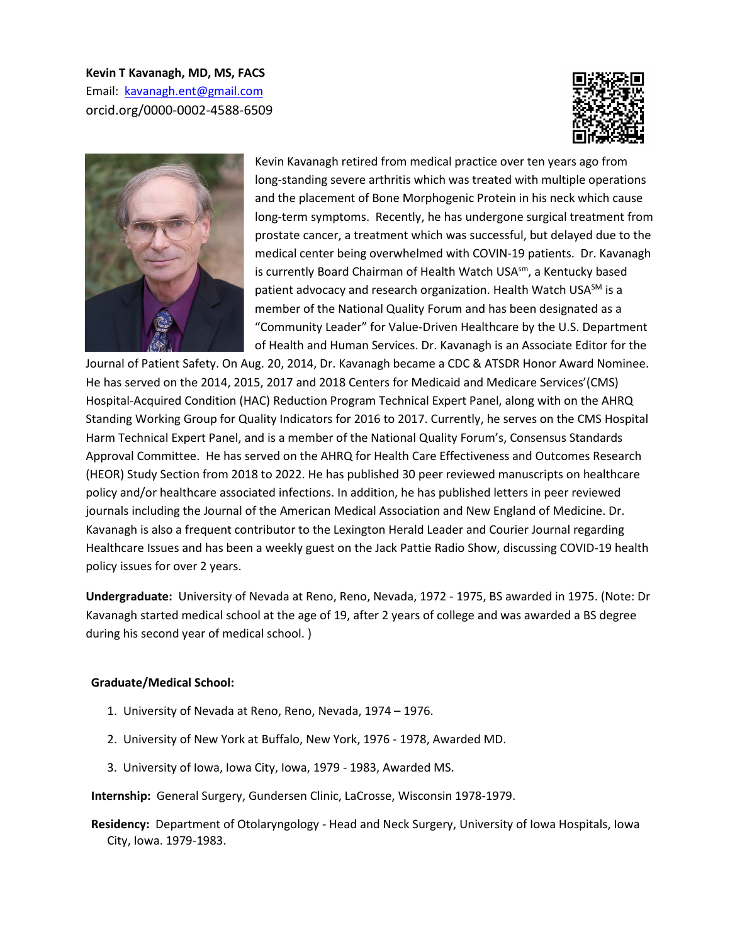**Kevin T Kavanagh, MD, MS, FACS**  Email: [kavanagh.ent@gmail.com](mailto:kavanagh.ent@gmail.com)  orcid.org/0000-0002-4588-6509





Kevin Kavanagh retired from medical practice over ten years ago from long-standing severe arthritis which was treated with multiple operations and the placement of Bone Morphogenic Protein in his neck which cause long-term symptoms. Recently, he has undergone surgical treatment from prostate cancer, a treatment which was successful, but delayed due to the medical center being overwhelmed with COVIN-19 patients. Dr. Kavanagh is currently Board Chairman of Health Watch USA<sup>sm</sup>, a Kentucky based patient advocacy and research organization. Health Watch USA<sup>SM</sup> is a member of the National Quality Forum and has been designated as a "Community Leader" for Value-Driven Healthcare by the U.S. Department of Health and Human Services. Dr. Kavanagh is an Associate Editor for the

Journal of Patient Safety. On Aug. 20, 2014, Dr. Kavanagh became a CDC & ATSDR Honor Award Nominee. He has served on the 2014, 2015, 2017 and 2018 Centers for Medicaid and Medicare Services'(CMS) Hospital-Acquired Condition (HAC) Reduction Program Technical Expert Panel, along with on the AHRQ Standing Working Group for Quality Indicators for 2016 to 2017. Currently, he serves on the CMS Hospital Harm Technical Expert Panel, and is a member of the National Quality Forum's, Consensus Standards Approval Committee. He has served on the AHRQ for Health Care Effectiveness and Outcomes Research (HEOR) Study Section from 2018 to 2022. He has published 30 peer reviewed manuscripts on healthcare policy and/or healthcare associated infections. In addition, he has published letters in peer reviewed journals including the Journal of the American Medical Association and New England of Medicine. Dr. Kavanagh is also a frequent contributor to the Lexington Herald Leader and Courier Journal regarding Healthcare Issues and has been a weekly guest on the Jack Pattie Radio Show, discussing COVID-19 health policy issues for over 2 years.

**Undergraduate:** University of Nevada at Reno, Reno, Nevada, 1972 - 1975, BS awarded in 1975. (Note: Dr Kavanagh started medical school at the age of 19, after 2 years of college and was awarded a BS degree during his second year of medical school. )

#### **Graduate/Medical School:**

- 1. University of Nevada at Reno, Reno, Nevada, 1974 1976.
- 2. University of New York at Buffalo, New York, 1976 1978, Awarded MD.
- 3. University of Iowa, Iowa City, Iowa, 1979 1983, Awarded MS.
- **Internship:** General Surgery, Gundersen Clinic, LaCrosse, Wisconsin 1978-1979.
- **Residency:** Department of Otolaryngology Head and Neck Surgery, University of Iowa Hospitals, Iowa City, Iowa. 1979-1983.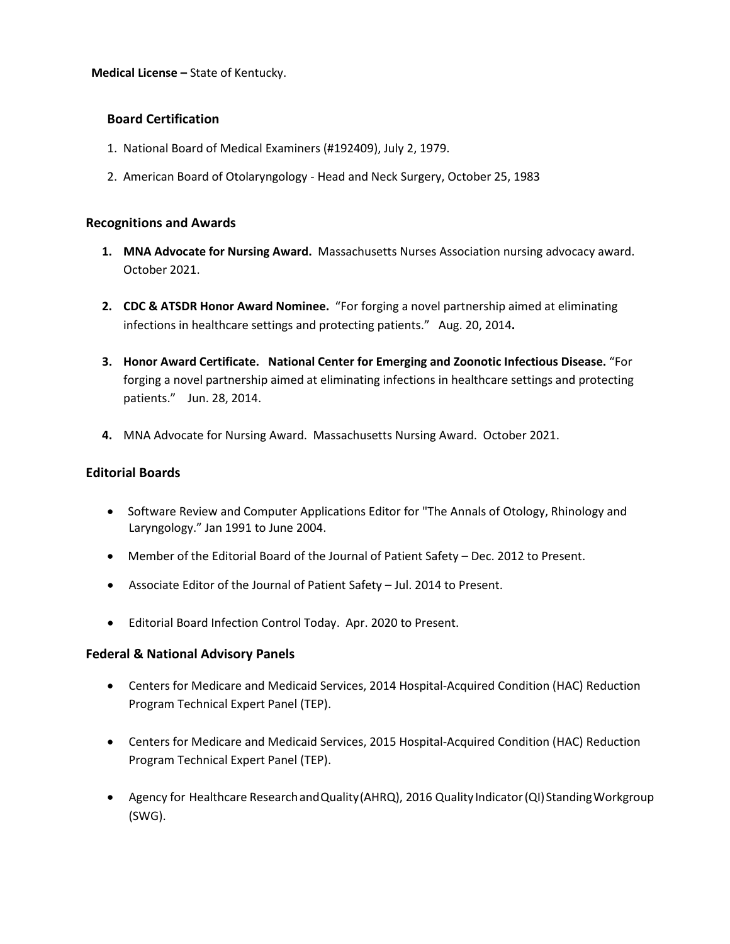**Medical License –** State of Kentucky.

## **Board Certification**

- 1. National Board of Medical Examiners (#192409), July 2, 1979.
- 2. American Board of Otolaryngology Head and Neck Surgery, October 25, 1983

#### **Recognitions and Awards**

- **1. MNA Advocate for Nursing Award.** Massachusetts Nurses Association nursing advocacy award. October 2021.
- **2. CDC & ATSDR Honor Award Nominee.** "For forging a novel partnership aimed at eliminating infections in healthcare settings and protecting patients." Aug. 20, 2014**.**
- **3. Honor Award Certificate. National Center for Emerging and Zoonotic Infectious Disease.** "For forging a novel partnership aimed at eliminating infections in healthcare settings and protecting patients." Jun. 28, 2014.
- **4.** MNA Advocate for Nursing Award. Massachusetts Nursing Award. October 2021.

#### **Editorial Boards**

- Software Review and Computer Applications Editor for "The Annals of Otology, Rhinology and Laryngology." Jan 1991 to June 2004.
- Member of the Editorial Board of the Journal of Patient Safety Dec. 2012 to Present.
- Associate Editor of the Journal of Patient Safety Jul. 2014 to Present.
- Editorial Board Infection Control Today. Apr. 2020 to Present.

#### **Federal & National Advisory Panels**

- Centers for Medicare and Medicaid Services, 2014 Hospital-Acquired Condition (HAC) Reduction Program Technical Expert Panel (TEP).
- Centers for Medicare and Medicaid Services, 2015 Hospital-Acquired Condition (HAC) Reduction Program Technical Expert Panel (TEP).
- Agency for Healthcare Research and Quality (AHRQ), 2016 Quality Indicator (QI) Standing Workgroup (SWG).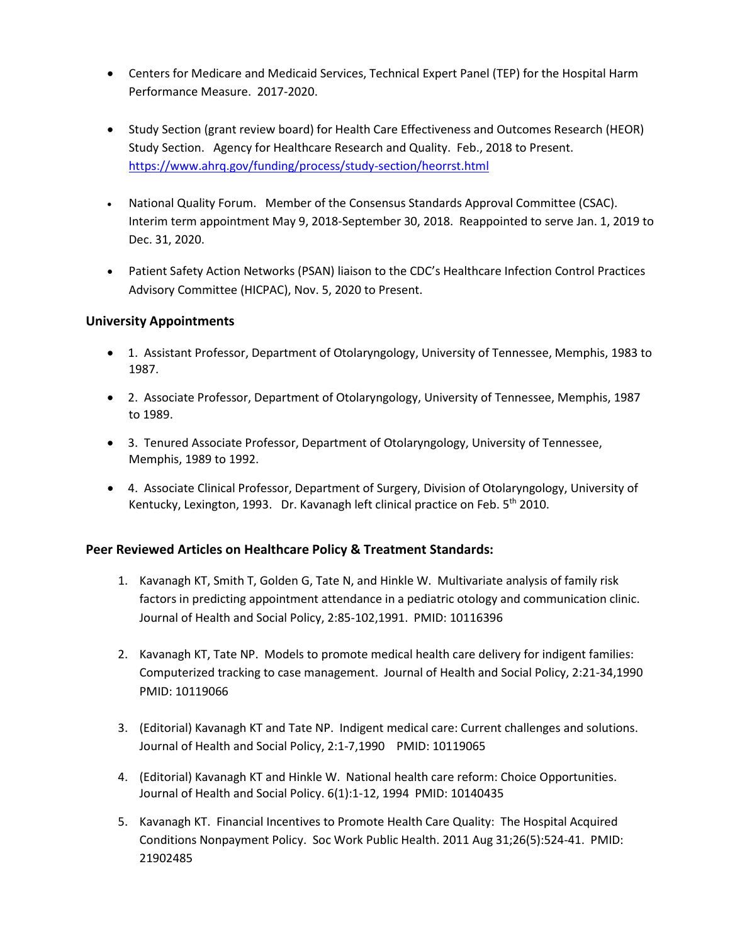- Centers for Medicare and Medicaid Services, Technical Expert Panel (TEP) for the Hospital Harm Performance Measure. 2017-2020.
- Study Section (grant review board) for Health Care Effectiveness and Outcomes Research (HEOR) Study Section. Agency for Healthcare Research and Quality. Feb., 2018 to Present. <https://www.ahrq.gov/funding/process/study-section/heorrst.html>
- National Quality Forum. Member of the Consensus Standards Approval Committee (CSAC). Interim term appointment May 9, 2018-September 30, 2018. Reappointed to serve Jan. 1, 2019 to Dec. 31, 2020.
- Patient Safety Action Networks (PSAN) liaison to the CDC's Healthcare Infection Control Practices Advisory Committee (HICPAC), Nov. 5, 2020 to Present.

## **University Appointments**

- 1. Assistant Professor, Department of Otolaryngology, University of Tennessee, Memphis, 1983 to 1987.
- 2. Associate Professor, Department of Otolaryngology, University of Tennessee, Memphis, 1987 to 1989.
- 3. Tenured Associate Professor, Department of Otolaryngology, University of Tennessee, Memphis, 1989 to 1992.
- 4. Associate Clinical Professor, Department of Surgery, Division of Otolaryngology, University of Kentucky, Lexington, 1993. Dr. Kavanagh left clinical practice on Feb. 5<sup>th</sup> 2010.

## **Peer Reviewed Articles on Healthcare Policy & Treatment Standards:**

- 1. Kavanagh KT, Smith T, Golden G, Tate N, and Hinkle W. Multivariate analysis of family risk factors in predicting appointment attendance in a pediatric otology and communication clinic. Journal of Health and Social Policy, 2:85-102,1991. PMID: 10116396
- 2. Kavanagh KT, Tate NP. Models to promote medical health care delivery for indigent families: Computerized tracking to case management. Journal of Health and Social Policy, 2:21-34,1990 PMID: 10119066
- 3. (Editorial) Kavanagh KT and Tate NP. Indigent medical care: Current challenges and solutions. Journal of Health and Social Policy, 2:1-7,1990 PMID: 10119065
- 4. (Editorial) Kavanagh KT and Hinkle W. National health care reform: Choice Opportunities. Journal of Health and Social Policy. 6(1):1-12, 1994 PMID: 10140435
- 5. Kavanagh KT. Financial Incentives to Promote Health Care Quality: The Hospital Acquired Conditions Nonpayment Policy. Soc Work Public Health. 2011 Aug 31;26(5):524-41. PMID: 21902485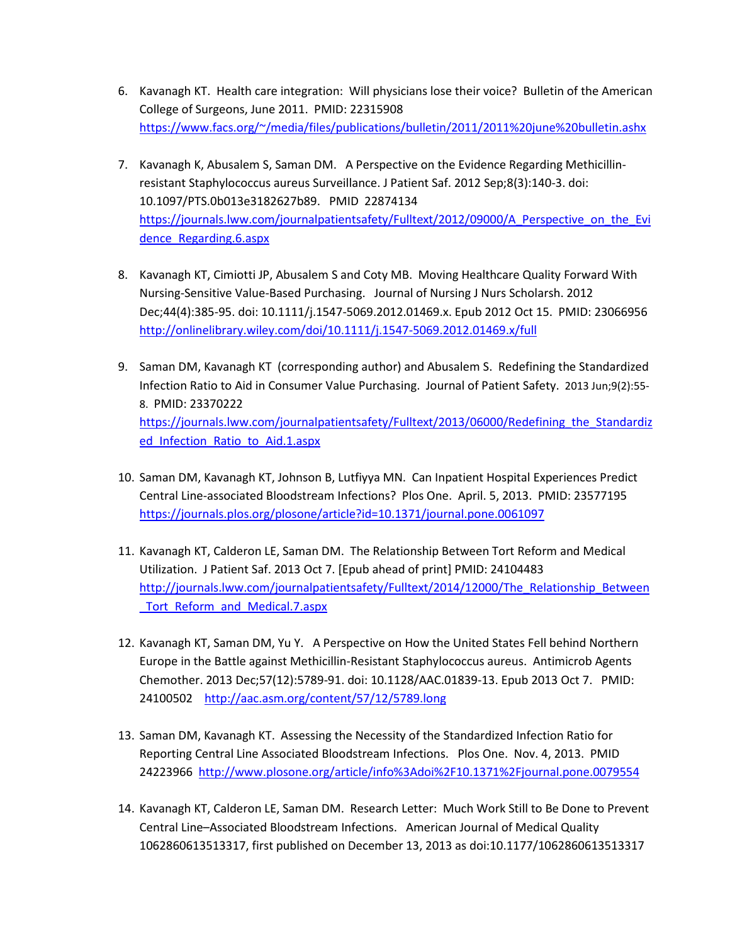- 6. Kavanagh KT. Health care integration: Will physicians lose their voice? Bulletin of the American College of Surgeons, June 2011. PMID: 22315908 [https://www.facs.org/~/media/files/publications/bulletin/2011/2011%20june%20bulletin.ashx](https://www.facs.org/%7E/media/files/publications/bulletin/2011/2011%20june%20bulletin.ashx)
- 7. Kavanagh K, Abusalem S, Saman DM. A Perspective on the Evidence Regarding Methicillinresistant Staphylococcus aureus Surveillance. J Patient Saf. 2012 Sep;8(3):140-3. doi: 10.1097/PTS.0b013e3182627b89. PMID 22874134 https://journals.lww.com/journalpatientsafety/Fulltext/2012/09000/A Perspective on the Evi [dence\\_Regarding.6.aspx](https://journals.lww.com/journalpatientsafety/Fulltext/2012/09000/A_Perspective_on_the_Evidence_Regarding.6.aspx)
- 8. Kavanagh KT, Cimiotti JP, Abusalem S and Coty MB. Moving Healthcare Quality Forward With Nursing-Sensitive Value-Based Purchasing. Journal of Nursing J Nurs Scholarsh. 2012 Dec;44(4):385-95. doi: 10.1111/j.1547-5069.2012.01469.x. Epub 2012 Oct 15. PMID: 23066956 <http://onlinelibrary.wiley.com/doi/10.1111/j.1547-5069.2012.01469.x/full>
- 9. Saman DM, Kavanagh KT (corresponding author) and Abusalem S. Redefining the Standardized Infection Ratio to Aid in Consumer Value Purchasing. Journal of Patient Safety. 2013 Jun;9(2):55- 8. PMID: 23370222 [https://journals.lww.com/journalpatientsafety/Fulltext/2013/06000/Redefining\\_the\\_Standardiz](https://journals.lww.com/journalpatientsafety/Fulltext/2013/06000/Redefining_the_Standardized_Infection_Ratio_to_Aid.1.aspx) ed Infection Ratio to Aid.1.aspx
- 10. Saman DM, Kavanagh KT, Johnson B, Lutfiyya MN. Can Inpatient Hospital Experiences Predict Central Line-associated Bloodstream Infections? Plos One. April. 5, 2013. PMID: 23577195 <https://journals.plos.org/plosone/article?id=10.1371/journal.pone.0061097>
- 11. Kavanagh KT, Calderon LE, Saman DM. The Relationship Between Tort Reform and Medical Utilization. J Patient Saf. 2013 Oct 7. [Epub ahead of print] PMID: 24104483 http://journals.lww.com/journalpatientsafety/Fulltext/2014/12000/The Relationship Between Tort\_Reform\_and\_Medical.7.aspx
- 12. Kavanagh KT, Saman DM, Yu Y. A Perspective on How the United States Fell behind Northern Europe in the Battle against Methicillin-Resistant Staphylococcus aureus. Antimicrob Agents Chemother. 2013 Dec;57(12):5789-91. doi: 10.1128/AAC.01839-13. Epub 2013 Oct 7. PMID: 24100502 <http://aac.asm.org/content/57/12/5789.long>
- 13. Saman DM, Kavanagh KT. Assessing the Necessity of the Standardized Infection Ratio for Reporting Central Line Associated Bloodstream Infections. Plos One. Nov. 4, 2013. PMID 24223966<http://www.plosone.org/article/info%3Adoi%2F10.1371%2Fjournal.pone.0079554>
- 14. Kavanagh KT, Calderon LE, Saman DM. Research Letter: Much Work Still to Be Done to Prevent Central Line–Associated Bloodstream Infections. American Journal of Medical Quality 1062860613513317, first published on December 13, 2013 as doi:10.1177/1062860613513317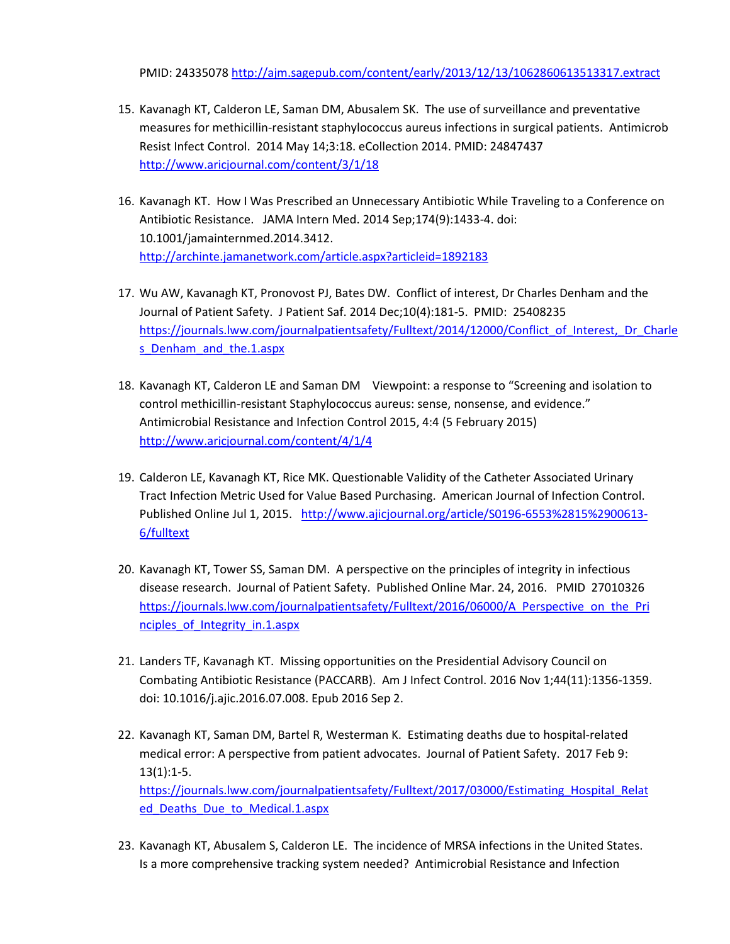PMID: 24335078<http://ajm.sagepub.com/content/early/2013/12/13/1062860613513317.extract>

- 15. Kavanagh KT, Calderon LE, Saman DM, Abusalem SK. The use of surveillance and preventative measures for methicillin-resistant staphylococcus aureus infections in surgical patients. Antimicrob Resist Infect Control. 2014 May 14;3:18. eCollection 2014. PMID: 24847437 <http://www.aricjournal.com/content/3/1/18>
- 16. Kavanagh KT. How I Was Prescribed an Unnecessary Antibiotic While Traveling to a Conference on Antibiotic Resistance. JAMA Intern Med. 2014 Sep;174(9):1433-4. doi: 10.1001/jamainternmed.2014.3412. <http://archinte.jamanetwork.com/article.aspx?articleid=1892183>
- 17. Wu AW, Kavanagh KT, Pronovost PJ, Bates DW. Conflict of interest, Dr Charles Denham and the Journal of Patient Safety. J Patient Saf. 2014 Dec;10(4):181-5. PMID: 25408235 [https://journals.lww.com/journalpatientsafety/Fulltext/2014/12000/Conflict\\_of\\_Interest,\\_Dr\\_Charle](https://journals.lww.com/journalpatientsafety/Fulltext/2014/12000/Conflict_of_Interest,_Dr_Charles_Denham_and_the.1.aspx) s Denham and the.1.aspx
- 18. Kavanagh KT, Calderon LE and Saman DM Viewpoint: a response to "Screening and isolation to control methicillin-resistant Staphylococcus aureus: sense, nonsense, and evidence." Antimicrobial Resistance and Infection Control 2015, 4:4 (5 February 2015) <http://www.aricjournal.com/content/4/1/4>
- 19. Calderon LE, Kavanagh KT, Rice MK. Questionable Validity of the Catheter Associated Urinary Tract Infection Metric Used for Value Based Purchasing. American Journal of Infection Control. Published Online Jul 1, 2015. [http://www.ajicjournal.org/article/S0196-6553%2815%2900613-](http://www.ajicjournal.org/article/S0196-6553%2815%2900613-6/fulltext) [6/fulltext](http://www.ajicjournal.org/article/S0196-6553%2815%2900613-6/fulltext)
- 20. Kavanagh KT, Tower SS, Saman DM. A perspective on the principles of integrity in infectious disease research. Journal of Patient Safety. Published Online Mar. 24, 2016. PMID 27010326 https://journals.lww.com/journalpatientsafety/Fulltext/2016/06000/A Perspective on the Pri [nciples\\_of\\_Integrity\\_in.1.aspx](https://journals.lww.com/journalpatientsafety/Fulltext/2016/06000/A_Perspective_on_the_Principles_of_Integrity_in.1.aspx)
- 21. Landers TF, Kavanagh KT. Missing opportunities on the Presidential Advisory Council on Combating Antibiotic Resistance (PACCARB). Am J Infect Control. 2016 Nov 1;44(11):1356-1359. doi: 10.1016/j.ajic.2016.07.008. Epub 2016 Sep 2.
- 22. Kavanagh KT, Saman DM, Bartel R, Westerman K. Estimating deaths due to hospital-related medical error: A perspective from patient advocates. Journal of Patient Safety. 2017 Feb 9: 13(1):1-5. [https://journals.lww.com/journalpatientsafety/Fulltext/2017/03000/Estimating\\_Hospital\\_Relat](https://journals.lww.com/journalpatientsafety/Fulltext/2017/03000/Estimating_Hospital_Related_Deaths_Due_to_Medical.1.aspx)

[ed\\_Deaths\\_Due\\_to\\_Medical.1.aspx](https://journals.lww.com/journalpatientsafety/Fulltext/2017/03000/Estimating_Hospital_Related_Deaths_Due_to_Medical.1.aspx) 

23. Kavanagh KT, Abusalem S, Calderon LE. The incidence of MRSA infections in the United States. Is a more comprehensive tracking system needed? Antimicrobial Resistance and Infection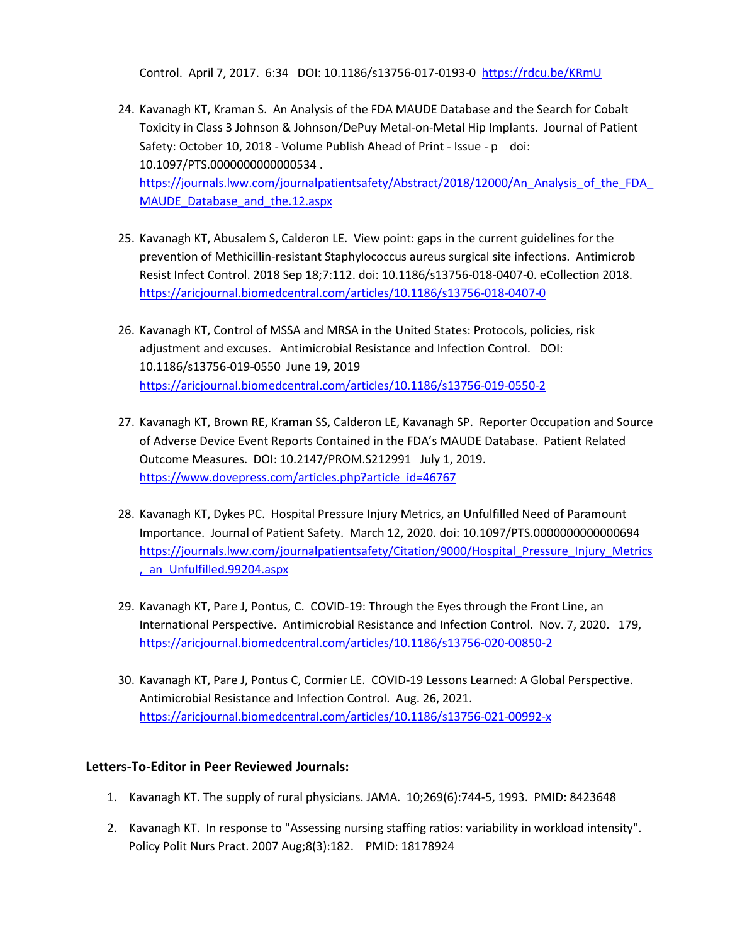Control. April 7, 2017. 6:34 DOI: 10.1186/s13756-017-0193-0 [https://rdcu.be/KRmU](http://em.rdcu.be/wf/click?upn=lMZy1lernSJ7apc5DgYM8aqe-2B6tWVskhU7I0U1uVDCQ-3D_suQTUKmeoHHtEdERkCdvmoP8n9-2BEAkvfnYE17RCqIO-2BAgUXx0q8R-2B28r9b7WvDd5G6NRQ1jvpdOsMgyTOKoMTwWEgZmYvFcnzJ3UgjH2k2VQ1F9osKB-2BJigkrHGRHyB1am4MH9l-2FkRtq6lxt3lmv8UiI0TVeHvHSNjoZmQCmrJ5Hd-2BMtwOnef3q1AozH9BAS2Xponi9NeCJTfLETsMiYCIkL-2F23sDYOdpqABML6uuzCFxZ601i4Bt5jKyx-2Fdyq9JHAj6zop4DZc-2FvU5eoayiRA-3D-3D) 

- 24. Kavanagh KT, Kraman S. An Analysis of the FDA MAUDE Database and the Search for Cobalt Toxicity in Class 3 Johnson & Johnson/DePuy Metal-on-Metal Hip Implants. Journal of Patient Safety: October 10, 2018 - Volume Publish Ahead of Print - Issue - p doi: 10.1097/PTS.0000000000000534 . https://journals.lww.com/journalpatientsafety/Abstract/2018/12000/An\_Analysis\_of\_the\_FDA MAUDE Database and the.12.aspx
- 25. Kavanagh KT, Abusalem S, Calderon LE. View point: gaps in the current guidelines for the prevention of Methicillin-resistant Staphylococcus aureus surgical site infections. Antimicrob Resist Infect Control. 2018 Sep 18;7:112. doi: 10.1186/s13756-018-0407-0. eCollection 2018. <https://aricjournal.biomedcentral.com/articles/10.1186/s13756-018-0407-0>
- 26. Kavanagh KT, Control of MSSA and MRSA in the United States: Protocols, policies, risk adjustment and excuses. Antimicrobial Resistance and Infection Control. DOI: 10.1186/s13756-019-0550 June 19, 2019 <https://aricjournal.biomedcentral.com/articles/10.1186/s13756-019-0550-2>
- 27. Kavanagh KT, Brown RE, Kraman SS, Calderon LE, Kavanagh SP. Reporter Occupation and Source of Adverse Device Event Reports Contained in the FDA's MAUDE Database. Patient Related Outcome Measures. DOI: 10.2147/PROM.S212991 July 1, 2019. https://www.dovepress.com/articles.php?article\_id=46767
- 28. Kavanagh KT, Dykes PC. Hospital Pressure Injury Metrics, an Unfulfilled Need of Paramount Importance. Journal of Patient Safety. March 12, 2020. doi: 10.1097/PTS.0000000000000694 [https://journals.lww.com/journalpatientsafety/Citation/9000/Hospital\\_Pressure\\_Injury\\_Metrics](https://journals.lww.com/journalpatientsafety/Citation/9000/Hospital_Pressure_Injury_Metrics,_an_Unfulfilled.99204.aspx) [,\\_an\\_Unfulfilled.99204.aspx](https://journals.lww.com/journalpatientsafety/Citation/9000/Hospital_Pressure_Injury_Metrics,_an_Unfulfilled.99204.aspx)
- 29. Kavanagh KT, Pare J, Pontus, C. COVID-19: Through the Eyes through the Front Line, an International Perspective. Antimicrobial Resistance and Infection Control. Nov. 7, 2020. 179, <https://aricjournal.biomedcentral.com/articles/10.1186/s13756-020-00850-2>
- 30. Kavanagh KT, Pare J, Pontus C, Cormier LE. COVID-19 Lessons Learned: A Global Perspective. Antimicrobial Resistance and Infection Control. Aug. 26, 2021. <https://aricjournal.biomedcentral.com/articles/10.1186/s13756-021-00992-x>

## **Letters-To-Editor in Peer Reviewed Journals:**

- 1. Kavanagh KT. The supply of rural physicians. JAMA. 10;269(6):744-5, 1993. PMID: 8423648
- 2. Kavanagh KT. In response to "Assessing nursing staffing ratios: variability in workload intensity". Policy Polit Nurs Pract. 2007 Aug;8(3):182. PMID: 18178924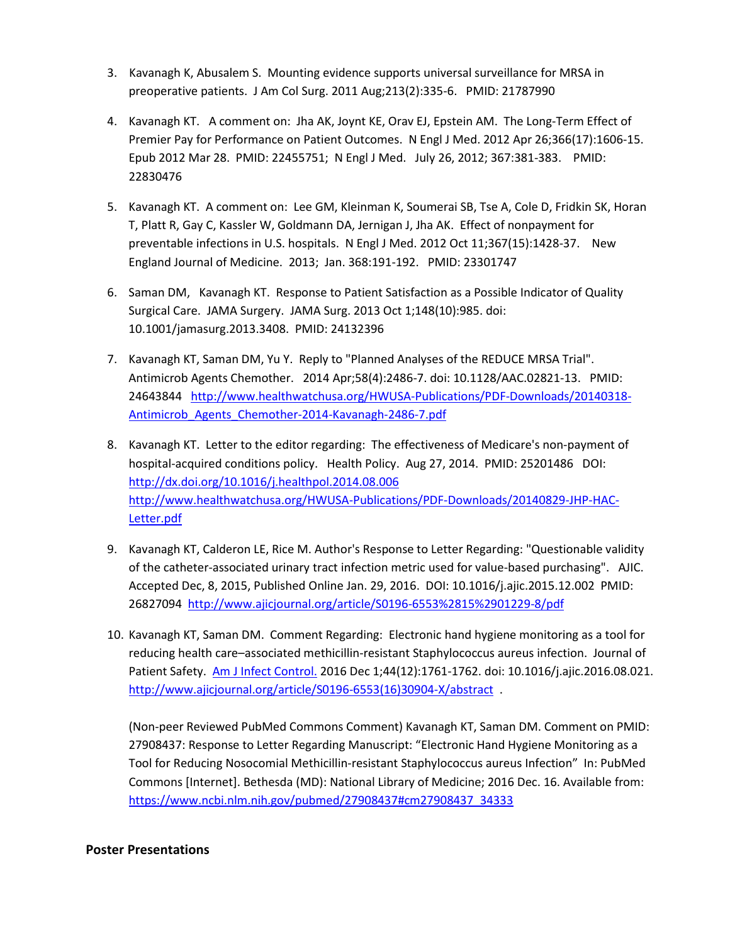- 3. Kavanagh K, Abusalem S. Mounting evidence supports universal surveillance for MRSA in preoperative patients. J Am Col Surg. 2011 Aug;213(2):335-6. PMID: 21787990
- 4. Kavanagh KT. A comment on: Jha AK, Joynt KE, Orav EJ, Epstein AM. The Long-Term Effect of Premier Pay for Performance on Patient Outcomes. N Engl J Med. 2012 Apr 26;366(17):1606-15. Epub 2012 Mar 28. PMID: 22455751; N Engl J Med. July 26, 2012; 367:381-383. PMID: 22830476
- 5. Kavanagh KT. A comment on: Lee GM, Kleinman K, Soumerai SB, Tse A, Cole D, Fridkin SK, Horan T, Platt R, Gay C, Kassler W, Goldmann DA, Jernigan J, Jha AK. Effect of nonpayment for preventable infections in U.S. hospitals. N Engl J Med. 2012 Oct 11;367(15):1428-37. New England Journal of Medicine. 2013; Jan. 368:191-192. PMID: 23301747
- 6. Saman DM, Kavanagh KT. Response to Patient Satisfaction as a Possible Indicator of Quality Surgical Care. JAMA Surgery. JAMA Surg. 2013 Oct 1;148(10):985. doi: 10.1001/jamasurg.2013.3408. PMID: 24132396
- 7. Kavanagh KT, Saman DM, Yu Y. Reply to "Planned Analyses of the REDUCE MRSA Trial". Antimicrob Agents Chemother. 2014 Apr;58(4):2486-7. doi: 10.1128/AAC.02821-13. PMID: 24643844 [http://www.healthwatchusa.org/HWUSA-Publications/PDF-Downloads/20140318-](http://www.healthwatchusa.org/HWUSA-Publications/PDF-Downloads/20140318-Antimicrob_Agents_Chemother-2014-Kavanagh-2486-7.pdf) [Antimicrob\\_Agents\\_Chemother-2014-Kavanagh-2486-7.pdf](http://www.healthwatchusa.org/HWUSA-Publications/PDF-Downloads/20140318-Antimicrob_Agents_Chemother-2014-Kavanagh-2486-7.pdf)
- 8. Kavanagh KT. Letter to the editor regarding: The effectiveness of Medicare's non-payment of hospital-acquired conditions policy. Health Policy. Aug 27, 2014. PMID: 25201486 DOI: <http://dx.doi.org/10.1016/j.healthpol.2014.08.006> [http://www.healthwatchusa.org/HWUSA-Publications/PDF-Downloads/20140829-JHP-HAC-](http://www.healthwatchusa.org/HWUSA-Publications/PDF-Downloads/20140829-JHP-HAC-Letter.pdf)[Letter.pdf](http://www.healthwatchusa.org/HWUSA-Publications/PDF-Downloads/20140829-JHP-HAC-Letter.pdf)
- 9. Kavanagh KT, Calderon LE, Rice M. Author's Response to Letter Regarding: "Questionable validity of the catheter-associated urinary tract infection metric used for value-based purchasing". AJIC. Accepted Dec, 8, 2015, Published Online Jan. 29, 2016. DOI: 10.1016/j.ajic.2015.12.002 PMID: 26827094<http://www.ajicjournal.org/article/S0196-6553%2815%2901229-8/pdf>
- 10. Kavanagh KT, Saman DM. Comment Regarding: Electronic hand hygiene monitoring as a tool for reducing health care–associated methicillin-resistant Staphylococcus aureus infection. Journal of Patient Safety. [Am J Infect Control.](https://www.ncbi.nlm.nih.gov/pubmed/27908436) 2016 Dec 1;44(12):1761-1762. doi: 10.1016/j.ajic.2016.08.021. [http://www.ajicjournal.org/article/S0196-6553\(16\)30904-X/abstract](http://www.ajicjournal.org/article/S0196-6553(16)30904-X/abstract) .

(Non-peer Reviewed PubMed Commons Comment) Kavanagh KT, Saman DM. Comment on PMID: 27908437: Response to Letter Regarding Manuscript: "Electronic Hand Hygiene Monitoring as a Tool for Reducing Nosocomial Methicillin-resistant Staphylococcus aureus Infection" In: PubMed Commons [Internet]. Bethesda (MD): National Library of Medicine; 2016 Dec. 16. Available from: [https://www.ncbi.nlm.nih.gov/pubmed/27908437#cm27908437\\_34333](https://www.ncbi.nlm.nih.gov/pubmed/27908437#cm27908437_34333) 

## **Poster Presentations**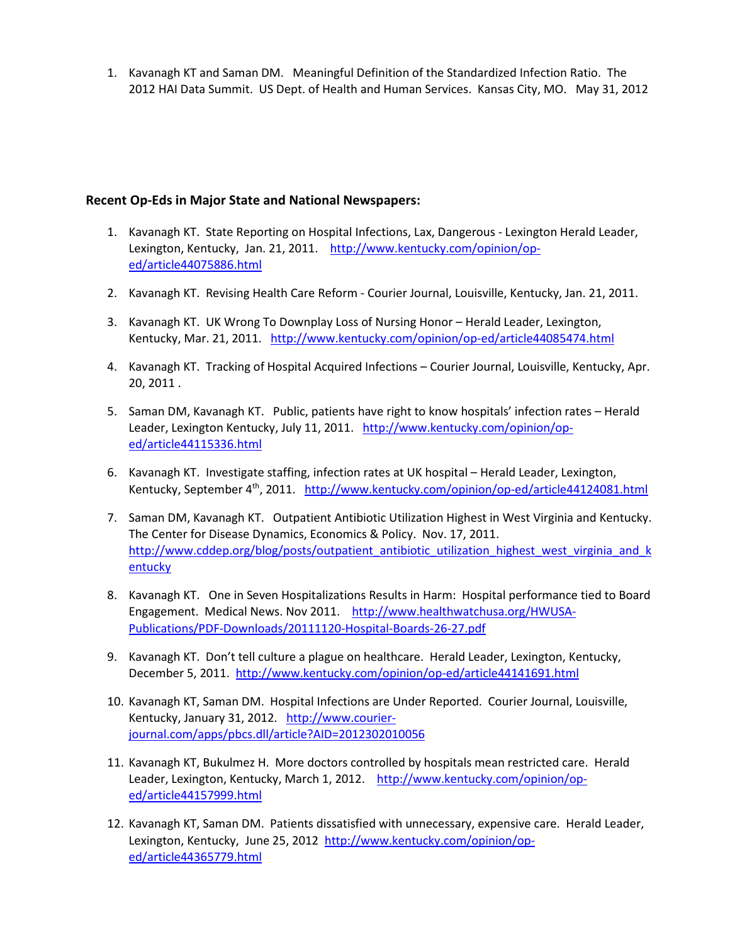1. Kavanagh KT and Saman DM. Meaningful Definition of the Standardized Infection Ratio. The 2012 HAI Data Summit. US Dept. of Health and Human Services. Kansas City, MO. May 31, 2012

### **Recent Op-Eds in Major State and National Newspapers:**

- 1. Kavanagh KT. State Reporting on Hospital Infections, Lax, Dangerous Lexington Herald Leader, Lexington, Kentucky, Jan. 21, 2011. [http://www.kentucky.com/opinion/op](http://www.kentucky.com/opinion/op-ed/article44075886.html)[ed/article44075886.html](http://www.kentucky.com/opinion/op-ed/article44075886.html)
- 2. Kavanagh KT. Revising Health Care Reform Courier Journal, Louisville, Kentucky, Jan. 21, 2011.
- 3. Kavanagh KT. UK Wrong To Downplay Loss of Nursing Honor Herald Leader, Lexington, Kentucky, Mar. 21, 2011. <http://www.kentucky.com/opinion/op-ed/article44085474.html>
- 4. Kavanagh KT. Tracking of Hospital Acquired Infections Courier Journal, Louisville, Kentucky, Apr. 20, 2011 .
- 5. Saman DM, Kavanagh KT. Public, patients have right to know hospitals' infection rates Herald Leader, Lexington Kentucky, July 11, 2011. [http://www.kentucky.com/opinion/op](http://www.kentucky.com/opinion/op-ed/article44115336.html)[ed/article44115336.html](http://www.kentucky.com/opinion/op-ed/article44115336.html)
- 6. Kavanagh KT. Investigate staffing, infection rates at UK hospital Herald Leader, Lexington, Kentucky, September 4<sup>th</sup>, 2011. <http://www.kentucky.com/opinion/op-ed/article44124081.html>
- 7. Saman DM, Kavanagh KT. Outpatient Antibiotic Utilization Highest in West Virginia and Kentucky. The Center for Disease Dynamics, Economics & Policy. Nov. 17, 2011. [http://www.cddep.org/blog/posts/outpatient\\_antibiotic\\_utilization\\_highest\\_west\\_virginia\\_and\\_k](http://www.cddep.org/blog/posts/outpatient_antibiotic_utilization_highest_west_virginia_and_kentucky) [entucky](http://www.cddep.org/blog/posts/outpatient_antibiotic_utilization_highest_west_virginia_and_kentucky)
- 8. Kavanagh KT. One in Seven Hospitalizations Results in Harm: Hospital performance tied to Board Engagement. Medical News. Nov 2011. [http://www.healthwatchusa.org/HWUSA-](http://www.healthwatchusa.org/HWUSA-Publications/PDF-Downloads/20111120-Hospital-Boards-26-27.pdf)[Publications/PDF-Downloads/20111120-Hospital-Boards-26-27.pdf](http://www.healthwatchusa.org/HWUSA-Publications/PDF-Downloads/20111120-Hospital-Boards-26-27.pdf)
- 9. Kavanagh KT. Don't tell culture a plague on healthcare. Herald Leader, Lexington, Kentucky, December 5, 2011.<http://www.kentucky.com/opinion/op-ed/article44141691.html>
- 10. Kavanagh KT, Saman DM. Hospital Infections are Under Reported. Courier Journal, Louisville, Kentucky, January 31, 2012. [http://www.courier](http://www.courier-journal.com/apps/pbcs.dll/article?AID=2012302010056)[journal.com/apps/pbcs.dll/article?AID=2012302010056](http://www.courier-journal.com/apps/pbcs.dll/article?AID=2012302010056)
- 11. Kavanagh KT, Bukulmez H. More doctors controlled by hospitals mean restricted care. Herald Leader, Lexington, Kentucky, March 1, 2012. [http://www.kentucky.com/opinion/op](http://www.kentucky.com/opinion/op-ed/article44157999.html)[ed/article44157999.html](http://www.kentucky.com/opinion/op-ed/article44157999.html)
- 12. Kavanagh KT, Saman DM. Patients dissatisfied with unnecessary, expensive care. Herald Leader, Lexington, Kentucky, June 25, 2012 [http://www.kentucky.com/opinion/op](http://www.kentucky.com/opinion/op-ed/article44365779.html)[ed/article44365779.html](http://www.kentucky.com/opinion/op-ed/article44365779.html)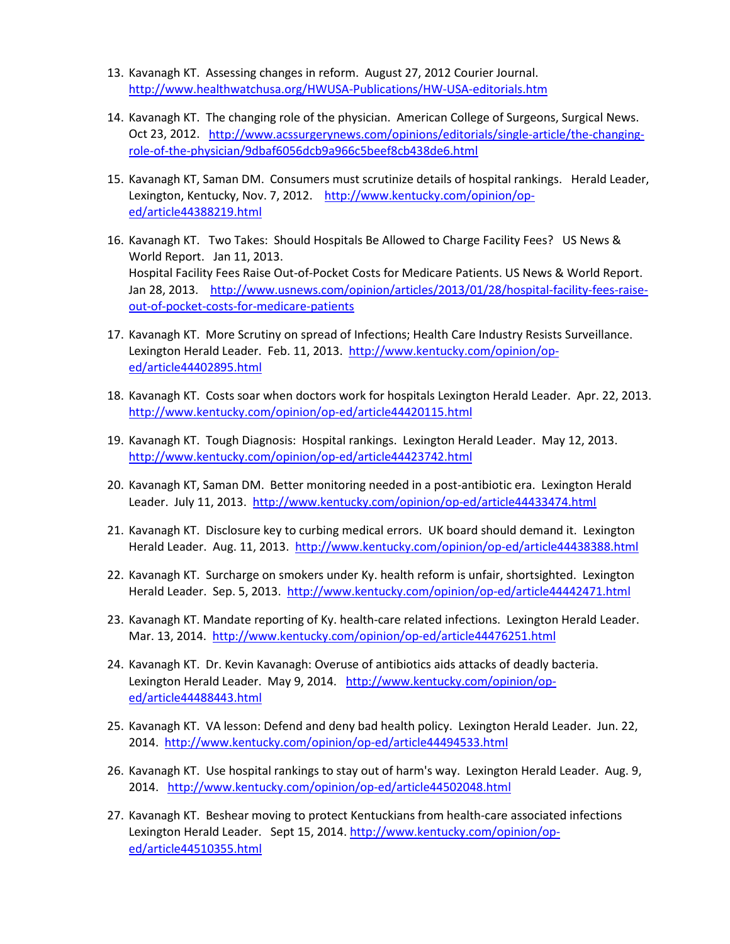- 13. Kavanagh KT. Assessing changes in reform. August 27, 2012 Courier Journal. <http://www.healthwatchusa.org/HWUSA-Publications/HW-USA-editorials.htm>
- 14. Kavanagh KT. The changing role of the physician. American College of Surgeons, Surgical News. Oct 23, 2012. [http://www.acssurgerynews.com/opinions/editorials/single-article/the-changing](http://www.acssurgerynews.com/opinions/editorials/single-article/the-changing-role-of-the-physician/9dbaf6056dcb9a966c5beef8cb438de6.html)[role-of-the-physician/9dbaf6056dcb9a966c5beef8cb438de6.html](http://www.acssurgerynews.com/opinions/editorials/single-article/the-changing-role-of-the-physician/9dbaf6056dcb9a966c5beef8cb438de6.html)
- 15. Kavanagh KT, Saman DM. Consumers must scrutinize details of hospital rankings. Herald Leader, Lexington, Kentucky, Nov. 7, 2012. [http://www.kentucky.com/opinion/op](http://www.kentucky.com/opinion/op-ed/article44388219.html)[ed/article44388219.html](http://www.kentucky.com/opinion/op-ed/article44388219.html)
- 16. Kavanagh KT. Two Takes: Should Hospitals Be Allowed to Charge Facility Fees? US News & World Report. Jan 11, 2013. Hospital Facility Fees Raise Out-of-Pocket Costs for Medicare Patients. US News & World Report. Jan 28, 2013. [http://www.usnews.com/opinion/articles/2013/01/28/hospital-facility-fees-raise](http://www.usnews.com/opinion/articles/2013/01/28/hospital-facility-fees-raise-out-of-pocket-costs-for-medicare-patients)[out-of-pocket-costs-for-medicare-patients](http://www.usnews.com/opinion/articles/2013/01/28/hospital-facility-fees-raise-out-of-pocket-costs-for-medicare-patients)
- 17. Kavanagh KT. More Scrutiny on spread of Infections; Health Care Industry Resists Surveillance. Lexington Herald Leader. Feb. 11, 2013. [http://www.kentucky.com/opinion/op](http://www.kentucky.com/opinion/op-ed/article44402895.html)[ed/article44402895.html](http://www.kentucky.com/opinion/op-ed/article44402895.html)
- 18. Kavanagh KT. Costs soar when doctors work for hospitals Lexington Herald Leader. Apr. 22, 2013. <http://www.kentucky.com/opinion/op-ed/article44420115.html>
- 19. Kavanagh KT. Tough Diagnosis: Hospital rankings. Lexington Herald Leader. May 12, 2013. <http://www.kentucky.com/opinion/op-ed/article44423742.html>
- 20. Kavanagh KT, Saman DM. Better monitoring needed in a post-antibiotic era. Lexington Herald Leader. July 11, 2013. http://www.kentucky.com/opinion/op-ed/article44433474.html
- 21. Kavanagh KT. Disclosure key to curbing medical errors. UK board should demand it. Lexington Herald Leader. Aug. 11, 2013.<http://www.kentucky.com/opinion/op-ed/article44438388.html>
- 22. Kavanagh KT. Surcharge on smokers under Ky. health reform is unfair, shortsighted. Lexington Herald Leader. Sep. 5, 2013. <http://www.kentucky.com/opinion/op-ed/article44442471.html>
- 23. Kavanagh KT. Mandate reporting of Ky. health-care related infections. Lexington Herald Leader. Mar. 13, 2014. <http://www.kentucky.com/opinion/op-ed/article44476251.html>
- 24. Kavanagh KT. Dr. Kevin Kavanagh: Overuse of antibiotics aids attacks of deadly bacteria. Lexington Herald Leader. May 9, 2014. [http://www.kentucky.com/opinion/op](http://www.kentucky.com/opinion/op-ed/article44488443.html)[ed/article44488443.html](http://www.kentucky.com/opinion/op-ed/article44488443.html)
- 25. Kavanagh KT. VA lesson: Defend and deny bad health policy. Lexington Herald Leader. Jun. 22, 2014. <http://www.kentucky.com/opinion/op-ed/article44494533.html>
- 26. Kavanagh KT. Use hospital rankings to stay out of harm's way. Lexington Herald Leader. Aug. 9, 2014. <http://www.kentucky.com/opinion/op-ed/article44502048.html>
- 27. Kavanagh KT. Beshear moving to protect Kentuckians from health-care associated infections Lexington Herald Leader. Sept 15, 2014. [http://www.kentucky.com/opinion/op](http://www.kentucky.com/opinion/op-ed/article44510355.html)[ed/article44510355.html](http://www.kentucky.com/opinion/op-ed/article44510355.html)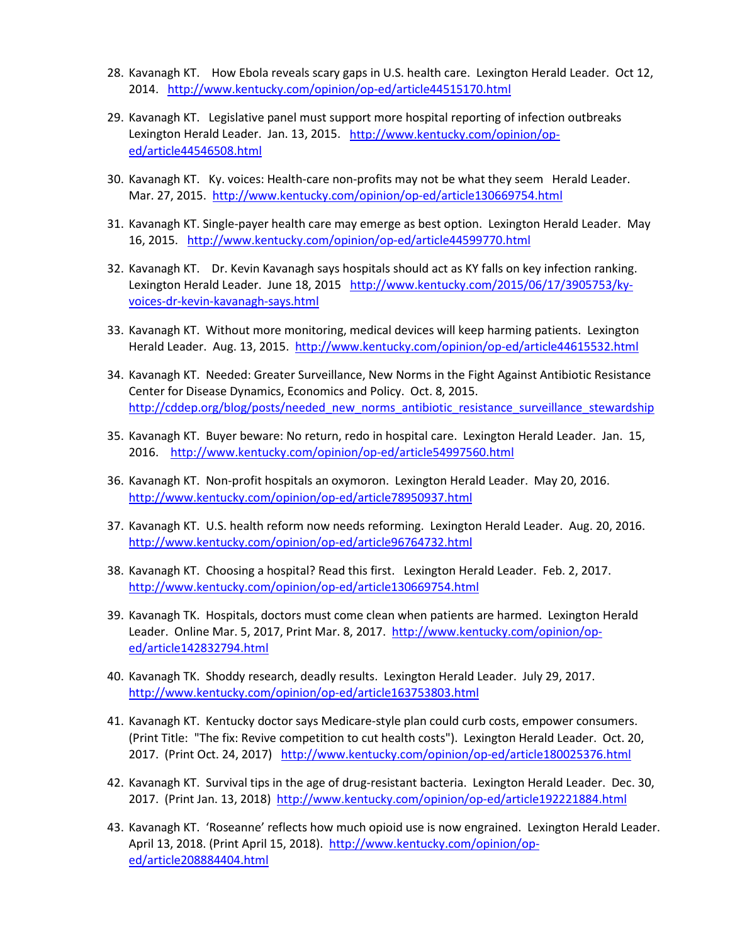- 28. Kavanagh KT. How Ebola reveals scary gaps in U.S. health care. Lexington Herald Leader. Oct 12, 2014. <http://www.kentucky.com/opinion/op-ed/article44515170.html>
- 29. Kavanagh KT. Legislative panel must support more hospital reporting of infection outbreaks Lexington Herald Leader. Jan. 13, 2015. [http://www.kentucky.com/opinion/op](http://www.kentucky.com/opinion/op-ed/article44546508.html)[ed/article44546508.html](http://www.kentucky.com/opinion/op-ed/article44546508.html)
- 30. Kavanagh KT. Ky. voices: Health-care non-profits may not be what they seem Herald Leader. Mar. 27, 2015. <http://www.kentucky.com/opinion/op-ed/article130669754.html>
- 31. Kavanagh KT. Single-payer health care may emerge as best option. Lexington Herald Leader. May 16, 2015. <http://www.kentucky.com/opinion/op-ed/article44599770.html>
- 32. Kavanagh KT. Dr. Kevin Kavanagh says hospitals should act as KY falls on key infection ranking. Lexington Herald Leader. June 18, 2015 [http://www.kentucky.com/2015/06/17/3905753/ky](http://www.kentucky.com/2015/06/17/3905753/ky-voices-dr-kevin-kavanagh-says.html)[voices-dr-kevin-kavanagh-says.html](http://www.kentucky.com/2015/06/17/3905753/ky-voices-dr-kevin-kavanagh-says.html)
- 33. Kavanagh KT. Without more monitoring, medical devices will keep harming patients. Lexington Herald Leader. Aug. 13, 2015.<http://www.kentucky.com/opinion/op-ed/article44615532.html>
- 34. Kavanagh KT. Needed: Greater Surveillance, New Norms in the Fight Against Antibiotic Resistance Center for Disease Dynamics, Economics and Policy. Oct. 8, 2015. http://cddep.org/blog/posts/needed\_new\_norms\_antibiotic\_resistance\_surveillance\_stewardship
- 35. Kavanagh KT. Buyer beware: No return, redo in hospital care. Lexington Herald Leader. Jan. 15, 2016. <http://www.kentucky.com/opinion/op-ed/article54997560.html>
- 36. Kavanagh KT. Non-profit hospitals an oxymoron. Lexington Herald Leader. May 20, 2016. <http://www.kentucky.com/opinion/op-ed/article78950937.html>
- 37. Kavanagh KT. U.S. health reform now needs reforming. Lexington Herald Leader. Aug. 20, 2016. <http://www.kentucky.com/opinion/op-ed/article96764732.html>
- 38. Kavanagh KT. Choosing a hospital? Read this first. Lexington Herald Leader. Feb. 2, 2017. <http://www.kentucky.com/opinion/op-ed/article130669754.html>
- 39. Kavanagh TK. Hospitals, doctors must come clean when patients are harmed. Lexington Herald Leader. Online Mar. 5, 2017, Print Mar. 8, 2017. [http://www.kentucky.com/opinion/op](http://www.kentucky.com/opinion/op-ed/article142832794.html)[ed/article142832794.html](http://www.kentucky.com/opinion/op-ed/article142832794.html)
- 40. Kavanagh TK. Shoddy research, deadly results. Lexington Herald Leader. July 29, 2017. <http://www.kentucky.com/opinion/op-ed/article163753803.html>
- 41. Kavanagh KT. Kentucky doctor says Medicare-style plan could curb costs, empower consumers. (Print Title: "The fix: Revive competition to cut health costs"). Lexington Herald Leader. Oct. 20, 2017. (Print Oct. 24, 2017) <http://www.kentucky.com/opinion/op-ed/article180025376.html>
- 42. Kavanagh KT. Survival tips in the age of drug-resistant bacteria. Lexington Herald Leader. Dec. 30, 2017. (Print Jan. 13, 2018) <http://www.kentucky.com/opinion/op-ed/article192221884.html>
- 43. Kavanagh KT. 'Roseanne' reflects how much opioid use is now engrained. Lexington Herald Leader. April 13, 2018. (Print April 15, 2018). [http://www.kentucky.com/opinion/op](http://www.kentucky.com/opinion/op-ed/article208884404.html)[ed/article208884404.html](http://www.kentucky.com/opinion/op-ed/article208884404.html)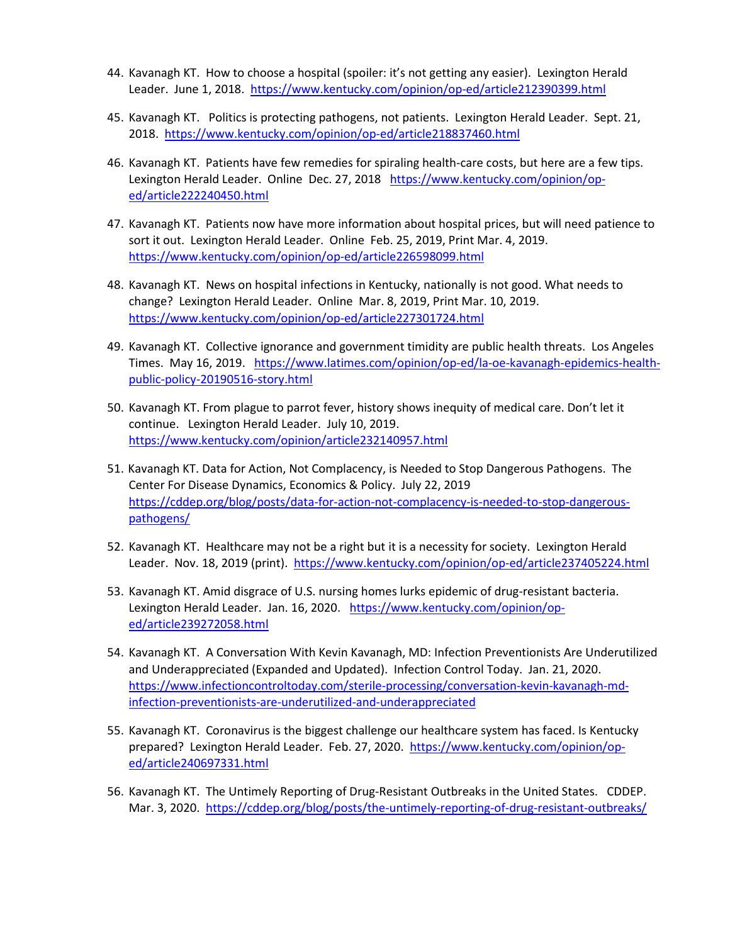- 44. Kavanagh KT. How to choose a hospital (spoiler: it's not getting any easier). Lexington Herald Leader. June 1, 2018. https://www.kentucky.com/opinion/op-ed/article212390399.html
- 45. Kavanagh KT. Politics is protecting pathogens, not patients. Lexington Herald Leader. Sept. 21, 2018. <https://www.kentucky.com/opinion/op-ed/article218837460.html>
- 46. Kavanagh KT. Patients have few remedies for spiraling health-care costs, but here are a few tips. Lexington Herald Leader. Online Dec. 27, 2018 [https://www.kentucky.com/opinion/op](https://www.kentucky.com/opinion/op-ed/article222240450.html)[ed/article222240450.html](https://www.kentucky.com/opinion/op-ed/article222240450.html)
- 47. Kavanagh KT. Patients now have more information about hospital prices, but will need patience to sort it out. Lexington Herald Leader. Online Feb. 25, 2019, Print Mar. 4, 2019. <https://www.kentucky.com/opinion/op-ed/article226598099.html>
- 48. Kavanagh KT. News on hospital infections in Kentucky, nationally is not good. What needs to change? Lexington Herald Leader. Online Mar. 8, 2019, Print Mar. 10, 2019. <https://www.kentucky.com/opinion/op-ed/article227301724.html>
- 49. Kavanagh KT. Collective ignorance and government timidity are public health threats. Los Angeles Times. May 16, 2019. [https://www.latimes.com/opinion/op-ed/la-oe-kavanagh-epidemics-health](https://www.latimes.com/opinion/op-ed/la-oe-kavanagh-epidemics-health-public-policy-20190516-story.html)[public-policy-20190516-story.html](https://www.latimes.com/opinion/op-ed/la-oe-kavanagh-epidemics-health-public-policy-20190516-story.html)
- 50. Kavanagh KT. From plague to parrot fever, history shows inequity of medical care. Don't let it continue. Lexington Herald Leader. July 10, 2019. <https://www.kentucky.com/opinion/article232140957.html>
- 51. Kavanagh KT. Data for Action, Not Complacency, is Needed to Stop Dangerous Pathogens. The Center For Disease Dynamics, Economics & Policy. July 22, 2019 [https://cddep.org/blog/posts/data-for-action-not-complacency-is-needed-to-stop-dangerous](https://cddep.org/blog/posts/data-for-action-not-complacency-is-needed-to-stop-dangerous-pathogens/)[pathogens/](https://cddep.org/blog/posts/data-for-action-not-complacency-is-needed-to-stop-dangerous-pathogens/)
- 52. Kavanagh KT. Healthcare may not be a right but it is a necessity for society. Lexington Herald Leader. Nov. 18, 2019 (print). https://www.kentucky.com/opinion/op-ed/article237405224.html
- 53. Kavanagh KT. Amid disgrace of U.S. nursing homes lurks epidemic of drug-resistant bacteria. Lexington Herald Leader. Jan. 16, 2020. [https://www.kentucky.com/opinion/op](https://www.kentucky.com/opinion/op-ed/article239272058.html)[ed/article239272058.html](https://www.kentucky.com/opinion/op-ed/article239272058.html)
- 54. Kavanagh KT. A Conversation With Kevin Kavanagh, MD: Infection Preventionists Are Underutilized and Underappreciated (Expanded and Updated). Infection Control Today. Jan. 21, 2020. [https://www.infectioncontroltoday.com/sterile-processing/conversation-kevin-kavanagh-md](https://www.infectioncontroltoday.com/sterile-processing/conversation-kevin-kavanagh-md-infection-preventionists-are-underutilized-and-underappreciated)[infection-preventionists-are-underutilized-and-underappreciated](https://www.infectioncontroltoday.com/sterile-processing/conversation-kevin-kavanagh-md-infection-preventionists-are-underutilized-and-underappreciated)
- 55. Kavanagh KT. Coronavirus is the biggest challenge our healthcare system has faced. Is Kentucky prepared? Lexington Herald Leader. Feb. 27, 2020. [https://www.kentucky.com/opinion/op](https://www.kentucky.com/opinion/op-ed/article240697331.html)[ed/article240697331.html](https://www.kentucky.com/opinion/op-ed/article240697331.html)
- 56. Kavanagh KT. The Untimely Reporting of Drug-Resistant Outbreaks in the United States. CDDEP. Mar. 3, 2020.<https://cddep.org/blog/posts/the-untimely-reporting-of-drug-resistant-outbreaks/>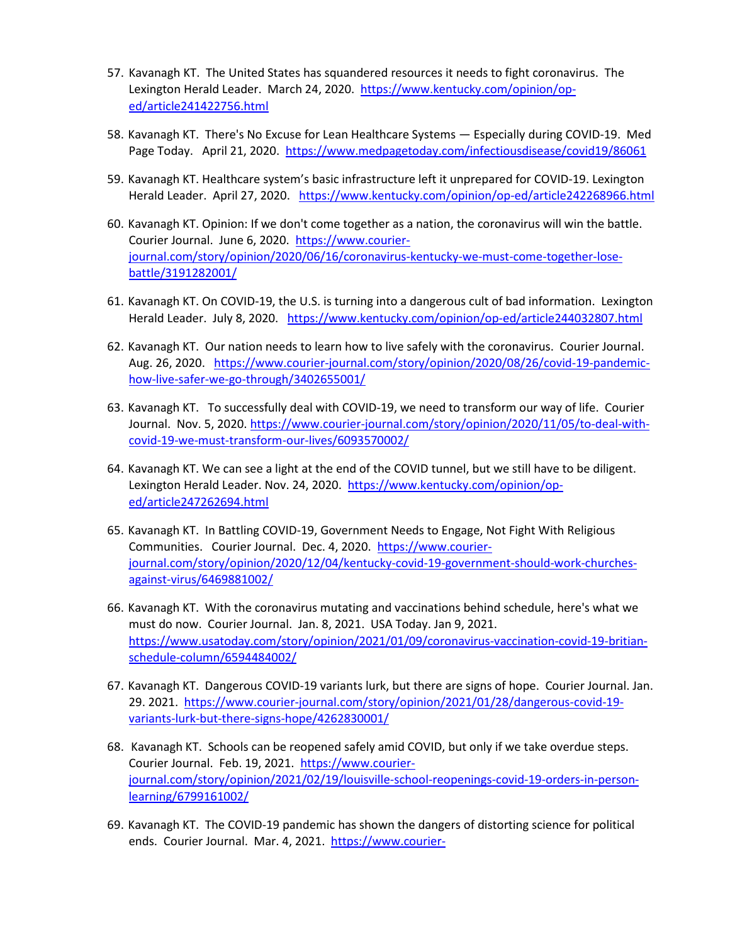- 57. Kavanagh KT. The United States has squandered resources it needs to fight coronavirus. The Lexington Herald Leader. March 24, 2020. [https://www.kentucky.com/opinion/op](https://www.kentucky.com/opinion/op-ed/article241422756.html)[ed/article241422756.html](https://www.kentucky.com/opinion/op-ed/article241422756.html)
- 58. Kavanagh KT. There's No Excuse for Lean Healthcare Systems Especially during COVID-19. Med Page Today. April 21, 2020.<https://www.medpagetoday.com/infectiousdisease/covid19/86061>
- 59. Kavanagh KT. Healthcare system's basic infrastructure left it unprepared for COVID-19. Lexington Herald Leader. April 27, 2020. https://www.kentucky.com/opinion/op-ed/article242268966.html
- 60. Kavanagh KT. Opinion: If we don't come together as a nation, the coronavirus will win the battle. Courier Journal. June 6, 2020. [https://www.courier](https://www.courier-journal.com/story/opinion/2020/06/16/coronavirus-kentucky-we-must-come-together-lose-battle/3191282001/)[journal.com/story/opinion/2020/06/16/coronavirus-kentucky-we-must-come-together-lose](https://www.courier-journal.com/story/opinion/2020/06/16/coronavirus-kentucky-we-must-come-together-lose-battle/3191282001/)[battle/3191282001/](https://www.courier-journal.com/story/opinion/2020/06/16/coronavirus-kentucky-we-must-come-together-lose-battle/3191282001/)
- 61. Kavanagh KT. On COVID-19, the U.S. is turning into a dangerous cult of bad information. Lexington Herald Leader. July 8, 2020. <https://www.kentucky.com/opinion/op-ed/article244032807.html>
- 62. Kavanagh KT. Our nation needs to learn how to live safely with the coronavirus. Courier Journal. Aug. 26, 2020. [https://www.courier-journal.com/story/opinion/2020/08/26/covid-19-pandemic](https://www.courier-journal.com/story/opinion/2020/08/26/covid-19-pandemic-how-live-safer-we-go-through/3402655001/)[how-live-safer-we-go-through/3402655001/](https://www.courier-journal.com/story/opinion/2020/08/26/covid-19-pandemic-how-live-safer-we-go-through/3402655001/)
- 63. Kavanagh KT. To successfully deal with COVID-19, we need to transform our way of life. Courier Journal. Nov. 5, 2020. [https://www.courier-journal.com/story/opinion/2020/11/05/to-deal-with](https://www.courier-journal.com/story/opinion/2020/11/05/to-deal-with-covid-19-we-must-transform-our-lives/6093570002/)[covid-19-we-must-transform-our-lives/6093570002/](https://www.courier-journal.com/story/opinion/2020/11/05/to-deal-with-covid-19-we-must-transform-our-lives/6093570002/)
- 64. Kavanagh KT. We can see a light at the end of the COVID tunnel, but we still have to be diligent. Lexington Herald Leader. Nov. 24, 2020. [https://www.kentucky.com/opinion/op](https://www.kentucky.com/opinion/op-ed/article247262694.html)[ed/article247262694.html](https://www.kentucky.com/opinion/op-ed/article247262694.html)
- 65. Kavanagh KT. In Battling COVID-19, Government Needs to Engage, Not Fight With Religious Communities. Courier Journal. Dec. 4, 2020. [https://www.courier](https://www.courier-journal.com/story/opinion/2020/12/04/kentucky-covid-19-government-should-work-churches-against-virus/6469881002/)[journal.com/story/opinion/2020/12/04/kentucky-covid-19-government-should-work-churches](https://www.courier-journal.com/story/opinion/2020/12/04/kentucky-covid-19-government-should-work-churches-against-virus/6469881002/)[against-virus/6469881002/](https://www.courier-journal.com/story/opinion/2020/12/04/kentucky-covid-19-government-should-work-churches-against-virus/6469881002/)
- 66. Kavanagh KT. With the coronavirus mutating and vaccinations behind schedule, here's what we must do now. Courier Journal. Jan. 8, 2021. USA Today. Jan 9, 2021. [https://www.usatoday.com/story/opinion/2021/01/09/coronavirus-vaccination-covid-19-britian](https://www.usatoday.com/story/opinion/2021/01/09/coronavirus-vaccination-covid-19-britian-schedule-column/6594484002/)[schedule-column/6594484002/](https://www.usatoday.com/story/opinion/2021/01/09/coronavirus-vaccination-covid-19-britian-schedule-column/6594484002/)
- 67. Kavanagh KT. Dangerous COVID-19 variants lurk, but there are signs of hope. Courier Journal. Jan. 29. 2021. [https://www.courier-journal.com/story/opinion/2021/01/28/dangerous-covid-19](https://www.courier-journal.com/story/opinion/2021/01/28/dangerous-covid-19-variants-lurk-but-there-signs-hope/4262830001/) [variants-lurk-but-there-signs-hope/4262830001/](https://www.courier-journal.com/story/opinion/2021/01/28/dangerous-covid-19-variants-lurk-but-there-signs-hope/4262830001/)
- 68. Kavanagh KT. Schools can be reopened safely amid COVID, but only if we take overdue steps. Courier Journal. Feb. 19, 2021. [https://www.courier](https://www.courier-journal.com/story/opinion/2021/02/19/louisville-school-reopenings-covid-19-orders-in-person-learning/6799161002/)[journal.com/story/opinion/2021/02/19/louisville-school-reopenings-covid-19-orders-in-person](https://www.courier-journal.com/story/opinion/2021/02/19/louisville-school-reopenings-covid-19-orders-in-person-learning/6799161002/)[learning/6799161002/](https://www.courier-journal.com/story/opinion/2021/02/19/louisville-school-reopenings-covid-19-orders-in-person-learning/6799161002/)
- 69. Kavanagh KT. The COVID-19 pandemic has shown the dangers of distorting science for political ends. Courier Journal. Mar. 4, 2021. [https://www.courier-](https://www.courier-journal.com/story/opinion/2021/03/04/coronavirus-pandemic-has-taught-us-danger-distorting-science/6905786002/)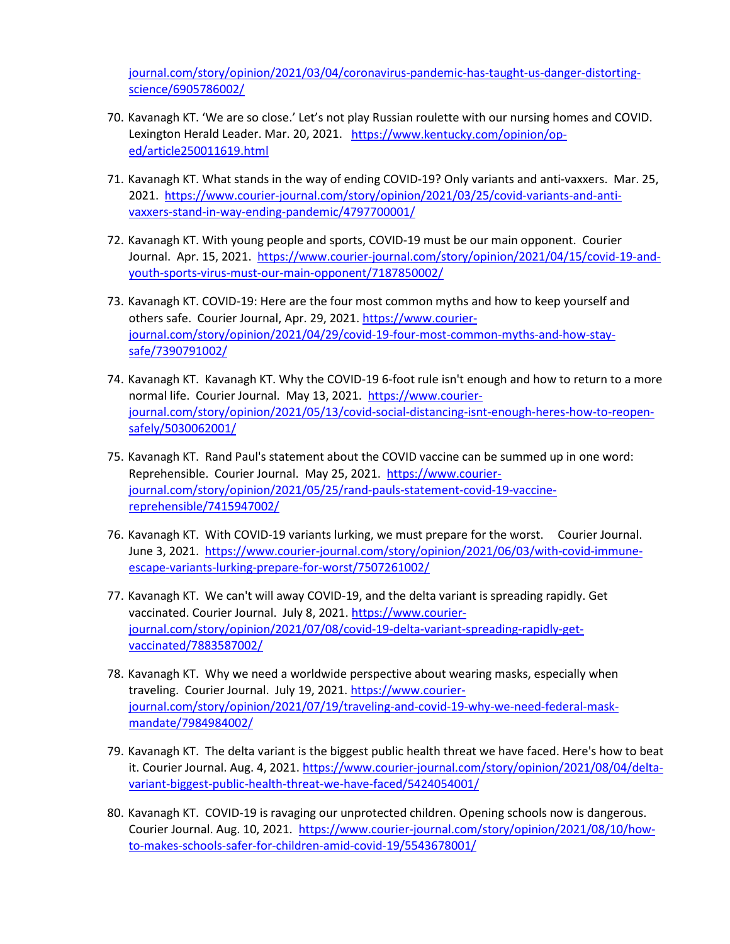[journal.com/story/opinion/2021/03/04/coronavirus-pandemic-has-taught-us-danger-distorting](https://www.courier-journal.com/story/opinion/2021/03/04/coronavirus-pandemic-has-taught-us-danger-distorting-science/6905786002/)[science/6905786002/](https://www.courier-journal.com/story/opinion/2021/03/04/coronavirus-pandemic-has-taught-us-danger-distorting-science/6905786002/) 

- 70. Kavanagh KT. 'We are so close.' Let's not play Russian roulette with our nursing homes and COVID. Lexington Herald Leader. Mar. 20, 2021. [https://www.kentucky.com/opinion/op](https://www.kentucky.com/opinion/op-ed/article250011619.html)[ed/article250011619.html](https://www.kentucky.com/opinion/op-ed/article250011619.html)
- 71. Kavanagh KT. What stands in the way of ending COVID-19? Only variants and anti-vaxxers. Mar. 25, 2021. [https://www.courier-journal.com/story/opinion/2021/03/25/covid-variants-and-anti](https://www.courier-journal.com/story/opinion/2021/03/25/covid-variants-and-anti-vaxxers-stand-in-way-ending-pandemic/4797700001/)[vaxxers-stand-in-way-ending-pandemic/4797700001/](https://www.courier-journal.com/story/opinion/2021/03/25/covid-variants-and-anti-vaxxers-stand-in-way-ending-pandemic/4797700001/)
- 72. Kavanagh KT. With young people and sports, COVID-19 must be our main opponent. Courier Journal. Apr. 15, 2021. [https://www.courier-journal.com/story/opinion/2021/04/15/covid-19-and](https://www.courier-journal.com/story/opinion/2021/04/15/covid-19-and-youth-sports-virus-must-our-main-opponent/7187850002/)[youth-sports-virus-must-our-main-opponent/7187850002/](https://www.courier-journal.com/story/opinion/2021/04/15/covid-19-and-youth-sports-virus-must-our-main-opponent/7187850002/)
- 73. Kavanagh KT. COVID-19: Here are the four most common myths and how to keep yourself and others safe. Courier Journal, Apr. 29, 2021. [https://www.courier](https://www.courier-journal.com/story/opinion/2021/04/29/covid-19-four-most-common-myths-and-how-stay-safe/7390791002/)[journal.com/story/opinion/2021/04/29/covid-19-four-most-common-myths-and-how-stay](https://www.courier-journal.com/story/opinion/2021/04/29/covid-19-four-most-common-myths-and-how-stay-safe/7390791002/)[safe/7390791002/](https://www.courier-journal.com/story/opinion/2021/04/29/covid-19-four-most-common-myths-and-how-stay-safe/7390791002/)
- 74. Kavanagh KT. Kavanagh KT. Why the COVID-19 6-foot rule isn't enough and how to return to a more normal life. Courier Journal. May 13, 2021. [https://www.courier](https://www.courier-journal.com/story/opinion/2021/05/13/covid-social-distancing-isnt-enough-heres-how-to-reopen-safely/5030062001/)[journal.com/story/opinion/2021/05/13/covid-social-distancing-isnt-enough-heres-how-to-reopen](https://www.courier-journal.com/story/opinion/2021/05/13/covid-social-distancing-isnt-enough-heres-how-to-reopen-safely/5030062001/)[safely/5030062001/](https://www.courier-journal.com/story/opinion/2021/05/13/covid-social-distancing-isnt-enough-heres-how-to-reopen-safely/5030062001/)
- 75. Kavanagh KT. Rand Paul's statement about the COVID vaccine can be summed up in one word: Reprehensible. Courier Journal. May 25, 2021. [https://www.courier](https://www.courier-journal.com/story/opinion/2021/05/25/rand-pauls-statement-covid-19-vaccine-reprehensible/7415947002/)[journal.com/story/opinion/2021/05/25/rand-pauls-statement-covid-19-vaccine](https://www.courier-journal.com/story/opinion/2021/05/25/rand-pauls-statement-covid-19-vaccine-reprehensible/7415947002/)[reprehensible/7415947002/](https://www.courier-journal.com/story/opinion/2021/05/25/rand-pauls-statement-covid-19-vaccine-reprehensible/7415947002/)
- 76. Kavanagh KT. With COVID-19 variants lurking, we must prepare for the worst. Courier Journal. June 3, 2021. [https://www.courier-journal.com/story/opinion/2021/06/03/with-covid-immune](https://www.courier-journal.com/story/opinion/2021/06/03/with-covid-immune-escape-variants-lurking-prepare-for-worst/7507261002/)[escape-variants-lurking-prepare-for-worst/7507261002/](https://www.courier-journal.com/story/opinion/2021/06/03/with-covid-immune-escape-variants-lurking-prepare-for-worst/7507261002/)
- 77. Kavanagh KT. We can't will away COVID-19, and the delta variant is spreading rapidly. Get vaccinated. Courier Journal. July 8, 2021. [https://www.courier](https://www.courier-journal.com/story/opinion/2021/07/08/covid-19-delta-variant-spreading-rapidly-get-vaccinated/7883587002/)[journal.com/story/opinion/2021/07/08/covid-19-delta-variant-spreading-rapidly-get](https://www.courier-journal.com/story/opinion/2021/07/08/covid-19-delta-variant-spreading-rapidly-get-vaccinated/7883587002/)[vaccinated/7883587002/](https://www.courier-journal.com/story/opinion/2021/07/08/covid-19-delta-variant-spreading-rapidly-get-vaccinated/7883587002/)
- 78. Kavanagh KT. Why we need a worldwide perspective about wearing masks, especially when traveling. Courier Journal. July 19, 2021. [https://www.courier](https://www.courier-journal.com/story/opinion/2021/07/19/traveling-and-covid-19-why-we-need-federal-mask-mandate/7984984002/)[journal.com/story/opinion/2021/07/19/traveling-and-covid-19-why-we-need-federal-mask](https://www.courier-journal.com/story/opinion/2021/07/19/traveling-and-covid-19-why-we-need-federal-mask-mandate/7984984002/)[mandate/7984984002/](https://www.courier-journal.com/story/opinion/2021/07/19/traveling-and-covid-19-why-we-need-federal-mask-mandate/7984984002/)
- 79. Kavanagh KT. The delta variant is the biggest public health threat we have faced. Here's how to beat it. Courier Journal. Aug. 4, 2021. [https://www.courier-journal.com/story/opinion/2021/08/04/delta](https://www.courier-journal.com/story/opinion/2021/08/04/delta-variant-biggest-public-health-threat-we-have-faced/5424054001/)[variant-biggest-public-health-threat-we-have-faced/5424054001/](https://www.courier-journal.com/story/opinion/2021/08/04/delta-variant-biggest-public-health-threat-we-have-faced/5424054001/)
- 80. Kavanagh KT. COVID-19 is ravaging our unprotected children. Opening schools now is dangerous. Courier Journal. Aug. 10, 2021. [https://www.courier-journal.com/story/opinion/2021/08/10/how](https://www.courier-journal.com/story/opinion/2021/08/10/how-to-makes-schools-safer-for-children-amid-covid-19/5543678001/)[to-makes-schools-safer-for-children-amid-covid-19/5543678001/](https://www.courier-journal.com/story/opinion/2021/08/10/how-to-makes-schools-safer-for-children-amid-covid-19/5543678001/)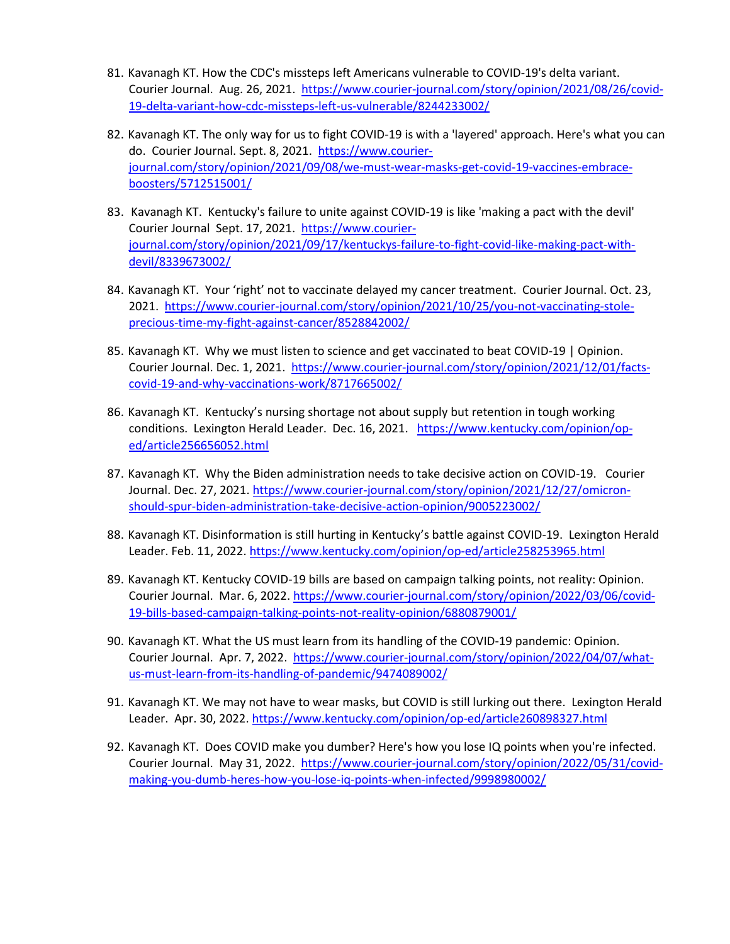- 81. Kavanagh KT. How the CDC's missteps left Americans vulnerable to COVID-19's delta variant. Courier Journal. Aug. 26, 2021. [https://www.courier-journal.com/story/opinion/2021/08/26/covid-](https://www.courier-journal.com/story/opinion/2021/08/26/covid-19-delta-variant-how-cdc-missteps-left-us-vulnerable/8244233002/)[19-delta-variant-how-cdc-missteps-left-us-vulnerable/8244233002/](https://www.courier-journal.com/story/opinion/2021/08/26/covid-19-delta-variant-how-cdc-missteps-left-us-vulnerable/8244233002/)
- 82. Kavanagh KT. The only way for us to fight COVID-19 is with a 'layered' approach. Here's what you can do. Courier Journal. Sept. 8, 2021. [https://www.courier](https://www.courier-journal.com/story/opinion/2021/09/08/we-must-wear-masks-get-covid-19-vaccines-embrace-boosters/5712515001/)[journal.com/story/opinion/2021/09/08/we-must-wear-masks-get-covid-19-vaccines-embrace](https://www.courier-journal.com/story/opinion/2021/09/08/we-must-wear-masks-get-covid-19-vaccines-embrace-boosters/5712515001/)[boosters/5712515001/](https://www.courier-journal.com/story/opinion/2021/09/08/we-must-wear-masks-get-covid-19-vaccines-embrace-boosters/5712515001/)
- 83. Kavanagh KT. Kentucky's failure to unite against COVID-19 is like 'making a pact with the devil' Courier Journal Sept. 17, 2021. [https://www.courier](https://www.courier-journal.com/story/opinion/2021/09/17/kentuckys-failure-to-fight-covid-like-making-pact-with-devil/8339673002/)[journal.com/story/opinion/2021/09/17/kentuckys-failure-to-fight-covid-like-making-pact-with](https://www.courier-journal.com/story/opinion/2021/09/17/kentuckys-failure-to-fight-covid-like-making-pact-with-devil/8339673002/)[devil/8339673002/](https://www.courier-journal.com/story/opinion/2021/09/17/kentuckys-failure-to-fight-covid-like-making-pact-with-devil/8339673002/)
- 84. Kavanagh KT. Your 'right' not to vaccinate delayed my cancer treatment. Courier Journal. Oct. 23, 2021. [https://www.courier-journal.com/story/opinion/2021/10/25/you-not-vaccinating-stole](https://www.courier-journal.com/story/opinion/2021/10/25/you-not-vaccinating-stole-precious-time-my-fight-against-cancer/8528842002/)[precious-time-my-fight-against-cancer/8528842002/](https://www.courier-journal.com/story/opinion/2021/10/25/you-not-vaccinating-stole-precious-time-my-fight-against-cancer/8528842002/)
- 85. Kavanagh KT. Why we must listen to science and get vaccinated to beat COVID-19 | Opinion. Courier Journal. Dec. 1, 2021. [https://www.courier-journal.com/story/opinion/2021/12/01/facts](https://www.courier-journal.com/story/opinion/2021/12/01/facts-covid-19-and-why-vaccinations-work/8717665002/)[covid-19-and-why-vaccinations-work/8717665002/](https://www.courier-journal.com/story/opinion/2021/12/01/facts-covid-19-and-why-vaccinations-work/8717665002/)
- 86. Kavanagh KT. Kentucky's nursing shortage not about supply but retention in tough working conditions. Lexington Herald Leader. Dec. 16, 2021. [https://www.kentucky.com/opinion/op](https://www.kentucky.com/opinion/op-ed/article256656052.html)[ed/article256656052.html](https://www.kentucky.com/opinion/op-ed/article256656052.html)
- 87. Kavanagh KT. Why the Biden administration needs to take decisive action on COVID-19. Courier Journal. Dec. 27, 2021. [https://www.courier-journal.com/story/opinion/2021/12/27/omicron](https://www.courier-journal.com/story/opinion/2021/12/27/omicron-should-spur-biden-administration-take-decisive-action-opinion/9005223002/)[should-spur-biden-administration-take-decisive-action-opinion/9005223002/](https://www.courier-journal.com/story/opinion/2021/12/27/omicron-should-spur-biden-administration-take-decisive-action-opinion/9005223002/)
- 88. Kavanagh KT. Disinformation is still hurting in Kentucky's battle against COVID-19. Lexington Herald Leader. Feb. 11, 2022.<https://www.kentucky.com/opinion/op-ed/article258253965.html>
- 89. Kavanagh KT. Kentucky COVID-19 bills are based on campaign talking points, not reality: Opinion. Courier Journal. Mar. 6, 2022. [https://www.courier-journal.com/story/opinion/2022/03/06/covid-](https://www.courier-journal.com/story/opinion/2022/03/06/covid-19-bills-based-campaign-talking-points-not-reality-opinion/6880879001/)[19-bills-based-campaign-talking-points-not-reality-opinion/6880879001/](https://www.courier-journal.com/story/opinion/2022/03/06/covid-19-bills-based-campaign-talking-points-not-reality-opinion/6880879001/)
- 90. Kavanagh KT. What the US must learn from its handling of the COVID-19 pandemic: Opinion. Courier Journal. Apr. 7, 2022. [https://www.courier-journal.com/story/opinion/2022/04/07/what](https://www.courier-journal.com/story/opinion/2022/04/07/what-us-must-learn-from-its-handling-of-pandemic/9474089002/)[us-must-learn-from-its-handling-of-pandemic/9474089002/](https://www.courier-journal.com/story/opinion/2022/04/07/what-us-must-learn-from-its-handling-of-pandemic/9474089002/)
- 91. Kavanagh KT. We may not have to wear masks, but COVID is still lurking out there. Lexington Herald Leader. Apr. 30, 2022. https://www.kentucky.com/opinion/op-ed/article260898327.html
- 92. Kavanagh KT. Does COVID make you dumber? Here's how you lose IQ points when you're infected. Courier Journal. May 31, 2022. [https://www.courier-journal.com/story/opinion/2022/05/31/covid](https://www.courier-journal.com/story/opinion/2022/05/31/covid-making-you-dumb-heres-how-you-lose-iq-points-when-infected/9998980002/)[making-you-dumb-heres-how-you-lose-iq-points-when-infected/9998980002/](https://www.courier-journal.com/story/opinion/2022/05/31/covid-making-you-dumb-heres-how-you-lose-iq-points-when-infected/9998980002/)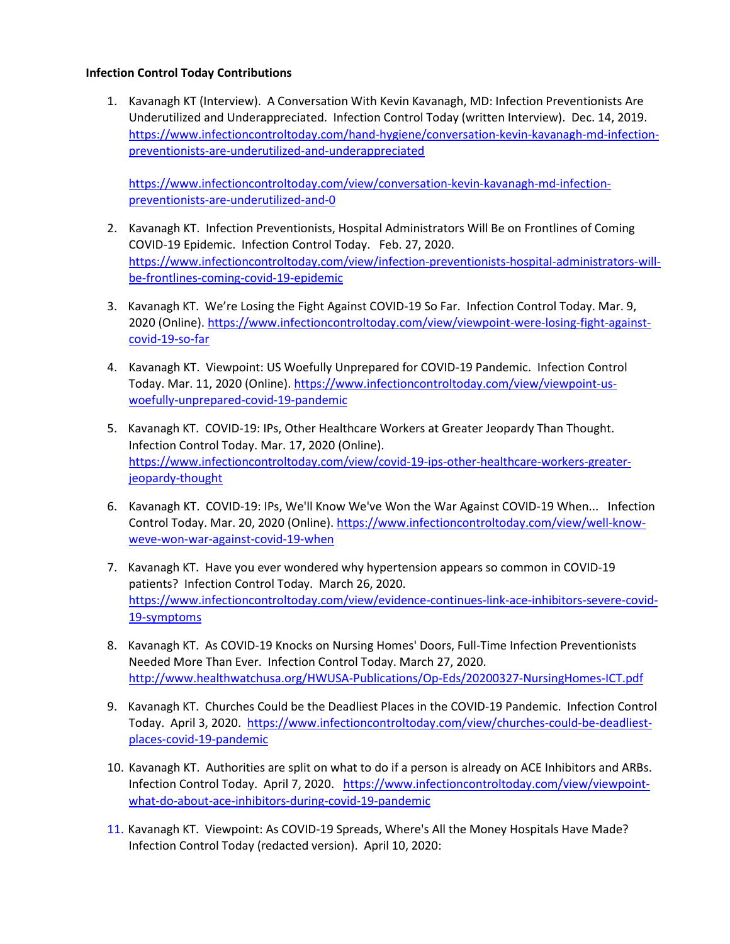#### **Infection Control Today Contributions**

1. Kavanagh KT (Interview). A Conversation With Kevin Kavanagh, MD: Infection Preventionists Are Underutilized and Underappreciated. Infection Control Today (written Interview). Dec. 14, 2019. [https://www.infectioncontroltoday.com/hand-hygiene/conversation-kevin-kavanagh-md-infection](https://www.infectioncontroltoday.com/hand-hygiene/conversation-kevin-kavanagh-md-infection-preventionists-are-underutilized-and-underappreciated)[preventionists-are-underutilized-and-underappreciated](https://www.infectioncontroltoday.com/hand-hygiene/conversation-kevin-kavanagh-md-infection-preventionists-are-underutilized-and-underappreciated)

[https://www.infectioncontroltoday.com/view/conversation-kevin-kavanagh-md-infection](https://www.infectioncontroltoday.com/view/conversation-kevin-kavanagh-md-infection-preventionists-are-underutilized-and-0)[preventionists-are-underutilized-and-0](https://www.infectioncontroltoday.com/view/conversation-kevin-kavanagh-md-infection-preventionists-are-underutilized-and-0) 

- 2. Kavanagh KT. Infection Preventionists, Hospital Administrators Will Be on Frontlines of Coming COVID-19 Epidemic. Infection Control Today. Feb. 27, 2020. [https://www.infectioncontroltoday.com/view/infection-preventionists-hospital-administrators-will](https://www.infectioncontroltoday.com/view/infection-preventionists-hospital-administrators-will-be-frontlines-coming-covid-19-epidemic)[be-frontlines-coming-covid-19-epidemic](https://www.infectioncontroltoday.com/view/infection-preventionists-hospital-administrators-will-be-frontlines-coming-covid-19-epidemic)
- 3. Kavanagh KT. We're Losing the Fight Against COVID-19 So Far. Infection Control Today. Mar. 9, 2020 (Online). [https://www.infectioncontroltoday.com/view/viewpoint-were-losing-fight-against](https://www.infectioncontroltoday.com/view/viewpoint-were-losing-fight-against-covid-19-so-far)[covid-19-so-far](https://www.infectioncontroltoday.com/view/viewpoint-were-losing-fight-against-covid-19-so-far)
- 4. Kavanagh KT. Viewpoint: US Woefully Unprepared for COVID-19 Pandemic. Infection Control Today. Mar. 11, 2020 (Online)[. https://www.infectioncontroltoday.com/view/viewpoint-us](https://www.infectioncontroltoday.com/view/viewpoint-us-woefully-unprepared-covid-19-pandemic)[woefully-unprepared-covid-19-pandemic](https://www.infectioncontroltoday.com/view/viewpoint-us-woefully-unprepared-covid-19-pandemic)
- 5. Kavanagh KT. COVID-19: IPs, Other Healthcare Workers at Greater Jeopardy Than Thought. Infection Control Today. Mar. 17, 2020 (Online). [https://www.infectioncontroltoday.com/view/covid-19-ips-other-healthcare-workers-greater](https://www.infectioncontroltoday.com/view/covid-19-ips-other-healthcare-workers-greater-jeopardy-thought)[jeopardy-thought](https://www.infectioncontroltoday.com/view/covid-19-ips-other-healthcare-workers-greater-jeopardy-thought)
- 6. Kavanagh KT. COVID-19: IPs, We'll Know We've Won the War Against COVID-19 When... Infection Control Today. Mar. 20, 2020 (Online)[. https://www.infectioncontroltoday.com/view/well-know](https://www.infectioncontroltoday.com/view/well-know-weve-won-war-against-covid-19-when)[weve-won-war-against-covid-19-when](https://www.infectioncontroltoday.com/view/well-know-weve-won-war-against-covid-19-when)
- 7. Kavanagh KT. Have you ever wondered why hypertension appears so common in COVID-19 patients? Infection Control Today. March 26, 2020. [https://www.infectioncontroltoday.com/view/evidence-continues-link-ace-inhibitors-severe-covid-](https://www.infectioncontroltoday.com/view/evidence-continues-link-ace-inhibitors-severe-covid-19-symptoms)[19-symptoms](https://www.infectioncontroltoday.com/view/evidence-continues-link-ace-inhibitors-severe-covid-19-symptoms)
- 8. Kavanagh KT. As COVID-19 Knocks on Nursing Homes' Doors, Full-Time Infection Preventionists Needed More Than Ever. Infection Control Today. March 27, 2020. <http://www.healthwatchusa.org/HWUSA-Publications/Op-Eds/20200327-NursingHomes-ICT.pdf>
- 9. Kavanagh KT. Churches Could be the Deadliest Places in the COVID-19 Pandemic. Infection Control Today. April 3, 2020. [https://www.infectioncontroltoday.com/view/churches-could-be-deadliest](https://www.infectioncontroltoday.com/view/churches-could-be-deadliest-places-covid-19-pandemic)[places-covid-19-pandemic](https://www.infectioncontroltoday.com/view/churches-could-be-deadliest-places-covid-19-pandemic)
- 10. Kavanagh KT. Authorities are split on what to do if a person is already on ACE Inhibitors and ARBs. Infection Control Today. April 7, 2020. [https://www.infectioncontroltoday.com/view/viewpoint](https://www.infectioncontroltoday.com/view/viewpoint-what-do-about-ace-inhibitors-during-covid-19-pandemic)[what-do-about-ace-inhibitors-during-covid-19-pandemic](https://www.infectioncontroltoday.com/view/viewpoint-what-do-about-ace-inhibitors-during-covid-19-pandemic)
- 11. Kavanagh KT. Viewpoint: As COVID-19 Spreads, Where's All the Money Hospitals Have Made? Infection Control Today (redacted version). April 10, 2020: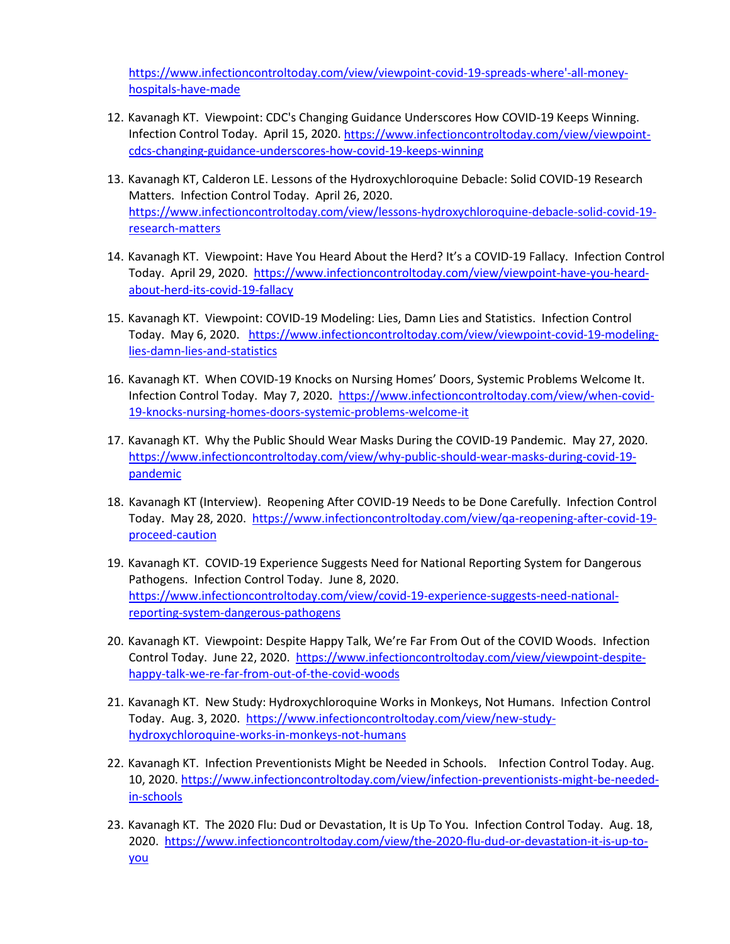[https://www.infectioncontroltoday.com/view/viewpoint-covid-19-spreads-where'-all-money](https://www.infectioncontroltoday.com/view/viewpoint-covid-19-spreads-where)[hospitals-have-made](https://www.infectioncontroltoday.com/view/viewpoint-covid-19-spreads-where)

- 12. Kavanagh KT. Viewpoint: CDC's Changing Guidance Underscores How COVID-19 Keeps Winning. Infection Control Today. April 15, 2020[. https://www.infectioncontroltoday.com/view/viewpoint](https://www.infectioncontroltoday.com/view/viewpoint-cdcs-changing-guidance-underscores-how-covid-19-keeps-winning)[cdcs-changing-guidance-underscores-how-covid-19-keeps-winning](https://www.infectioncontroltoday.com/view/viewpoint-cdcs-changing-guidance-underscores-how-covid-19-keeps-winning)
- 13. Kavanagh KT, Calderon LE. Lessons of the Hydroxychloroquine Debacle: Solid COVID-19 Research Matters. Infection Control Today. April 26, 2020. [https://www.infectioncontroltoday.com/view/lessons-hydroxychloroquine-debacle-solid-covid-19](https://www.infectioncontroltoday.com/view/lessons-hydroxychloroquine-debacle-solid-covid-19-research-matters) [research-matters](https://www.infectioncontroltoday.com/view/lessons-hydroxychloroquine-debacle-solid-covid-19-research-matters)
- 14. Kavanagh KT. Viewpoint: Have You Heard About the Herd? It's a COVID-19 Fallacy. Infection Control Today. April 29, 2020. [https://www.infectioncontroltoday.com/view/viewpoint-have-you-heard](https://www.infectioncontroltoday.com/view/viewpoint-have-you-heard-about-herd-its-covid-19-fallacy)[about-herd-its-covid-19-fallacy](https://www.infectioncontroltoday.com/view/viewpoint-have-you-heard-about-herd-its-covid-19-fallacy)
- 15. Kavanagh KT. Viewpoint: COVID-19 Modeling: Lies, Damn Lies and Statistics. Infection Control Today. May 6, 2020. [https://www.infectioncontroltoday.com/view/viewpoint-covid-19-modeling](https://www.infectioncontroltoday.com/view/viewpoint-covid-19-modeling-lies-damn-lies-and-statistics)[lies-damn-lies-and-statistics](https://www.infectioncontroltoday.com/view/viewpoint-covid-19-modeling-lies-damn-lies-and-statistics)
- 16. Kavanagh KT. When COVID-19 Knocks on Nursing Homes' Doors, Systemic Problems Welcome It. Infection Control Today. May 7, 2020. [https://www.infectioncontroltoday.com/view/when-covid-](https://www.infectioncontroltoday.com/view/when-covid-19-knocks-nursing-homes-doors-systemic-problems-welcome-it)[19-knocks-nursing-homes-doors-systemic-problems-welcome-it](https://www.infectioncontroltoday.com/view/when-covid-19-knocks-nursing-homes-doors-systemic-problems-welcome-it)
- 17. Kavanagh KT. Why the Public Should Wear Masks During the COVID-19 Pandemic. May 27, 2020. [https://www.infectioncontroltoday.com/view/why-public-should-wear-masks-during-covid-19](https://www.infectioncontroltoday.com/view/why-public-should-wear-masks-during-covid-19-pandemic) [pandemic](https://www.infectioncontroltoday.com/view/why-public-should-wear-masks-during-covid-19-pandemic)
- 18. Kavanagh KT (Interview). Reopening After COVID-19 Needs to be Done Carefully. Infection Control Today. May 28, 2020. [https://www.infectioncontroltoday.com/view/qa-reopening-after-covid-19](https://www.infectioncontroltoday.com/view/qa-reopening-after-covid-19-proceed-caution) [proceed-caution](https://www.infectioncontroltoday.com/view/qa-reopening-after-covid-19-proceed-caution)
- 19. Kavanagh KT. COVID-19 Experience Suggests Need for National Reporting System for Dangerous Pathogens. Infection Control Today. June 8, 2020. [https://www.infectioncontroltoday.com/view/covid-19-experience-suggests-need-national](https://www.infectioncontroltoday.com/view/covid-19-experience-suggests-need-national-reporting-system-dangerous-pathogens)[reporting-system-dangerous-pathogens](https://www.infectioncontroltoday.com/view/covid-19-experience-suggests-need-national-reporting-system-dangerous-pathogens)
- 20. Kavanagh KT. Viewpoint: Despite Happy Talk, We're Far From Out of the COVID Woods. Infection Control Today. June 22, 2020. [https://www.infectioncontroltoday.com/view/viewpoint-despite](https://www.infectioncontroltoday.com/view/viewpoint-despite-happy-talk-we-re-far-from-out-of-the-covid-woods)[happy-talk-we-re-far-from-out-of-the-covid-woods](https://www.infectioncontroltoday.com/view/viewpoint-despite-happy-talk-we-re-far-from-out-of-the-covid-woods)
- 21. Kavanagh KT. New Study: Hydroxychloroquine Works in Monkeys, Not Humans. Infection Control Today. Aug. 3, 2020. [https://www.infectioncontroltoday.com/view/new-study](https://www.infectioncontroltoday.com/view/new-study-hydroxychloroquine-works-in-monkeys-not-humans)[hydroxychloroquine-works-in-monkeys-not-humans](https://www.infectioncontroltoday.com/view/new-study-hydroxychloroquine-works-in-monkeys-not-humans)
- 22. Kavanagh KT. Infection Preventionists Might be Needed in Schools. Infection Control Today. Aug. 10, 2020. [https://www.infectioncontroltoday.com/view/infection-preventionists-might-be-needed](https://www.infectioncontroltoday.com/view/infection-preventionists-might-be-needed-in-schools)[in-schools](https://www.infectioncontroltoday.com/view/infection-preventionists-might-be-needed-in-schools)
- 23. Kavanagh KT. The 2020 Flu: Dud or Devastation, It is Up To You. Infection Control Today. Aug. 18, 2020. [https://www.infectioncontroltoday.com/view/the-2020-flu-dud-or-devastation-it-is-up-to](https://www.infectioncontroltoday.com/view/the-2020-flu-dud-or-devastation-it-is-up-to-you)[you](https://www.infectioncontroltoday.com/view/the-2020-flu-dud-or-devastation-it-is-up-to-you)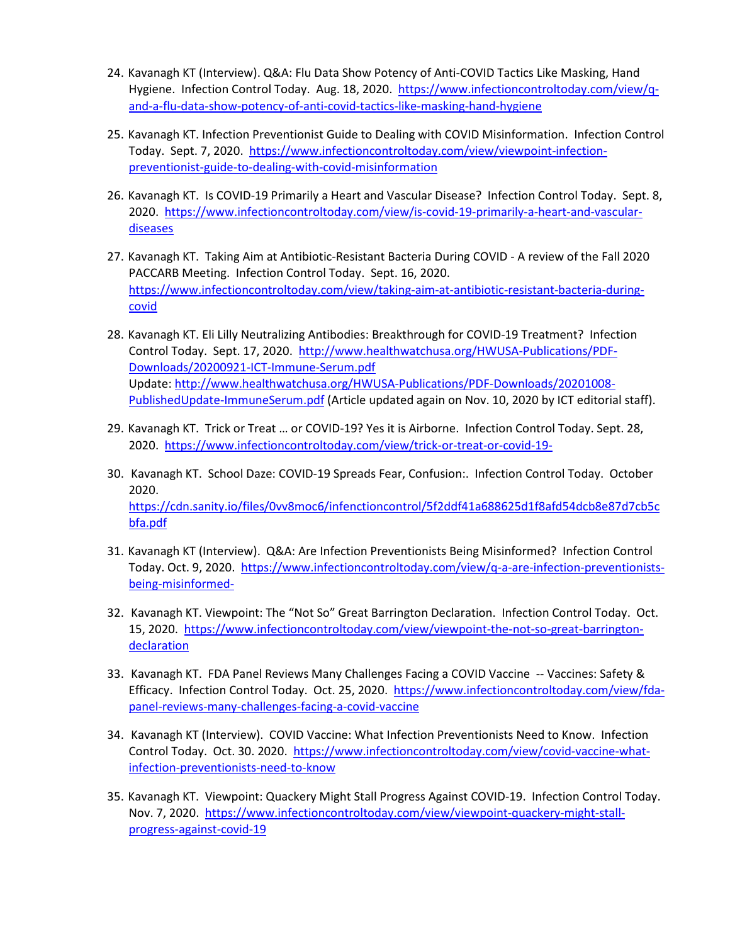- 24. Kavanagh KT (Interview). Q&A: Flu Data Show Potency of Anti-COVID Tactics Like Masking, Hand Hygiene. Infection Control Today. Aug. 18, 2020. [https://www.infectioncontroltoday.com/view/q](https://www.infectioncontroltoday.com/view/q-and-a-flu-data-show-potency-of-anti-covid-tactics-like-masking-hand-hygiene)[and-a-flu-data-show-potency-of-anti-covid-tactics-like-masking-hand-hygiene](https://www.infectioncontroltoday.com/view/q-and-a-flu-data-show-potency-of-anti-covid-tactics-like-masking-hand-hygiene)
- 25. Kavanagh KT. Infection Preventionist Guide to Dealing with COVID Misinformation. Infection Control Today. Sept. 7, 2020. [https://www.infectioncontroltoday.com/view/viewpoint-infection](https://www.infectioncontroltoday.com/view/viewpoint-infection-preventionist-guide-to-dealing-with-covid-misinformation)[preventionist-guide-to-dealing-with-covid-misinformation](https://www.infectioncontroltoday.com/view/viewpoint-infection-preventionist-guide-to-dealing-with-covid-misinformation)
- 26. Kavanagh KT. Is COVID-19 Primarily a Heart and Vascular Disease? Infection Control Today. Sept. 8, 2020. [https://www.infectioncontroltoday.com/view/is-covid-19-primarily-a-heart-and-vascular](https://www.infectioncontroltoday.com/view/is-covid-19-primarily-a-heart-and-vascular-diseases)[diseases](https://www.infectioncontroltoday.com/view/is-covid-19-primarily-a-heart-and-vascular-diseases)
- 27. Kavanagh KT. Taking Aim at Antibiotic-Resistant Bacteria During COVID A review of the Fall 2020 PACCARB Meeting. Infection Control Today. Sept. 16, 2020. [https://www.infectioncontroltoday.com/view/taking-aim-at-antibiotic-resistant-bacteria-during](https://www.infectioncontroltoday.com/view/taking-aim-at-antibiotic-resistant-bacteria-during-covid)[covid](https://www.infectioncontroltoday.com/view/taking-aim-at-antibiotic-resistant-bacteria-during-covid)
- 28. Kavanagh KT. Eli Lilly Neutralizing Antibodies: Breakthrough for COVID-19 Treatment? Infection Control Today. Sept. 17, 2020. [http://www.healthwatchusa.org/HWUSA-Publications/PDF-](http://www.healthwatchusa.org/HWUSA-Publications/PDF-Downloads/20200921-ICT-Immune-Serum.pdf)[Downloads/20200921-ICT-Immune-Serum.pdf](http://www.healthwatchusa.org/HWUSA-Publications/PDF-Downloads/20200921-ICT-Immune-Serum.pdf)  Update[: http://www.healthwatchusa.org/HWUSA-Publications/PDF-Downloads/20201008-](http://www.healthwatchusa.org/HWUSA-Publications/PDF-Downloads/20201008-PublishedUpdate-ImmuneSerum.pdf) [PublishedUpdate-ImmuneSerum.pdf](http://www.healthwatchusa.org/HWUSA-Publications/PDF-Downloads/20201008-PublishedUpdate-ImmuneSerum.pdf) (Article updated again on Nov. 10, 2020 by ICT editorial staff).
- 29. Kavanagh KT. Trick or Treat … or COVID-19? Yes it is Airborne. Infection Control Today. Sept. 28, 2020. <https://www.infectioncontroltoday.com/view/trick-or-treat-or-covid-19->
- 30. Kavanagh KT. School Daze: COVID-19 Spreads Fear, Confusion:. Infection Control Today. October 2020. [https://cdn.sanity.io/files/0vv8moc6/infenctioncontrol/5f2ddf41a688625d1f8afd54dcb8e87d7cb5c](https://cdn.sanity.io/files/0vv8moc6/infenctioncontrol/5f2ddf41a688625d1f8afd54dcb8e87d7cb5cbfa.pdf) [bfa.pdf](https://cdn.sanity.io/files/0vv8moc6/infenctioncontrol/5f2ddf41a688625d1f8afd54dcb8e87d7cb5cbfa.pdf)
- 31. Kavanagh KT (Interview). Q&A: Are Infection Preventionists Being Misinformed? Infection Control Today. Oct. 9, 2020. [https://www.infectioncontroltoday.com/view/q-a-are-infection-preventionists](https://www.infectioncontroltoday.com/view/q-a-are-infection-preventionists-being-misinformed-)[being-misinformed-](https://www.infectioncontroltoday.com/view/q-a-are-infection-preventionists-being-misinformed-)
- 32. Kavanagh KT. Viewpoint: The "Not So" Great Barrington Declaration. Infection Control Today. Oct. 15, 2020. [https://www.infectioncontroltoday.com/view/viewpoint-the-not-so-great-barrington](https://www.infectioncontroltoday.com/view/viewpoint-the-not-so-great-barrington-declaration)[declaration](https://www.infectioncontroltoday.com/view/viewpoint-the-not-so-great-barrington-declaration)
- 33. Kavanagh KT. FDA Panel Reviews Many Challenges Facing a COVID Vaccine -- Vaccines: Safety & Efficacy. Infection Control Today. Oct. 25, 2020.[https://www.infectioncontroltoday.com/view/fda](https://www.infectioncontroltoday.com/view/fda-panel-reviews-many-challenges-facing-a-covid-vaccine)[panel-reviews-many-challenges-facing-a-covid-vaccine](https://www.infectioncontroltoday.com/view/fda-panel-reviews-many-challenges-facing-a-covid-vaccine)
- 34. Kavanagh KT (Interview). COVID Vaccine: What Infection Preventionists Need to Know. Infection Control Today. Oct. 30. 2020. [https://www.infectioncontroltoday.com/view/covid-vaccine-what](https://www.infectioncontroltoday.com/view/covid-vaccine-what-infection-preventionists-need-to-know)[infection-preventionists-need-to-know](https://www.infectioncontroltoday.com/view/covid-vaccine-what-infection-preventionists-need-to-know)
- 35. Kavanagh KT. Viewpoint: Quackery Might Stall Progress Against COVID-19. Infection Control Today. Nov. 7, 2020. [https://www.infectioncontroltoday.com/view/viewpoint-quackery-might-stall](https://www.infectioncontroltoday.com/view/viewpoint-quackery-might-stall-progress-against-covid-19)[progress-against-covid-19](https://www.infectioncontroltoday.com/view/viewpoint-quackery-might-stall-progress-against-covid-19)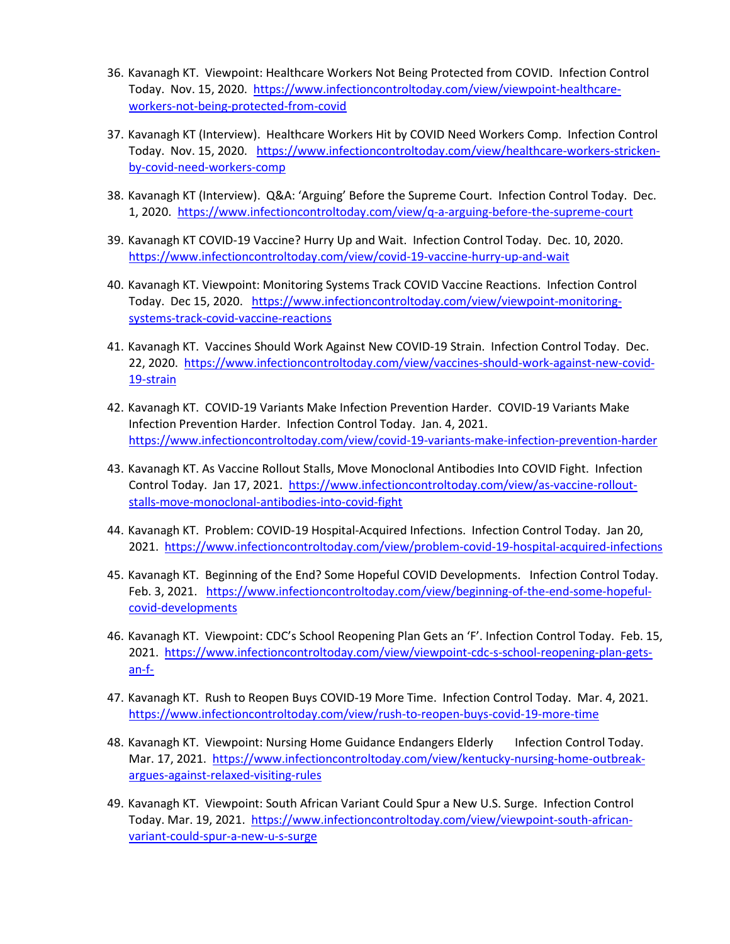- 36. Kavanagh KT. Viewpoint: Healthcare Workers Not Being Protected from COVID. Infection Control Today. Nov. 15, 2020. [https://www.infectioncontroltoday.com/view/viewpoint-healthcare](https://www.infectioncontroltoday.com/view/viewpoint-healthcare-workers-not-being-protected-from-covid)[workers-not-being-protected-from-covid](https://www.infectioncontroltoday.com/view/viewpoint-healthcare-workers-not-being-protected-from-covid)
- 37. Kavanagh KT (Interview). Healthcare Workers Hit by COVID Need Workers Comp. Infection Control Today. Nov. 15, 2020. [https://www.infectioncontroltoday.com/view/healthcare-workers-stricken](https://www.infectioncontroltoday.com/view/healthcare-workers-stricken-by-covid-need-workers-comp)[by-covid-need-workers-comp](https://www.infectioncontroltoday.com/view/healthcare-workers-stricken-by-covid-need-workers-comp)
- 38. Kavanagh KT (Interview). Q&A: 'Arguing' Before the Supreme Court. Infection Control Today. Dec. 1, 2020.<https://www.infectioncontroltoday.com/view/q-a-arguing-before-the-supreme-court>
- 39. Kavanagh KT COVID-19 Vaccine? Hurry Up and Wait. Infection Control Today. Dec. 10, 2020. <https://www.infectioncontroltoday.com/view/covid-19-vaccine-hurry-up-and-wait>
- 40. Kavanagh KT. Viewpoint: Monitoring Systems Track COVID Vaccine Reactions. Infection Control Today. Dec 15, 2020. [https://www.infectioncontroltoday.com/view/viewpoint-monitoring](https://www.infectioncontroltoday.com/view/viewpoint-monitoring-systems-track-covid-vaccine-reactions)[systems-track-covid-vaccine-reactions](https://www.infectioncontroltoday.com/view/viewpoint-monitoring-systems-track-covid-vaccine-reactions)
- 41. Kavanagh KT. Vaccines Should Work Against New COVID-19 Strain. Infection Control Today. Dec. 22, 2020. [https://www.infectioncontroltoday.com/view/vaccines-should-work-against-new-covid-](https://www.infectioncontroltoday.com/view/vaccines-should-work-against-new-covid-19-strain)[19-strain](https://www.infectioncontroltoday.com/view/vaccines-should-work-against-new-covid-19-strain)
- 42. Kavanagh KT. COVID-19 Variants Make Infection Prevention Harder. COVID-19 Variants Make Infection Prevention Harder. Infection Control Today. Jan. 4, 2021. <https://www.infectioncontroltoday.com/view/covid-19-variants-make-infection-prevention-harder>
- 43. Kavanagh KT. As Vaccine Rollout Stalls, Move Monoclonal Antibodies Into COVID Fight. Infection Control Today. Jan 17, 2021. [https://www.infectioncontroltoday.com/view/as-vaccine-rollout](https://www.infectioncontroltoday.com/view/as-vaccine-rollout-stalls-move-monoclonal-antibodies-into-covid-fight)[stalls-move-monoclonal-antibodies-into-covid-fight](https://www.infectioncontroltoday.com/view/as-vaccine-rollout-stalls-move-monoclonal-antibodies-into-covid-fight)
- 44. Kavanagh KT. Problem: COVID-19 Hospital-Acquired Infections. Infection Control Today. Jan 20, 2021. <https://www.infectioncontroltoday.com/view/problem-covid-19-hospital-acquired-infections>
- 45. Kavanagh KT. Beginning of the End? Some Hopeful COVID Developments. Infection Control Today. Feb. 3, 2021. [https://www.infectioncontroltoday.com/view/beginning-of-the-end-some-hopeful](https://www.infectioncontroltoday.com/view/beginning-of-the-end-some-hopeful-covid-developments)[covid-developments](https://www.infectioncontroltoday.com/view/beginning-of-the-end-some-hopeful-covid-developments)
- 46. Kavanagh KT. Viewpoint: CDC's School Reopening Plan Gets an 'F'. Infection Control Today. Feb. 15, 2021. [https://www.infectioncontroltoday.com/view/viewpoint-cdc-s-school-reopening-plan-gets](https://www.infectioncontroltoday.com/view/viewpoint-cdc-s-school-reopening-plan-gets-an-f-)[an-f-](https://www.infectioncontroltoday.com/view/viewpoint-cdc-s-school-reopening-plan-gets-an-f-)
- 47. Kavanagh KT. Rush to Reopen Buys COVID-19 More Time. Infection Control Today. Mar. 4, 2021. <https://www.infectioncontroltoday.com/view/rush-to-reopen-buys-covid-19-more-time>
- 48. Kavanagh KT. Viewpoint: Nursing Home Guidance Endangers Elderly Infection Control Today. Mar. 17, 2021. [https://www.infectioncontroltoday.com/view/kentucky-nursing-home-outbreak](https://www.infectioncontroltoday.com/view/kentucky-nursing-home-outbreak-argues-against-relaxed-visiting-rules)[argues-against-relaxed-visiting-rules](https://www.infectioncontroltoday.com/view/kentucky-nursing-home-outbreak-argues-against-relaxed-visiting-rules)
- 49. Kavanagh KT. Viewpoint: South African Variant Could Spur a New U.S. Surge. Infection Control Today. Mar. 19, 2021. [https://www.infectioncontroltoday.com/view/viewpoint-south-african](https://www.infectioncontroltoday.com/view/viewpoint-south-african-variant-could-spur-a-new-u-s-surge)[variant-could-spur-a-new-u-s-surge](https://www.infectioncontroltoday.com/view/viewpoint-south-african-variant-could-spur-a-new-u-s-surge)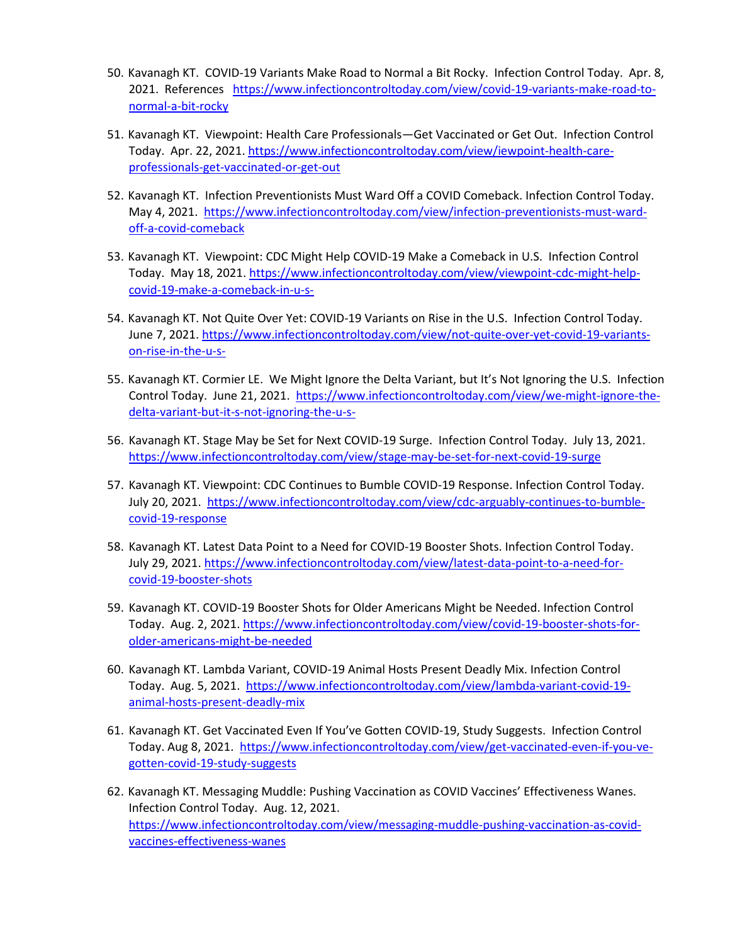- 50. Kavanagh KT. COVID-19 Variants Make Road to Normal a Bit Rocky. Infection Control Today. Apr. 8, 2021. References [https://www.infectioncontroltoday.com/view/covid-19-variants-make-road-to](https://www.infectioncontroltoday.com/view/covid-19-variants-make-road-to-normal-a-bit-rocky)[normal-a-bit-rocky](https://www.infectioncontroltoday.com/view/covid-19-variants-make-road-to-normal-a-bit-rocky)
- 51. Kavanagh KT. Viewpoint: Health Care Professionals—Get Vaccinated or Get Out. Infection Control Today. Apr. 22, 2021. [https://www.infectioncontroltoday.com/view/iewpoint-health-care](https://www.infectioncontroltoday.com/view/iewpoint-health-care-professionals-get-vaccinated-or-get-out)[professionals-get-vaccinated-or-get-out](https://www.infectioncontroltoday.com/view/iewpoint-health-care-professionals-get-vaccinated-or-get-out)
- 52. Kavanagh KT. Infection Preventionists Must Ward Off a COVID Comeback. Infection Control Today. May 4, 2021. [https://www.infectioncontroltoday.com/view/infection-preventionists-must-ward](https://www.infectioncontroltoday.com/view/infection-preventionists-must-ward-off-a-covid-comeback)[off-a-covid-comeback](https://www.infectioncontroltoday.com/view/infection-preventionists-must-ward-off-a-covid-comeback)
- 53. Kavanagh KT. Viewpoint: CDC Might Help COVID-19 Make a Comeback in U.S. Infection Control Today. May 18, 2021. [https://www.infectioncontroltoday.com/view/viewpoint-cdc-might-help](https://www.infectioncontroltoday.com/view/viewpoint-cdc-might-help-covid-19-make-a-comeback-in-u-s-)[covid-19-make-a-comeback-in-u-s-](https://www.infectioncontroltoday.com/view/viewpoint-cdc-might-help-covid-19-make-a-comeback-in-u-s-)
- 54. Kavanagh KT. Not Quite Over Yet: COVID-19 Variants on Rise in the U.S. Infection Control Today. June 7, 2021[. https://www.infectioncontroltoday.com/view/not-quite-over-yet-covid-19-variants](https://www.infectioncontroltoday.com/view/not-quite-over-yet-covid-19-variants-on-rise-in-the-u-s-)[on-rise-in-the-u-s-](https://www.infectioncontroltoday.com/view/not-quite-over-yet-covid-19-variants-on-rise-in-the-u-s-)
- 55. Kavanagh KT. Cormier LE. We Might Ignore the Delta Variant, but It's Not Ignoring the U.S. Infection Control Today. June 21, 2021. [https://www.infectioncontroltoday.com/view/we-might-ignore-the](https://www.infectioncontroltoday.com/view/we-might-ignore-the-delta-variant-but-it-s-not-ignoring-the-u-s-)[delta-variant-but-it-s-not-ignoring-the-u-s-](https://www.infectioncontroltoday.com/view/we-might-ignore-the-delta-variant-but-it-s-not-ignoring-the-u-s-)
- 56. Kavanagh KT. Stage May be Set for Next COVID-19 Surge. Infection Control Today. July 13, 2021. <https://www.infectioncontroltoday.com/view/stage-may-be-set-for-next-covid-19-surge>
- 57. Kavanagh KT. Viewpoint: CDC Continues to Bumble COVID-19 Response. Infection Control Today. July 20, 2021. [https://www.infectioncontroltoday.com/view/cdc-arguably-continues-to-bumble](https://www.infectioncontroltoday.com/view/cdc-arguably-continues-to-bumble-covid-19-response)[covid-19-response](https://www.infectioncontroltoday.com/view/cdc-arguably-continues-to-bumble-covid-19-response)
- 58. Kavanagh KT. Latest Data Point to a Need for COVID-19 Booster Shots. Infection Control Today. July 29, 2021. [https://www.infectioncontroltoday.com/view/latest-data-point-to-a-need-for](https://www.infectioncontroltoday.com/view/latest-data-point-to-a-need-for-covid-19-booster-shots)[covid-19-booster-shots](https://www.infectioncontroltoday.com/view/latest-data-point-to-a-need-for-covid-19-booster-shots)
- 59. Kavanagh KT. COVID-19 Booster Shots for Older Americans Might be Needed. Infection Control Today. Aug. 2, 2021. [https://www.infectioncontroltoday.com/view/covid-19-booster-shots-for](https://www.infectioncontroltoday.com/view/covid-19-booster-shots-for-older-americans-might-be-needed)[older-americans-might-be-needed](https://www.infectioncontroltoday.com/view/covid-19-booster-shots-for-older-americans-might-be-needed)
- 60. Kavanagh KT. Lambda Variant, COVID-19 Animal Hosts Present Deadly Mix. Infection Control Today. Aug. 5, 2021. [https://www.infectioncontroltoday.com/view/lambda-variant-covid-19](https://www.infectioncontroltoday.com/view/lambda-variant-covid-19-animal-hosts-present-deadly-mix) [animal-hosts-present-deadly-mix](https://www.infectioncontroltoday.com/view/lambda-variant-covid-19-animal-hosts-present-deadly-mix)
- 61. Kavanagh KT. Get Vaccinated Even If You've Gotten COVID-19, Study Suggests. Infection Control Today. Aug 8, 2021. [https://www.infectioncontroltoday.com/view/get-vaccinated-even-if-you-ve](https://www.infectioncontroltoday.com/view/get-vaccinated-even-if-you-ve-gotten-covid-19-study-suggests)[gotten-covid-19-study-suggests](https://www.infectioncontroltoday.com/view/get-vaccinated-even-if-you-ve-gotten-covid-19-study-suggests)
- 62. Kavanagh KT. Messaging Muddle: Pushing Vaccination as COVID Vaccines' Effectiveness Wanes. Infection Control Today. Aug. 12, 2021. [https://www.infectioncontroltoday.com/view/messaging-muddle-pushing-vaccination-as-covid](https://www.infectioncontroltoday.com/view/messaging-muddle-pushing-vaccination-as-covid-vaccines-effectiveness-wanes)[vaccines-effectiveness-wanes](https://www.infectioncontroltoday.com/view/messaging-muddle-pushing-vaccination-as-covid-vaccines-effectiveness-wanes)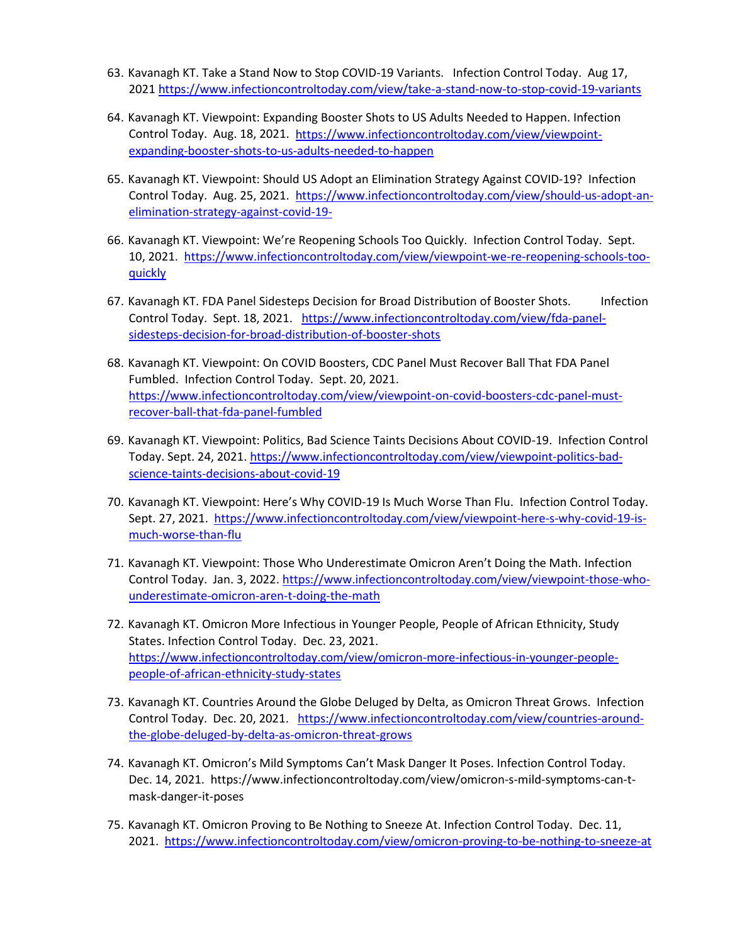- 63. Kavanagh KT. Take a Stand Now to Stop COVID-19 Variants. Infection Control Today. Aug 17, 2021<https://www.infectioncontroltoday.com/view/take-a-stand-now-to-stop-covid-19-variants>
- 64. Kavanagh KT. Viewpoint: Expanding Booster Shots to US Adults Needed to Happen. Infection Control Today. Aug. 18, 2021. [https://www.infectioncontroltoday.com/view/viewpoint](https://www.infectioncontroltoday.com/view/viewpoint-expanding-booster-shots-to-us-adults-needed-to-happen)[expanding-booster-shots-to-us-adults-needed-to-happen](https://www.infectioncontroltoday.com/view/viewpoint-expanding-booster-shots-to-us-adults-needed-to-happen)
- 65. Kavanagh KT. Viewpoint: Should US Adopt an Elimination Strategy Against COVID-19? Infection Control Today. Aug. 25, 2021. [https://www.infectioncontroltoday.com/view/should-us-adopt-an](https://www.infectioncontroltoday.com/view/should-us-adopt-an-elimination-strategy-against-covid-19-)[elimination-strategy-against-covid-19-](https://www.infectioncontroltoday.com/view/should-us-adopt-an-elimination-strategy-against-covid-19-)
- 66. Kavanagh KT. Viewpoint: We're Reopening Schools Too Quickly. Infection Control Today. Sept. 10, 2021. [https://www.infectioncontroltoday.com/view/viewpoint-we-re-reopening-schools-too](https://www.infectioncontroltoday.com/view/viewpoint-we-re-reopening-schools-too-quickly)[quickly](https://www.infectioncontroltoday.com/view/viewpoint-we-re-reopening-schools-too-quickly)
- 67. Kavanagh KT. FDA Panel Sidesteps Decision for Broad Distribution of Booster Shots. Infection Control Today. Sept. 18, 2021. [https://www.infectioncontroltoday.com/view/fda-panel](https://www.infectioncontroltoday.com/view/fda-panel-sidesteps-decision-for-broad-distribution-of-booster-shots)[sidesteps-decision-for-broad-distribution-of-booster-shots](https://www.infectioncontroltoday.com/view/fda-panel-sidesteps-decision-for-broad-distribution-of-booster-shots)
- 68. Kavanagh KT. Viewpoint: On COVID Boosters, CDC Panel Must Recover Ball That FDA Panel Fumbled. Infection Control Today. Sept. 20, 2021. [https://www.infectioncontroltoday.com/view/viewpoint-on-covid-boosters-cdc-panel-must](https://www.infectioncontroltoday.com/view/viewpoint-on-covid-boosters-cdc-panel-must-recover-ball-that-fda-panel-fumbled)[recover-ball-that-fda-panel-fumbled](https://www.infectioncontroltoday.com/view/viewpoint-on-covid-boosters-cdc-panel-must-recover-ball-that-fda-panel-fumbled)
- 69. Kavanagh KT. Viewpoint: Politics, Bad Science Taints Decisions About COVID-19. Infection Control Today. Sept. 24, 2021[. https://www.infectioncontroltoday.com/view/viewpoint-politics-bad](https://www.infectioncontroltoday.com/view/viewpoint-politics-bad-science-taints-decisions-about-covid-19)[science-taints-decisions-about-covid-19](https://www.infectioncontroltoday.com/view/viewpoint-politics-bad-science-taints-decisions-about-covid-19)
- 70. Kavanagh KT. Viewpoint: Here's Why COVID-19 Is Much Worse Than Flu. Infection Control Today. Sept. 27, 2021. [https://www.infectioncontroltoday.com/view/viewpoint-here-s-why-covid-19-is](https://www.infectioncontroltoday.com/view/viewpoint-here-s-why-covid-19-is-much-worse-than-flu)[much-worse-than-flu](https://www.infectioncontroltoday.com/view/viewpoint-here-s-why-covid-19-is-much-worse-than-flu)
- 71. Kavanagh KT. Viewpoint: Those Who Underestimate Omicron Aren't Doing the Math. Infection Control Today. Jan. 3, 2022. [https://www.infectioncontroltoday.com/view/viewpoint-those-who](https://www.infectioncontroltoday.com/view/viewpoint-those-who-underestimate-omicron-aren-t-doing-the-math)[underestimate-omicron-aren-t-doing-the-math](https://www.infectioncontroltoday.com/view/viewpoint-those-who-underestimate-omicron-aren-t-doing-the-math)
- 72. Kavanagh KT. Omicron More Infectious in Younger People, People of African Ethnicity, Study States. Infection Control Today. Dec. 23, 2021. [https://www.infectioncontroltoday.com/view/omicron-more-infectious-in-younger-people](https://www.infectioncontroltoday.com/view/omicron-more-infectious-in-younger-people-people-of-african-ethnicity-study-states)[people-of-african-ethnicity-study-states](https://www.infectioncontroltoday.com/view/omicron-more-infectious-in-younger-people-people-of-african-ethnicity-study-states)
- 73. Kavanagh KT. Countries Around the Globe Deluged by Delta, as Omicron Threat Grows. Infection Control Today. Dec. 20, 2021. [https://www.infectioncontroltoday.com/view/countries-around](https://www.infectioncontroltoday.com/view/countries-around-the-globe-deluged-by-delta-as-omicron-threat-grows)[the-globe-deluged-by-delta-as-omicron-threat-grows](https://www.infectioncontroltoday.com/view/countries-around-the-globe-deluged-by-delta-as-omicron-threat-grows)
- 74. Kavanagh KT. Omicron's Mild Symptoms Can't Mask Danger It Poses. Infection Control Today. Dec. 14, 2021. https://www.infectioncontroltoday.com/view/omicron-s-mild-symptoms-can-tmask-danger-it-poses
- 75. Kavanagh KT. Omicron Proving to Be Nothing to Sneeze At. Infection Control Today. Dec. 11, 2021. <https://www.infectioncontroltoday.com/view/omicron-proving-to-be-nothing-to-sneeze-at>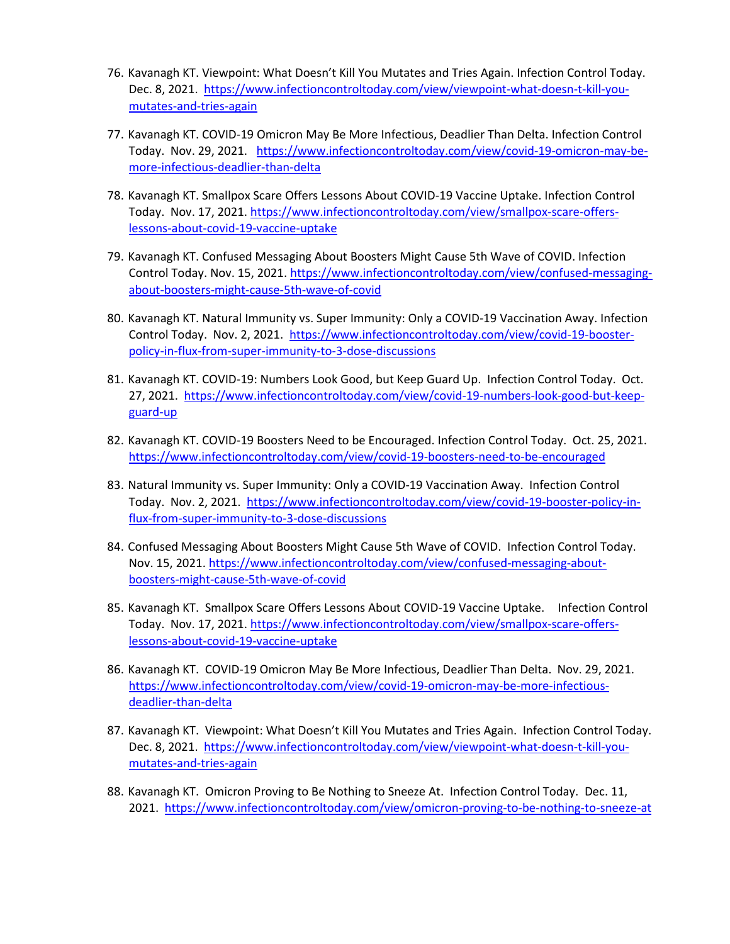- 76. Kavanagh KT. Viewpoint: What Doesn't Kill You Mutates and Tries Again. Infection Control Today. Dec. 8, 2021. [https://www.infectioncontroltoday.com/view/viewpoint-what-doesn-t-kill-you](https://www.infectioncontroltoday.com/view/viewpoint-what-doesn-t-kill-you-mutates-and-tries-again)[mutates-and-tries-again](https://www.infectioncontroltoday.com/view/viewpoint-what-doesn-t-kill-you-mutates-and-tries-again)
- 77. Kavanagh KT. COVID-19 Omicron May Be More Infectious, Deadlier Than Delta. Infection Control Today. Nov. 29, 2021. [https://www.infectioncontroltoday.com/view/covid-19-omicron-may-be](https://www.infectioncontroltoday.com/view/covid-19-omicron-may-be-more-infectious-deadlier-than-delta)[more-infectious-deadlier-than-delta](https://www.infectioncontroltoday.com/view/covid-19-omicron-may-be-more-infectious-deadlier-than-delta)
- 78. Kavanagh KT. Smallpox Scare Offers Lessons About COVID-19 Vaccine Uptake. Infection Control Today. Nov. 17, 2021. [https://www.infectioncontroltoday.com/view/smallpox-scare-offers](https://www.infectioncontroltoday.com/view/smallpox-scare-offers-lessons-about-covid-19-vaccine-uptake)[lessons-about-covid-19-vaccine-uptake](https://www.infectioncontroltoday.com/view/smallpox-scare-offers-lessons-about-covid-19-vaccine-uptake)
- 79. Kavanagh KT. Confused Messaging About Boosters Might Cause 5th Wave of COVID. Infection Control Today. Nov. 15, 2021. [https://www.infectioncontroltoday.com/view/confused-messaging](https://www.infectioncontroltoday.com/view/confused-messaging-about-boosters-might-cause-5th-wave-of-covid)[about-boosters-might-cause-5th-wave-of-covid](https://www.infectioncontroltoday.com/view/confused-messaging-about-boosters-might-cause-5th-wave-of-covid)
- 80. Kavanagh KT. Natural Immunity vs. Super Immunity: Only a COVID-19 Vaccination Away. Infection Control Today. Nov. 2, 2021. [https://www.infectioncontroltoday.com/view/covid-19-booster](https://www.infectioncontroltoday.com/view/covid-19-booster-policy-in-flux-from-super-immunity-to-3-dose-discussions)[policy-in-flux-from-super-immunity-to-3-dose-discussions](https://www.infectioncontroltoday.com/view/covid-19-booster-policy-in-flux-from-super-immunity-to-3-dose-discussions)
- 81. Kavanagh KT. COVID-19: Numbers Look Good, but Keep Guard Up. Infection Control Today. Oct. 27, 2021. [https://www.infectioncontroltoday.com/view/covid-19-numbers-look-good-but-keep](https://www.infectioncontroltoday.com/view/covid-19-numbers-look-good-but-keep-guard-up)[guard-up](https://www.infectioncontroltoday.com/view/covid-19-numbers-look-good-but-keep-guard-up)
- 82. Kavanagh KT. COVID-19 Boosters Need to be Encouraged. Infection Control Today. Oct. 25, 2021. <https://www.infectioncontroltoday.com/view/covid-19-boosters-need-to-be-encouraged>
- 83. Natural Immunity vs. Super Immunity: Only a COVID-19 Vaccination Away. Infection Control Today. Nov. 2, 2021. [https://www.infectioncontroltoday.com/view/covid-19-booster-policy-in](https://www.infectioncontroltoday.com/view/covid-19-booster-policy-in-flux-from-super-immunity-to-3-dose-discussions)[flux-from-super-immunity-to-3-dose-discussions](https://www.infectioncontroltoday.com/view/covid-19-booster-policy-in-flux-from-super-immunity-to-3-dose-discussions)
- 84. Confused Messaging About Boosters Might Cause 5th Wave of COVID. Infection Control Today. Nov. 15, 2021. [https://www.infectioncontroltoday.com/view/confused-messaging-about](https://www.infectioncontroltoday.com/view/confused-messaging-about-boosters-might-cause-5th-wave-of-covid)[boosters-might-cause-5th-wave-of-covid](https://www.infectioncontroltoday.com/view/confused-messaging-about-boosters-might-cause-5th-wave-of-covid)
- 85. Kavanagh KT. Smallpox Scare Offers Lessons About COVID-19 Vaccine Uptake. Infection Control Today. Nov. 17, 2021. [https://www.infectioncontroltoday.com/view/smallpox-scare-offers](https://www.infectioncontroltoday.com/view/smallpox-scare-offers-lessons-about-covid-19-vaccine-uptake)[lessons-about-covid-19-vaccine-uptake](https://www.infectioncontroltoday.com/view/smallpox-scare-offers-lessons-about-covid-19-vaccine-uptake)
- 86. Kavanagh KT. COVID-19 Omicron May Be More Infectious, Deadlier Than Delta. Nov. 29, 2021. [https://www.infectioncontroltoday.com/view/covid-19-omicron-may-be-more-infectious](https://www.infectioncontroltoday.com/view/covid-19-omicron-may-be-more-infectious-deadlier-than-delta)[deadlier-than-delta](https://www.infectioncontroltoday.com/view/covid-19-omicron-may-be-more-infectious-deadlier-than-delta)
- 87. Kavanagh KT. Viewpoint: What Doesn't Kill You Mutates and Tries Again. Infection Control Today. Dec. 8, 2021. [https://www.infectioncontroltoday.com/view/viewpoint-what-doesn-t-kill-you](https://www.infectioncontroltoday.com/view/viewpoint-what-doesn-t-kill-you-mutates-and-tries-again)[mutates-and-tries-again](https://www.infectioncontroltoday.com/view/viewpoint-what-doesn-t-kill-you-mutates-and-tries-again)
- 88. Kavanagh KT. Omicron Proving to Be Nothing to Sneeze At. Infection Control Today. Dec. 11, 2021. <https://www.infectioncontroltoday.com/view/omicron-proving-to-be-nothing-to-sneeze-at>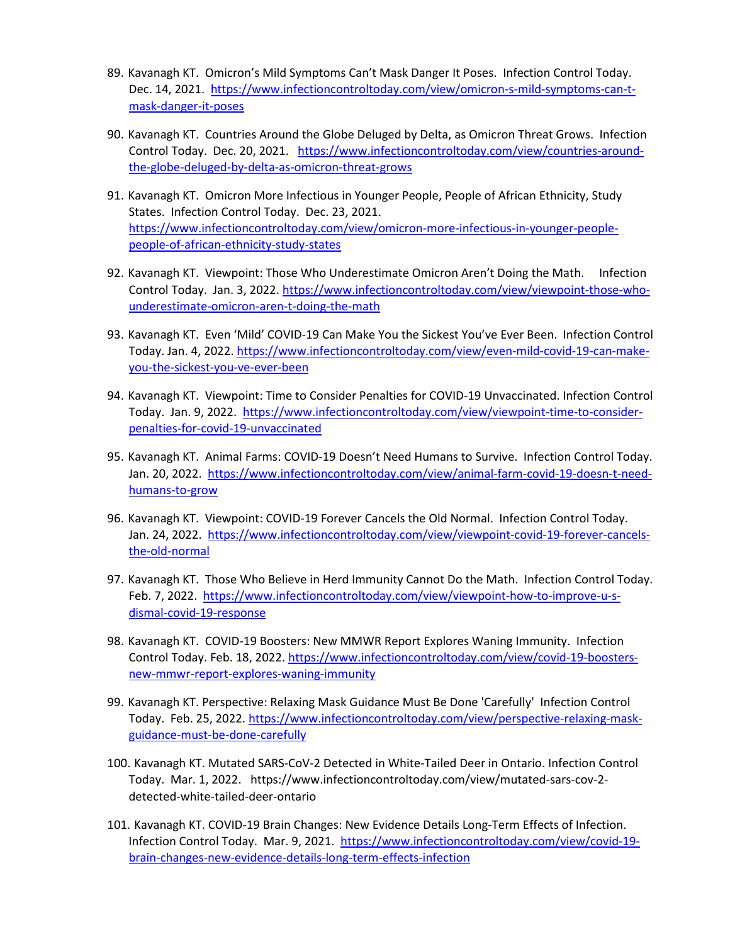- 89. Kavanagh KT. Omicron's Mild Symptoms Can't Mask Danger It Poses. Infection Control Today. Dec. 14, 2021. [https://www.infectioncontroltoday.com/view/omicron-s-mild-symptoms-can-t](https://www.infectioncontroltoday.com/view/omicron-s-mild-symptoms-can-t-mask-danger-it-poses)[mask-danger-it-poses](https://www.infectioncontroltoday.com/view/omicron-s-mild-symptoms-can-t-mask-danger-it-poses)
- 90. Kavanagh KT. Countries Around the Globe Deluged by Delta, as Omicron Threat Grows. Infection Control Today. Dec. 20, 2021. [https://www.infectioncontroltoday.com/view/countries-around](https://www.infectioncontroltoday.com/view/countries-around-the-globe-deluged-by-delta-as-omicron-threat-grows)[the-globe-deluged-by-delta-as-omicron-threat-grows](https://www.infectioncontroltoday.com/view/countries-around-the-globe-deluged-by-delta-as-omicron-threat-grows)
- 91. Kavanagh KT. Omicron More Infectious in Younger People, People of African Ethnicity, Study States. Infection Control Today. Dec. 23, 2021. [https://www.infectioncontroltoday.com/view/omicron-more-infectious-in-younger-people](https://www.infectioncontroltoday.com/view/omicron-more-infectious-in-younger-people-people-of-african-ethnicity-study-states)[people-of-african-ethnicity-study-states](https://www.infectioncontroltoday.com/view/omicron-more-infectious-in-younger-people-people-of-african-ethnicity-study-states)
- 92. Kavanagh KT. Viewpoint: Those Who Underestimate Omicron Aren't Doing the Math. Infection Control Today. Jan. 3, 2022. [https://www.infectioncontroltoday.com/view/viewpoint-those-who](https://www.infectioncontroltoday.com/view/viewpoint-those-who-underestimate-omicron-aren-t-doing-the-math)[underestimate-omicron-aren-t-doing-the-math](https://www.infectioncontroltoday.com/view/viewpoint-those-who-underestimate-omicron-aren-t-doing-the-math)
- 93. Kavanagh KT. Even 'Mild' COVID-19 Can Make You the Sickest You've Ever Been. Infection Control Today. Jan. 4, 2022[. https://www.infectioncontroltoday.com/view/even-mild-covid-19-can-make](https://www.infectioncontroltoday.com/view/even-mild-covid-19-can-make-you-the-sickest-you-ve-ever-been)[you-the-sickest-you-ve-ever-been](https://www.infectioncontroltoday.com/view/even-mild-covid-19-can-make-you-the-sickest-you-ve-ever-been)
- 94. Kavanagh KT. Viewpoint: Time to Consider Penalties for COVID-19 Unvaccinated. Infection Control Today. Jan. 9, 2022. [https://www.infectioncontroltoday.com/view/viewpoint-time-to-consider](https://www.infectioncontroltoday.com/view/viewpoint-time-to-consider-penalties-for-covid-19-unvaccinated)[penalties-for-covid-19-unvaccinated](https://www.infectioncontroltoday.com/view/viewpoint-time-to-consider-penalties-for-covid-19-unvaccinated)
- 95. Kavanagh KT. Animal Farms: COVID-19 Doesn't Need Humans to Survive. Infection Control Today. Jan. 20, 2022. [https://www.infectioncontroltoday.com/view/animal-farm-covid-19-doesn-t-need](https://www.infectioncontroltoday.com/view/animal-farm-covid-19-doesn-t-need-humans-to-grow)[humans-to-grow](https://www.infectioncontroltoday.com/view/animal-farm-covid-19-doesn-t-need-humans-to-grow)
- 96. Kavanagh KT. Viewpoint: COVID-19 Forever Cancels the Old Normal. Infection Control Today. Jan. 24, 2022. [https://www.infectioncontroltoday.com/view/viewpoint-covid-19-forever-cancels](https://www.infectioncontroltoday.com/view/viewpoint-covid-19-forever-cancels-the-old-normal)[the-old-normal](https://www.infectioncontroltoday.com/view/viewpoint-covid-19-forever-cancels-the-old-normal)
- 97. Kavanagh KT. Those Who Believe in Herd Immunity Cannot Do the Math. Infection Control Today. Feb. 7, 2022. [https://www.infectioncontroltoday.com/view/viewpoint-how-to-improve-u-s](https://www.infectioncontroltoday.com/view/viewpoint-how-to-improve-u-s-dismal-covid-19-response)[dismal-covid-19-response](https://www.infectioncontroltoday.com/view/viewpoint-how-to-improve-u-s-dismal-covid-19-response)
- 98. Kavanagh KT. COVID-19 Boosters: New MMWR Report Explores Waning Immunity. Infection Control Today. Feb. 18, 2022[. https://www.infectioncontroltoday.com/view/covid-19-boosters](https://www.infectioncontroltoday.com/view/covid-19-boosters-new-mmwr-report-explores-waning-immunity)[new-mmwr-report-explores-waning-immunity](https://www.infectioncontroltoday.com/view/covid-19-boosters-new-mmwr-report-explores-waning-immunity)
- 99. Kavanagh KT. Perspective: Relaxing Mask Guidance Must Be Done 'Carefully' Infection Control Today. Feb. 25, 2022[. https://www.infectioncontroltoday.com/view/perspective-relaxing-mask](https://www.infectioncontroltoday.com/view/perspective-relaxing-mask-guidance-must-be-done-carefully)[guidance-must-be-done-carefully](https://www.infectioncontroltoday.com/view/perspective-relaxing-mask-guidance-must-be-done-carefully)
- 100. Kavanagh KT. Mutated SARS-CoV-2 Detected in White-Tailed Deer in Ontario. Infection Control Today. Mar. 1, 2022. https://www.infectioncontroltoday.com/view/mutated-sars-cov-2 detected-white-tailed-deer-ontario
- 101. Kavanagh KT. COVID-19 Brain Changes: New Evidence Details Long-Term Effects of Infection. Infection Control Today. Mar. 9, 2021. [https://www.infectioncontroltoday.com/view/covid-19](https://www.infectioncontroltoday.com/view/covid-19-brain-changes-new-evidence-details-long-term-effects-infection) [brain-changes-new-evidence-details-long-term-effects-infection](https://www.infectioncontroltoday.com/view/covid-19-brain-changes-new-evidence-details-long-term-effects-infection)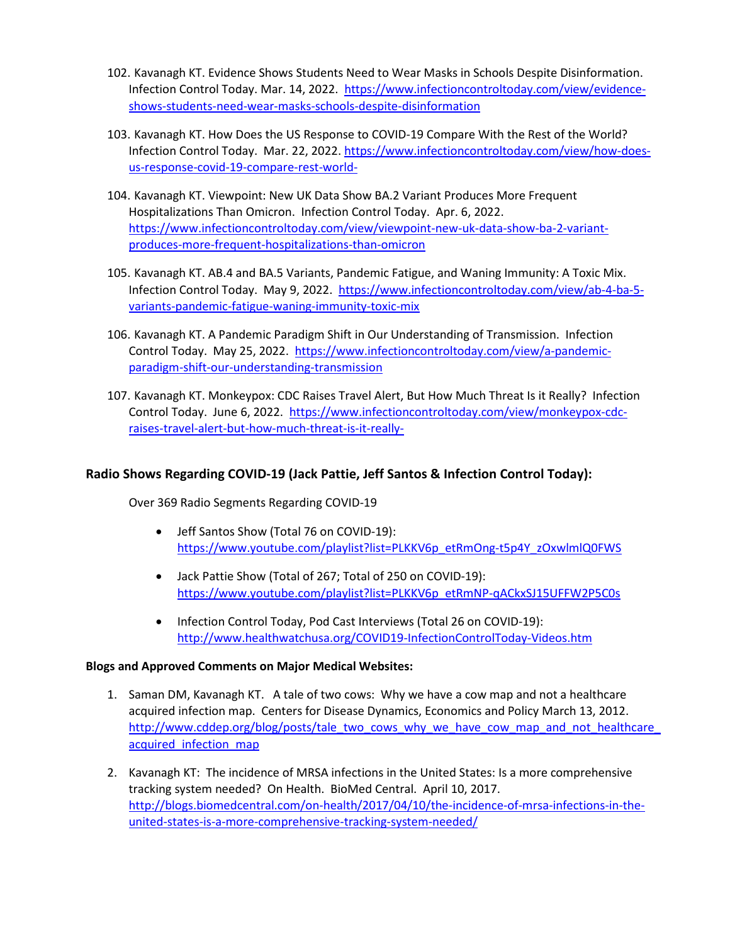- 102. Kavanagh KT. Evidence Shows Students Need to Wear Masks in Schools Despite Disinformation. Infection Control Today. Mar. 14, 2022. [https://www.infectioncontroltoday.com/view/evidence](https://www.infectioncontroltoday.com/view/evidence-shows-students-need-wear-masks-schools-despite-disinformation)[shows-students-need-wear-masks-schools-despite-disinformation](https://www.infectioncontroltoday.com/view/evidence-shows-students-need-wear-masks-schools-despite-disinformation)
- 103. Kavanagh KT. How Does the US Response to COVID-19 Compare With the Rest of the World? Infection Control Today. Mar. 22, 2022[. https://www.infectioncontroltoday.com/view/how-does](https://www.infectioncontroltoday.com/view/how-does-us-response-covid-19-compare-rest-world-)[us-response-covid-19-compare-rest-world-](https://www.infectioncontroltoday.com/view/how-does-us-response-covid-19-compare-rest-world-)
- 104. Kavanagh KT. Viewpoint: New UK Data Show BA.2 Variant Produces More Frequent Hospitalizations Than Omicron. Infection Control Today. Apr. 6, 2022. [https://www.infectioncontroltoday.com/view/viewpoint-new-uk-data-show-ba-2-variant](https://www.infectioncontroltoday.com/view/viewpoint-new-uk-data-show-ba-2-variant-produces-more-frequent-hospitalizations-than-omicron)[produces-more-frequent-hospitalizations-than-omicron](https://www.infectioncontroltoday.com/view/viewpoint-new-uk-data-show-ba-2-variant-produces-more-frequent-hospitalizations-than-omicron)
- 105. Kavanagh KT. AB.4 and BA.5 Variants, Pandemic Fatigue, and Waning Immunity: A Toxic Mix. Infection Control Today. May 9, 2022. [https://www.infectioncontroltoday.com/view/ab-4-ba-5](https://www.infectioncontroltoday.com/view/ab-4-ba-5-variants-pandemic-fatigue-waning-immunity-toxic-mix) [variants-pandemic-fatigue-waning-immunity-toxic-mix](https://www.infectioncontroltoday.com/view/ab-4-ba-5-variants-pandemic-fatigue-waning-immunity-toxic-mix)
- 106. Kavanagh KT. A Pandemic Paradigm Shift in Our Understanding of Transmission. Infection Control Today. May 25, 2022. [https://www.infectioncontroltoday.com/view/a-pandemic](https://www.infectioncontroltoday.com/view/a-pandemic-paradigm-shift-our-understanding-transmission)[paradigm-shift-our-understanding-transmission](https://www.infectioncontroltoday.com/view/a-pandemic-paradigm-shift-our-understanding-transmission)
- 107. Kavanagh KT. Monkeypox: CDC Raises Travel Alert, But How Much Threat Is it Really? Infection Control Today. June 6, 2022. [https://www.infectioncontroltoday.com/view/monkeypox-cdc](https://www.infectioncontroltoday.com/view/monkeypox-cdc-raises-travel-alert-but-how-much-threat-is-it-really-)[raises-travel-alert-but-how-much-threat-is-it-really-](https://www.infectioncontroltoday.com/view/monkeypox-cdc-raises-travel-alert-but-how-much-threat-is-it-really-)

# **Radio Shows Regarding COVID-19 (Jack Pattie, Jeff Santos & Infection Control Today):**

Over 369 Radio Segments Regarding COVID-19

- Jeff Santos Show (Total 76 on COVID-19): [https://www.youtube.com/playlist?list=PLKKV6p\\_etRmOng-t5p4Y\\_zOxwlmlQ0FWS](https://www.youtube.com/playlist?list=PLKKV6p_etRmOng-t5p4Y_zOxwlmlQ0FWS)
- Jack Pattie Show (Total of 267; Total of 250 on COVID-19): [https://www.youtube.com/playlist?list=PLKKV6p\\_etRmNP-qACkxSJ15UFFW2P5C0s](https://www.youtube.com/playlist?list=PLKKV6p_etRmNP-qACkxSJ15UFFW2P5C0s)
- Infection Control Today, Pod Cast Interviews (Total 26 on COVID-19): <http://www.healthwatchusa.org/COVID19-InfectionControlToday-Videos.htm>

#### **Blogs and Approved Comments on Major Medical Websites:**

- 1. Saman DM, Kavanagh KT. A tale of two cows: Why we have a cow map and not a healthcare acquired infection map. Centers for Disease Dynamics, Economics and Policy March 13, 2012. [http://www.cddep.org/blog/posts/tale\\_two\\_cows\\_why\\_we\\_have\\_cow\\_map\\_and\\_not\\_healthcare\\_](http://www.cddep.org/blog/posts/tale_two_cows_why_we_have_cow_map_and_not_healthcare_acquired_infection_map) acquired infection map
- 2. Kavanagh KT: The incidence of MRSA infections in the United States: Is a more comprehensive tracking system needed? On Health. BioMed Central. April 10, 2017. [http://blogs.biomedcentral.com/on-health/2017/04/10/the-incidence-of-mrsa-infections-in-the](http://blogs.biomedcentral.com/on-health/2017/04/10/the-incidence-of-mrsa-infections-in-the-united-states-is-a-more-comprehensive-tracking-system-needed/)[united-states-is-a-more-comprehensive-tracking-system-needed/](http://blogs.biomedcentral.com/on-health/2017/04/10/the-incidence-of-mrsa-infections-in-the-united-states-is-a-more-comprehensive-tracking-system-needed/)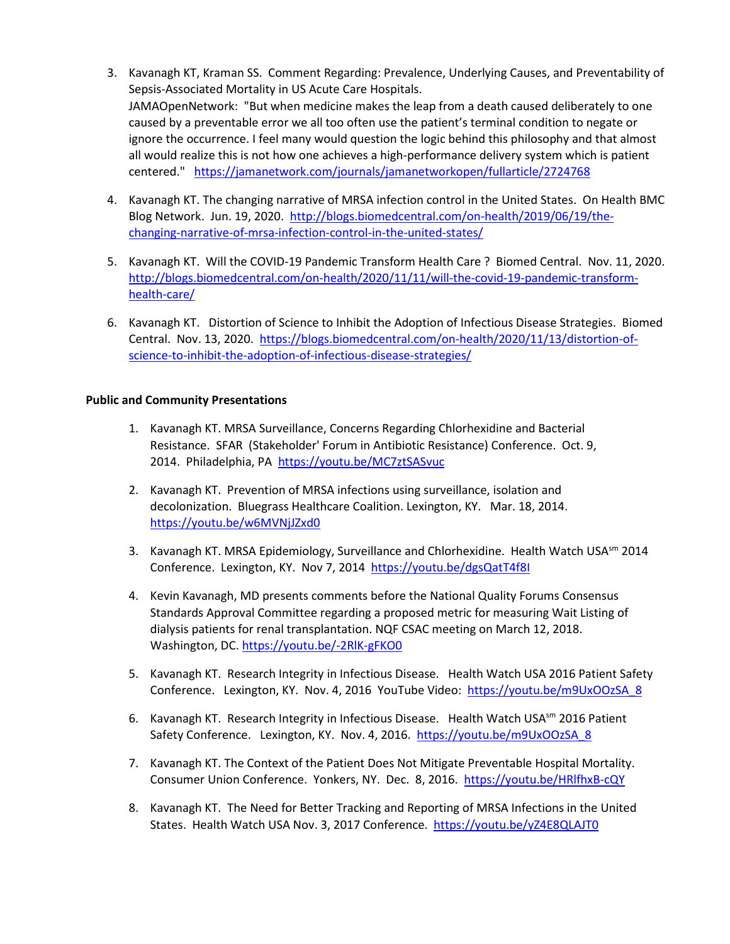- 3. Kavanagh KT, Kraman SS. Comment Regarding: Prevalence, Underlying Causes, and Preventability of Sepsis-Associated Mortality in US Acute Care Hospitals. JAMAOpenNetwork: "But when medicine makes the leap from a death caused deliberately to one caused by a preventable error we all too often use the patient's terminal condition to negate or ignore the occurrence. I feel many would question the logic behind this philosophy and that almost all would realize this is not how one achieves a high-performance delivery system which is patient centered." <https://jamanetwork.com/journals/jamanetworkopen/fullarticle/2724768>
- 4. Kavanagh KT. The changing narrative of MRSA infection control in the United States. On Health BMC Blog Network. Jun. 19, 2020. [http://blogs.biomedcentral.com/on-health/2019/06/19/the](http://blogs.biomedcentral.com/on-health/2019/06/19/the-changing-narrative-of-mrsa-infection-control-in-the-united-states/)[changing-narrative-of-mrsa-infection-control-in-the-united-states/](http://blogs.biomedcentral.com/on-health/2019/06/19/the-changing-narrative-of-mrsa-infection-control-in-the-united-states/)
- 5. Kavanagh KT. Will the COVID-19 Pandemic Transform Health Care ? Biomed Central. Nov. 11, 2020. [http://blogs.biomedcentral.com/on-health/2020/11/11/will-the-covid-19-pandemic-transform](http://blogs.biomedcentral.com/on-health/2020/11/11/will-the-covid-19-pandemic-transform-health-care/)[health-care/](http://blogs.biomedcentral.com/on-health/2020/11/11/will-the-covid-19-pandemic-transform-health-care/)
- 6. Kavanagh KT. Distortion of Science to Inhibit the Adoption of Infectious Disease Strategies. Biomed Central. Nov. 13, 2020. [https://blogs.biomedcentral.com/on-health/2020/11/13/distortion-of](https://blogs.biomedcentral.com/on-health/2020/11/13/distortion-of-science-to-inhibit-the-adoption-of-infectious-disease-strategies/)[science-to-inhibit-the-adoption-of-infectious-disease-strategies/](https://blogs.biomedcentral.com/on-health/2020/11/13/distortion-of-science-to-inhibit-the-adoption-of-infectious-disease-strategies/)

#### **Public and Community Presentations**

- 1. Kavanagh KT. MRSA Surveillance, Concerns Regarding Chlorhexidine and Bacterial Resistance. SFAR (Stakeholder' Forum in Antibiotic Resistance) Conference. Oct. 9, 2014. Philadelphia, PA <https://youtu.be/MC7ztSASvuc>
- 2. Kavanagh KT. Prevention of MRSA infections using surveillance, isolation and decolonization. Bluegrass Healthcare Coalition. Lexington, KY. Mar. 18, 2014. <https://youtu.be/w6MVNjJZxd0>
- 3. Kavanagh KT. MRSA Epidemiology, Surveillance and Chlorhexidine. Health Watch USA<sup>sm</sup> 2014 Conference. Lexington, KY. Nov 7, 2014 <https://youtu.be/dgsQatT4f8I>
- 4. Kevin Kavanagh, MD presents comments before the National Quality Forums Consensus Standards Approval Committee regarding a proposed metric for measuring Wait Listing of dialysis patients for renal transplantation. NQF CSAC meeting on March 12, 2018. Washington, DC.<https://youtu.be/-2RlK-gFKO0>
- 5. Kavanagh KT. Research Integrity in Infectious Disease. Health Watch USA 2016 Patient Safety Conference. Lexington, KY. Nov. 4, 2016 YouTube Video: https://youtu.be/m9UxOOzSA\_8
- 6. Kavanagh KT. Research Integrity in Infectious Disease. Health Watch USA<sup>sm</sup> 2016 Patient Safety Conference. Lexington, KY. Nov. 4, 2016. https://youtu.be/m9UxOOzSA\_8
- 7. Kavanagh KT. The Context of the Patient Does Not Mitigate Preventable Hospital Mortality. Consumer Union Conference. Yonkers, NY. Dec. 8, 2016. https://youtu.be/HRlfhxB-cQY
- 8. Kavanagh KT. The Need for Better Tracking and Reporting of MRSA Infections in the United States. Health Watch USA Nov. 3, 2017 Conference. <https://youtu.be/yZ4E8QLAJT0>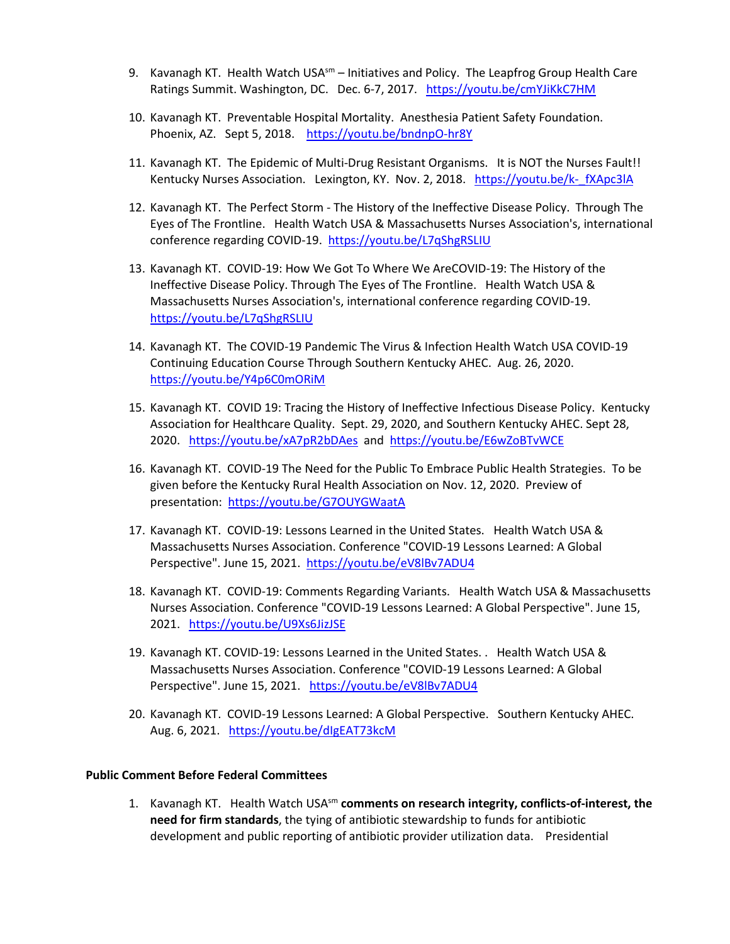- 9. Kavanagh KT. Health Watch USA $^{5m}$  Initiatives and Policy. The Leapfrog Group Health Care Ratings Summit. Washington, DC. Dec. 6-7, 2017. https://youtu.be/cmYJiKkC7HM
- 10. Kavanagh KT. Preventable Hospital Mortality. Anesthesia Patient Safety Foundation. Phoenix, AZ. Sept 5, 2018. <https://youtu.be/bndnpO-hr8Y>
- 11. Kavanagh KT. The Epidemic of Multi-Drug Resistant Organisms. It is NOT the Nurses Fault!! Kentucky Nurses Association. Lexington, KY. Nov. 2, 2018. https://youtu.be/k-fXApc3lA
- 12. Kavanagh KT. The Perfect Storm The History of the Ineffective Disease Policy. Through The Eyes of The Frontline. Health Watch USA & Massachusetts Nurses Association's, international conference regarding COVID-19. https://youtu.be/L7qShgRSLIU
- 13. Kavanagh KT. COVID-19: How We Got To Where We AreCOVID-19: The History of the Ineffective Disease Policy. Through The Eyes of The Frontline. Health Watch USA & Massachusetts Nurses Association's, international conference regarding COVID-19. <https://youtu.be/L7qShgRSLIU>
- 14. Kavanagh KT. The COVID-19 Pandemic The Virus & Infection Health Watch USA COVID-19 Continuing Education Course Through Southern Kentucky AHEC. Aug. 26, 2020. <https://youtu.be/Y4p6C0mORiM>
- 15. Kavanagh KT. COVID 19: Tracing the History of Ineffective Infectious Disease Policy. Kentucky Association for Healthcare Quality. Sept. 29, 2020, and Southern Kentucky AHEC. Sept 28, 2020. <https://youtu.be/xA7pR2bDAes>and <https://youtu.be/E6wZoBTvWCE>
- 16. Kavanagh KT. COVID-19 The Need for the Public To Embrace Public Health Strategies. To be given before the Kentucky Rural Health Association on Nov. 12, 2020. Preview of presentation: <https://youtu.be/G7OUYGWaatA>
- 17. Kavanagh KT. COVID-19: Lessons Learned in the United States. Health Watch USA & Massachusetts Nurses Association. Conference "COVID-19 Lessons Learned: A Global Perspective". June 15, 2021. https://youtu.be/eV8lBv7ADU4
- 18. Kavanagh KT. COVID-19: Comments Regarding Variants. Health Watch USA & Massachusetts Nurses Association. Conference "COVID-19 Lessons Learned: A Global Perspective". June 15, 2021. <https://youtu.be/U9Xs6JizJSE>
- 19. Kavanagh KT. COVID-19: Lessons Learned in the United States. . Health Watch USA & Massachusetts Nurses Association. Conference "COVID-19 Lessons Learned: A Global Perspective". June 15, 2021. <https://youtu.be/eV8lBv7ADU4>
- 20. Kavanagh KT. COVID-19 Lessons Learned: A Global Perspective. Southern Kentucky AHEC. Aug. 6, 2021. <https://youtu.be/dIgEAT73kcM>

#### **Public Comment Before Federal Committees**

1. Kavanagh KT. Health Watch USAsm **comments on research integrity, conflicts-of-interest, the need for firm standards**, the tying of antibiotic stewardship to funds for antibiotic development and public reporting of antibiotic provider utilization data. Presidential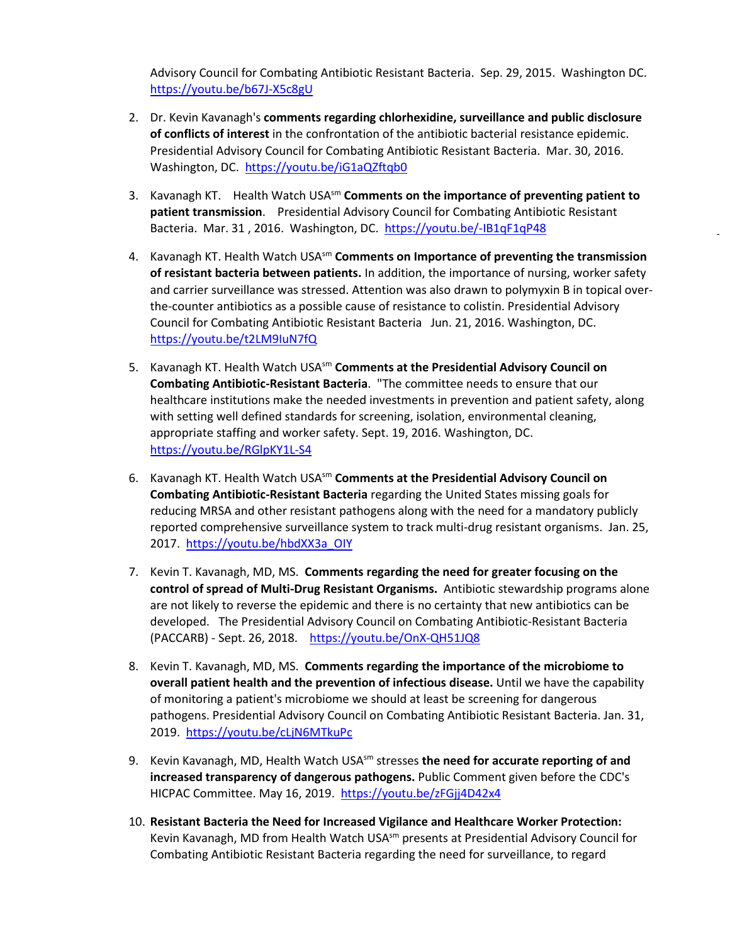Advisory Council for Combating Antibiotic Resistant Bacteria. Sep. 29, 2015. Washington DC. <https://youtu.be/b67J-X5c8gU>

- 2. Dr. Kevin Kavanagh's **comments regarding chlorhexidine, surveillance and public disclosure of conflicts of interest** in the confrontation of the antibiotic bacterial resistance epidemic. Presidential Advisory Council for Combating Antibiotic Resistant Bacteria. Mar. 30, 2016. Washington, DC.<https://youtu.be/iG1aQZftqb0>
- 3. Kavanagh KT. Health Watch USAsm **Comments on the importance of preventing patient to patient transmission**. Presidential Advisory Council for Combating Antibiotic Resistant Bacteria. Mar. 31 , 2016. Washington, DC.<https://youtu.be/-IB1qF1qP48>
- 4. Kavanagh KT. Health Watch USAsm **Comments on Importance of preventing the transmission of resistant bacteria between patients.** In addition, the importance of nursing, worker safety and carrier surveillance was stressed. Attention was also drawn to polymyxin B in topical overthe-counter antibiotics as a possible cause of resistance to colistin. Presidential Advisory Council for Combating Antibiotic Resistant Bacteria Jun. 21, 2016. Washington, DC. <https://youtu.be/t2LM9IuN7fQ>
- 5. Kavanagh KT. Health Watch USA<sup>sm</sup> Comments at the Presidential Advisory Council on **Combating Antibiotic-Resistant Bacteria**. "The committee needs to ensure that our healthcare institutions make the needed investments in prevention and patient safety, along with setting well defined standards for screening, isolation, environmental cleaning, appropriate staffing and worker safety. Sept. 19, 2016. Washington, DC. <https://youtu.be/RGlpKY1L-S4>
- 6. Kavanagh KT. Health Watch USAsm **Comments at the Presidential Advisory Council on Combating Antibiotic-Resistant Bacteria** regarding the United States missing goals for reducing MRSA and other resistant pathogens along with the need for a mandatory publicly reported comprehensive surveillance system to track multi-drug resistant organisms. Jan. 25, 2017. https://youtu.be/hbdXX3a\_OIY
- 7. Kevin T. Kavanagh, MD, MS. **Comments regarding the need for greater focusing on the control of spread of Multi-Drug Resistant Organisms.** Antibiotic stewardship programs alone are not likely to reverse the epidemic and there is no certainty that new antibiotics can be developed. The Presidential Advisory Council on Combating Antibiotic-Resistant Bacteria (PACCARB) - Sept. 26, 2018. <https://youtu.be/OnX-QH51JQ8>
- 8. Kevin T. Kavanagh, MD, MS. **Comments regarding the importance of the microbiome to overall patient health and the prevention of infectious disease.** Until we have the capability of monitoring a patient's microbiome we should at least be screening for dangerous pathogens. Presidential Advisory Council on Combating Antibiotic Resistant Bacteria. Jan. 31, 2019. <https://youtu.be/cLjN6MTkuPc>
- 9. Kevin Kavanagh, MD, Health Watch USA<sup>sm</sup> stresses the need for accurate reporting of and **increased transparency of dangerous pathogens.** Public Comment given before the CDC's HICPAC Committee. May 16, 2019. <https://youtu.be/zFGjj4D42x4>
- 10. **Resistant Bacteria the Need for Increased Vigilance and Healthcare Worker Protection:** Kevin Kavanagh, MD from Health Watch USA<sup>sm</sup> presents at Presidential Advisory Council for Combating Antibiotic Resistant Bacteria regarding the need for surveillance, to regard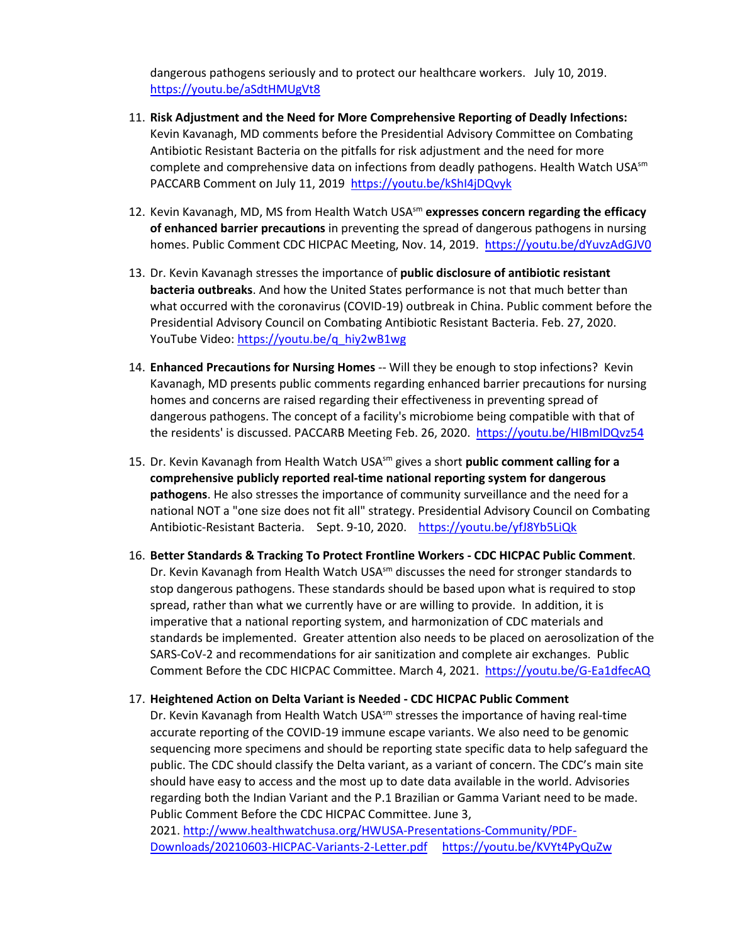dangerous pathogens seriously and to protect our healthcare workers. July 10, 2019. <https://youtu.be/aSdtHMUgVt8>

- 11. **Risk Adjustment and the Need for More Comprehensive Reporting of Deadly Infections:** Kevin Kavanagh, MD comments before the Presidential Advisory Committee on Combating Antibiotic Resistant Bacteria on the pitfalls for risk adjustment and the need for more complete and comprehensive data on infections from deadly pathogens. Health Watch USA $\text{sm}$ PACCARB Comment on July 11, 2019 https://youtu.be/kShI4jDQvyk
- 12. Kevin Kavanagh, MD, MS from Health Watch USA<sup>sm</sup> expresses concern regarding the efficacy **of enhanced barrier precautions** in preventing the spread of dangerous pathogens in nursing homes. Public Comment CDC HICPAC Meeting, Nov. 14, 2019.<https://youtu.be/dYuvzAdGJV0>
- 13. Dr. Kevin Kavanagh stresses the importance of **public disclosure of antibiotic resistant bacteria outbreaks**. And how the United States performance is not that much better than what occurred with the coronavirus (COVID-19) outbreak in China. Public comment before the Presidential Advisory Council on Combating Antibiotic Resistant Bacteria. Feb. 27, 2020. YouTube Video: [https://youtu.be/q\\_hiy2wB1wg](https://youtu.be/q_hiy2wB1wg)
- 14. **Enhanced Precautions for Nursing Homes** -- Will they be enough to stop infections? Kevin Kavanagh, MD presents public comments regarding enhanced barrier precautions for nursing homes and concerns are raised regarding their effectiveness in preventing spread of dangerous pathogens. The concept of a facility's microbiome being compatible with that of the residents' is discussed. PACCARB Meeting Feb. 26, 2020.<https://youtu.be/HIBmlDQvz54>
- 15. Dr. Kevin Kavanagh from Health Watch USAsm gives a short **public comment calling for a comprehensive publicly reported real-time national reporting system for dangerous pathogens**. He also stresses the importance of community surveillance and the need for a national NOT a "one size does not fit all" strategy. Presidential Advisory Council on Combating Antibiotic-Resistant Bacteria. Sept. 9-10, 2020. <https://youtu.be/yfJ8Yb5LiQk>
- 16. **Better Standards & Tracking To Protect Frontline Workers CDC HICPAC Public Comment**. Dr. Kevin Kavanagh from Health Watch USA $^{5m}$  discusses the need for stronger standards to stop dangerous pathogens. These standards should be based upon what is required to stop spread, rather than what we currently have or are willing to provide. In addition, it is imperative that a national reporting system, and harmonization of CDC materials and standards be implemented. Greater attention also needs to be placed on aerosolization of the SARS-CoV-2 and recommendations for air sanitization and complete air exchanges. Public Comment Before the CDC HICPAC Committee. March 4, 2021. <https://youtu.be/G-Ea1dfecAQ>

#### 17. **Heightened Action on Delta Variant is Needed - CDC HICPAC Public Comment**

Dr. Kevin Kavanagh from Health Watch USA $\text{sm}$  stresses the importance of having real-time accurate reporting of the COVID-19 immune escape variants. We also need to be genomic sequencing more specimens and should be reporting state specific data to help safeguard the public. The CDC should classify the Delta variant, as a variant of concern. The CDC's main site should have easy to access and the most up to date data available in the world. Advisories regarding both the Indian Variant and the P.1 Brazilian or Gamma Variant need to be made. Public Comment Before the CDC HICPAC Committee. June 3,

2021. [http://www.healthwatchusa.org/HWUSA-Presentations-Community/PDF-](http://www.healthwatchusa.org/HWUSA-Presentations-Community/PDF-Downloads/20210603-HICPAC-Variants-2-Letter.pdf)[Downloads/20210603-HICPAC-Variants-2-Letter.pdf](http://www.healthwatchusa.org/HWUSA-Presentations-Community/PDF-Downloads/20210603-HICPAC-Variants-2-Letter.pdf) <https://youtu.be/KVYt4PyQuZw>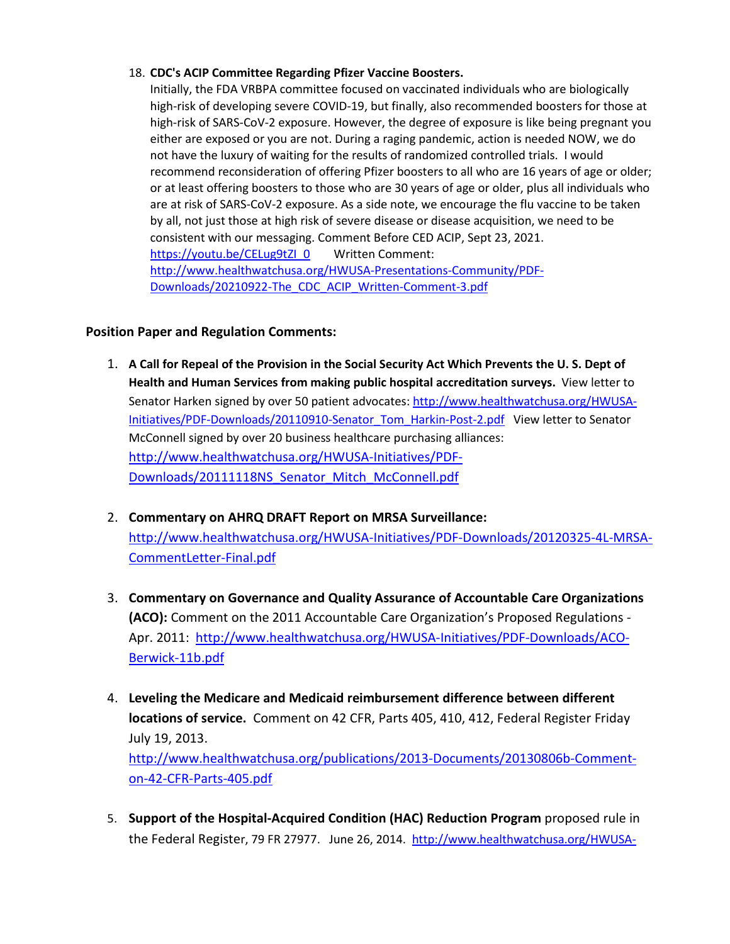## 18. **CDC's ACIP Committee Regarding Pfizer Vaccine Boosters.**

Initially, the FDA VRBPA committee focused on vaccinated individuals who are biologically high-risk of developing severe COVID-19, but finally, also recommended boosters for those at high-risk of SARS-CoV-2 exposure. However, the degree of exposure is like being pregnant you either are exposed or you are not. During a raging pandemic, action is needed NOW, we do not have the luxury of waiting for the results of randomized controlled trials. I would recommend reconsideration of offering Pfizer boosters to all who are 16 years of age or older; or at least offering boosters to those who are 30 years of age or older, plus all individuals who are at risk of SARS-CoV-2 exposure. As a side note, we encourage the flu vaccine to be taken by all, not just those at high risk of severe disease or disease acquisition, we need to be consistent with our messaging. Comment Before CED ACIP, Sept 23, 2021. [https://youtu.be/CELug9tZI\\_0](https://youtu.be/CELug9tZI_0) Written Comment: [http://www.healthwatchusa.org/HWUSA-Presentations-Community/PDF-](http://www.healthwatchusa.org/HWUSA-Presentations-Community/PDF-Downloads/20210922-The_CDC_ACIP_Written-Comment-3.pdf)[Downloads/20210922-The\\_CDC\\_ACIP\\_Written-Comment-3.pdf](http://www.healthwatchusa.org/HWUSA-Presentations-Community/PDF-Downloads/20210922-The_CDC_ACIP_Written-Comment-3.pdf) 

## **Position Paper and Regulation Comments:**

- 1. **A Call for Repeal of the Provision in the Social Security Act Which Prevents the U. S. Dept of Health and Human Services from making public hospital accreditation surveys.** View letter to Senator Harken signed by over 50 patient advocates: [http://www.healthwatchusa.org/HWUSA-](http://www.healthwatchusa.org/HWUSA-Initiatives/PDF-Downloads/20110910-Senator_Tom_Harkin-Post-2.pdf)[Initiatives/PDF-Downloads/20110910-Senator\\_Tom\\_Harkin-Post-2.pdf](http://www.healthwatchusa.org/HWUSA-Initiatives/PDF-Downloads/20110910-Senator_Tom_Harkin-Post-2.pdf) View letter to Senator McConnell signed by over 20 business healthcare purchasing alliances: [http://www.healthwatchusa.org/HWUSA-Initiatives/PDF-](http://www.healthwatchusa.org/HWUSA-Initiatives/PDF-Downloads/20111118NS_Senator_Mitch_McConnell.pdf)[Downloads/20111118NS\\_Senator\\_Mitch\\_McConnell.pdf](http://www.healthwatchusa.org/HWUSA-Initiatives/PDF-Downloads/20111118NS_Senator_Mitch_McConnell.pdf)
- 2. **Commentary on AHRQ DRAFT Report on MRSA Surveillance:** [http://www.healthwatchusa.org/HWUSA-Initiatives/PDF-Downloads/20120325-4L-MRSA-](http://www.healthwatchusa.org/HWUSA-Initiatives/PDF-Downloads/20120325-4L-MRSA-CommentLetter-Final.pdf)[CommentLetter-Final.pdf](http://www.healthwatchusa.org/HWUSA-Initiatives/PDF-Downloads/20120325-4L-MRSA-CommentLetter-Final.pdf)
- 3. **Commentary on Governance and Quality Assurance of Accountable Care Organizations (ACO):** Comment on the 2011 Accountable Care Organization's Proposed Regulations - Apr. 2011: [http://www.healthwatchusa.org/HWUSA-Initiatives/PDF-Downloads/ACO-](http://www.healthwatchusa.org/HWUSA-Initiatives/PDF-Downloads/ACO-Berwick-11b.pdf)[Berwick-11b.pdf](http://www.healthwatchusa.org/HWUSA-Initiatives/PDF-Downloads/ACO-Berwick-11b.pdf)
- 4. **Leveling the Medicare and Medicaid reimbursement difference between different locations of service.** Comment on 42 CFR, Parts 405, 410, 412, Federal Register Friday July 19, 2013. [http://www.healthwatchusa.org/publications/2013-Documents/20130806b-Comment](http://www.healthwatchusa.org/publications/2013-Documents/20130806b-Comment-on-42-CFR-Parts-405.pdf)[on-42-CFR-Parts-405.pdf](http://www.healthwatchusa.org/publications/2013-Documents/20130806b-Comment-on-42-CFR-Parts-405.pdf)
- 5. **Support of the Hospital-Acquired Condition (HAC) Reduction Program** proposed rule in the Federal Register, 79 FR 27977. June 26, 2014. [http://www.healthwatchusa.org/HWUSA-](http://www.healthwatchusa.org/HWUSA-Initiatives/PDF-Downloads/20140627-HAC-Comments.pdf)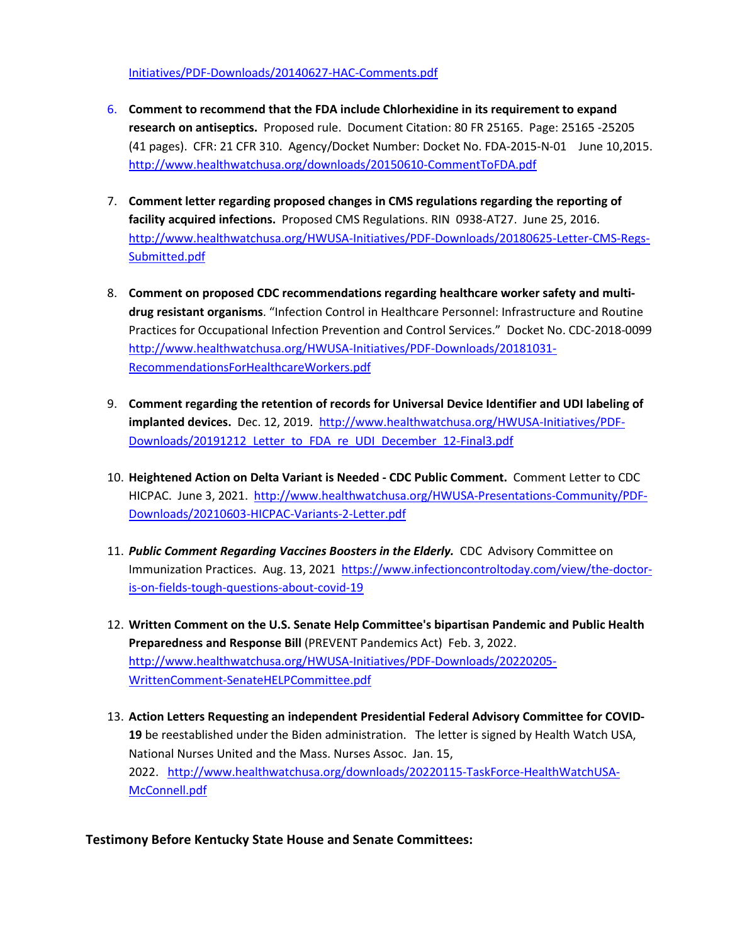[Initiatives/PDF-Downloads/20140627-HAC-Comments.pdf](http://www.healthwatchusa.org/HWUSA-Initiatives/PDF-Downloads/20140627-HAC-Comments.pdf) 

- 6. **Comment to recommend that the FDA include Chlorhexidine in its requirement to expand research on antiseptics.** Proposed rule. Document Citation: 80 FR 25165. Page: 25165 -25205 (41 pages). CFR: 21 CFR 310. Agency/Docket Number: Docket No. FDA-2015-N-01 June 10,2015. <http://www.healthwatchusa.org/downloads/20150610-CommentToFDA.pdf>
- 7. **Comment letter regarding proposed changes in CMS regulations regarding the reporting of facility acquired infections.** Proposed CMS Regulations. RIN 0938-AT27. June 25, 2016. [http://www.healthwatchusa.org/HWUSA-Initiatives/PDF-Downloads/20180625-Letter-CMS-Regs-](http://www.healthwatchusa.org/HWUSA-Initiatives/PDF-Downloads/20180625-Letter-CMS-Regs-Submitted.pdf)[Submitted.pdf](http://www.healthwatchusa.org/HWUSA-Initiatives/PDF-Downloads/20180625-Letter-CMS-Regs-Submitted.pdf)
- 8. **Comment on proposed CDC recommendations regarding healthcare worker safety and multidrug resistant organisms**. "Infection Control in Healthcare Personnel: Infrastructure and Routine Practices for Occupational Infection Prevention and Control Services." Docket No. CDC-2018-0099 [http://www.healthwatchusa.org/HWUSA-Initiatives/PDF-Downloads/20181031-](http://www.healthwatchusa.org/HWUSA-Initiatives/PDF-Downloads/20181031-RecommendationsForHealthcareWorkers.pdf) [RecommendationsForHealthcareWorkers.pdf](http://www.healthwatchusa.org/HWUSA-Initiatives/PDF-Downloads/20181031-RecommendationsForHealthcareWorkers.pdf)
- 9. **Comment regarding the retention of records for Universal Device Identifier and UDI labeling of implanted devices.** Dec. 12, 2019. [http://www.healthwatchusa.org/HWUSA-Initiatives/PDF-](http://www.healthwatchusa.org/HWUSA-Initiatives/PDF-Downloads/20191212_Letter_to_FDA_re_UDI_December_12-Final3.pdf)[Downloads/20191212\\_Letter\\_to\\_FDA\\_re\\_UDI\\_December\\_12-Final3.pdf](http://www.healthwatchusa.org/HWUSA-Initiatives/PDF-Downloads/20191212_Letter_to_FDA_re_UDI_December_12-Final3.pdf)
- 10. **Heightened Action on Delta Variant is Needed CDC Public Comment.** Comment Letter to CDC HICPAC. June 3, 2021. [http://www.healthwatchusa.org/HWUSA-Presentations-Community/PDF-](http://www.healthwatchusa.org/HWUSA-Presentations-Community/PDF-Downloads/20210603-HICPAC-Variants-2-Letter.pdf)[Downloads/20210603-HICPAC-Variants-2-Letter.pdf](http://www.healthwatchusa.org/HWUSA-Presentations-Community/PDF-Downloads/20210603-HICPAC-Variants-2-Letter.pdf)
- 11. *Public Comment Regarding Vaccines Boosters in the Elderly.* CDC Advisory Committee on Immunization Practices. Aug. 13, 2021 [https://www.infectioncontroltoday.com/view/the-doctor](https://www.infectioncontroltoday.com/view/the-doctor-is-on-fields-tough-questions-about-covid-19)[is-on-fields-tough-questions-about-covid-19](https://www.infectioncontroltoday.com/view/the-doctor-is-on-fields-tough-questions-about-covid-19)
- 12. **Written Comment on the U.S. Senate Help Committee's bipartisan Pandemic and Public Health Preparedness and Response Bill** (PREVENT Pandemics Act) Feb. 3, 2022. [http://www.healthwatchusa.org/HWUSA-Initiatives/PDF-Downloads/20220205-](http://www.healthwatchusa.org/HWUSA-Initiatives/PDF-Downloads/20220205-WrittenComment-SenateHELPCommittee.pdf) [WrittenComment-SenateHELPCommittee.pdf](http://www.healthwatchusa.org/HWUSA-Initiatives/PDF-Downloads/20220205-WrittenComment-SenateHELPCommittee.pdf)
- 13. **Action Letters Requesting an independent Presidential Federal Advisory Committee for COVID-19** be reestablished under the Biden administration. The letter is signed by Health Watch USA, National Nurses United and the Mass. Nurses Assoc. Jan. 15, 2022.[http://www.healthwatchusa.org/downloads/20220115-TaskForce-HealthWatchUSA-](http://www.healthwatchusa.org/downloads/20220115-TaskForce-HealthWatchUSA-McConnell.pdf)[McConnell.pdf](http://www.healthwatchusa.org/downloads/20220115-TaskForce-HealthWatchUSA-McConnell.pdf)

## **Testimony Before Kentucky State House and Senate Committees:**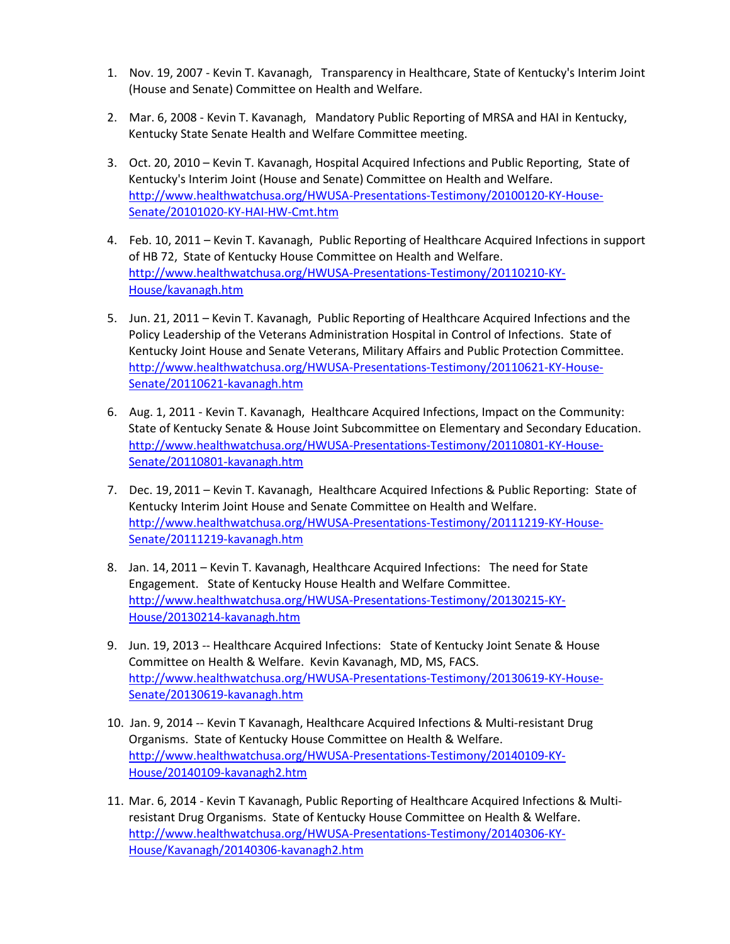- 1. Nov. 19, 2007 Kevin T. Kavanagh, Transparency in Healthcare, State of Kentucky's Interim Joint (House and Senate) Committee on Health and Welfare.
- 2. Mar. 6, 2008 Kevin T. Kavanagh, Mandatory Public Reporting of MRSA and HAI in Kentucky, Kentucky State Senate Health and Welfare Committee meeting.
- 3. Oct. 20, 2010 Kevin T. Kavanagh, Hospital Acquired Infections and Public Reporting, State of Kentucky's Interim Joint (House and Senate) Committee on Health and Welfare. [http://www.healthwatchusa.org/HWUSA-Presentations-Testimony/20100120-KY-House-](http://www.healthwatchusa.org/HWUSA-Presentations-Testimony/20100120-KY-House-Senate/20101020-KY-HAI-HW-Cmt.htm)[Senate/20101020-KY-HAI-HW-Cmt.htm](http://www.healthwatchusa.org/HWUSA-Presentations-Testimony/20100120-KY-House-Senate/20101020-KY-HAI-HW-Cmt.htm)
- 4. Feb. 10, 2011 Kevin T. Kavanagh, Public Reporting of Healthcare Acquired Infections in support of HB 72, State of Kentucky House Committee on Health and Welfare. [http://www.healthwatchusa.org/HWUSA-Presentations-Testimony/20110210-KY-](http://www.healthwatchusa.org/HWUSA-Presentations-Testimony/20110210-KY-House/kavanagh.htm)[House/kavanagh.htm](http://www.healthwatchusa.org/HWUSA-Presentations-Testimony/20110210-KY-House/kavanagh.htm)
- 5. Jun. 21, 2011 Kevin T. Kavanagh, Public Reporting of Healthcare Acquired Infections and the Policy Leadership of the Veterans Administration Hospital in Control of Infections. State of Kentucky Joint House and Senate Veterans, Military Affairs and Public Protection Committee. [http://www.healthwatchusa.org/HWUSA-Presentations-Testimony/20110621-KY-House-](http://www.healthwatchusa.org/HWUSA-Presentations-Testimony/20110621-KY-House-Senate/20110621-kavanagh.htm)[Senate/20110621-kavanagh.htm](http://www.healthwatchusa.org/HWUSA-Presentations-Testimony/20110621-KY-House-Senate/20110621-kavanagh.htm)
- 6. Aug. 1, 2011 Kevin T. Kavanagh, Healthcare Acquired Infections, Impact on the Community: State of Kentucky Senate & House Joint Subcommittee on Elementary and Secondary Education. [http://www.healthwatchusa.org/HWUSA-Presentations-Testimony/20110801-KY-House-](http://www.healthwatchusa.org/HWUSA-Presentations-Testimony/20110801-KY-House-Senate/20110801-kavanagh.htm)[Senate/20110801-kavanagh.htm](http://www.healthwatchusa.org/HWUSA-Presentations-Testimony/20110801-KY-House-Senate/20110801-kavanagh.htm)
- 7. Dec. 19, 2011 Kevin T. Kavanagh, Healthcare Acquired Infections & Public Reporting: State of Kentucky Interim Joint House and Senate Committee on Health and Welfare. [http://www.healthwatchusa.org/HWUSA-Presentations-Testimony/20111219-KY-House-](http://www.healthwatchusa.org/HWUSA-Presentations-Testimony/20111219-KY-House-Senate/20111219-kavanagh.htm)[Senate/20111219-kavanagh.htm](http://www.healthwatchusa.org/HWUSA-Presentations-Testimony/20111219-KY-House-Senate/20111219-kavanagh.htm)
- 8. Jan. 14, 2011 Kevin T. Kavanagh, Healthcare Acquired Infections: The need for State Engagement. State of Kentucky House Health and Welfare Committee. [http://www.healthwatchusa.org/HWUSA-Presentations-Testimony/20130215-KY-](http://www.healthwatchusa.org/HWUSA-Presentations-Testimony/20130215-KY-House/20130214-kavanagh.htm)[House/20130214-kavanagh.htm](http://www.healthwatchusa.org/HWUSA-Presentations-Testimony/20130215-KY-House/20130214-kavanagh.htm)
- 9. Jun. 19, 2013 -- Healthcare Acquired Infections: State of Kentucky Joint Senate & House Committee on Health & Welfare. Kevin Kavanagh, MD, MS, FACS. [http://www.healthwatchusa.org/HWUSA-Presentations-Testimony/20130619-KY-House-](http://www.healthwatchusa.org/HWUSA-Presentations-Testimony/20130619-KY-House-Senate/20130619-kavanagh.htm)[Senate/20130619-kavanagh.htm](http://www.healthwatchusa.org/HWUSA-Presentations-Testimony/20130619-KY-House-Senate/20130619-kavanagh.htm)
- 10. Jan. 9, 2014 -- Kevin T Kavanagh, Healthcare Acquired Infections & Multi-resistant Drug Organisms. State of Kentucky House Committee on Health & Welfare. [http://www.healthwatchusa.org/HWUSA-Presentations-Testimony/20140109-KY-](http://www.healthwatchusa.org/HWUSA-Presentations-Testimony/20140109-KY-House/20140109-kavanagh2.htm)[House/20140109-kavanagh2.htm](http://www.healthwatchusa.org/HWUSA-Presentations-Testimony/20140109-KY-House/20140109-kavanagh2.htm)
- 11. Mar. 6, 2014 Kevin T Kavanagh, Public Reporting of Healthcare Acquired Infections & Multiresistant Drug Organisms. State of Kentucky House Committee on Health & Welfare. [http://www.healthwatchusa.org/HWUSA-Presentations-Testimony/20140306-KY-](http://www.healthwatchusa.org/HWUSA-Presentations-Testimony/20140306-KY-House/Kavanagh/20140306-kavanagh2.htm)[House/Kavanagh/20140306-kavanagh2.htm](http://www.healthwatchusa.org/HWUSA-Presentations-Testimony/20140306-KY-House/Kavanagh/20140306-kavanagh2.htm)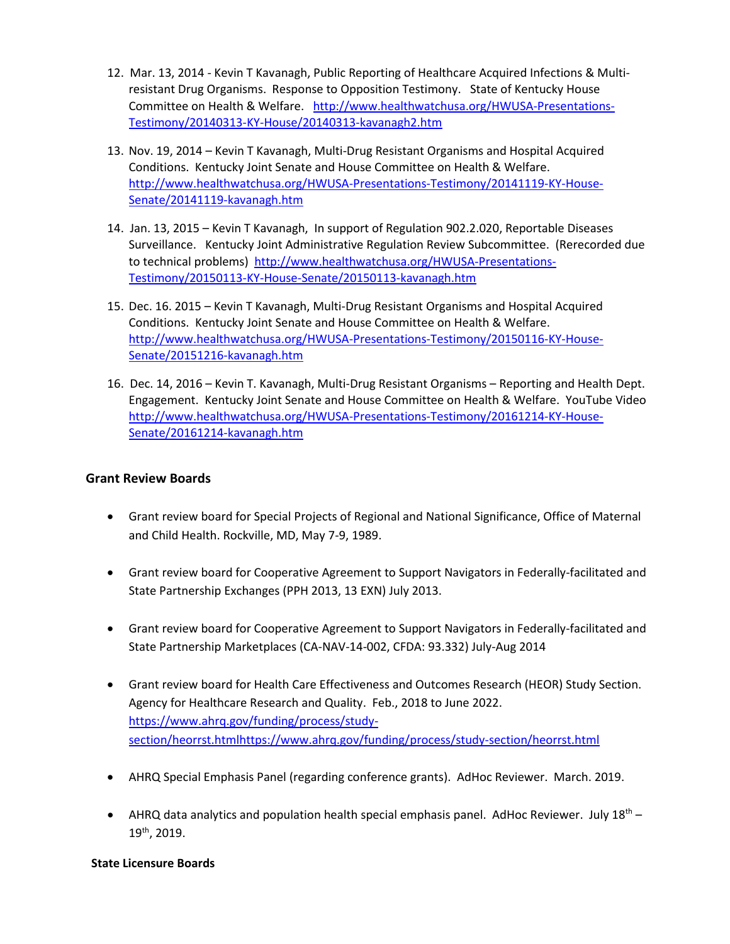- 12. Mar. 13, 2014 Kevin T Kavanagh, Public Reporting of Healthcare Acquired Infections & Multiresistant Drug Organisms. Response to Opposition Testimony. State of Kentucky House Committee on Health & Welfare. [http://www.healthwatchusa.org/HWUSA-Presentations-](http://www.healthwatchusa.org/HWUSA-Presentations-Testimony/20140313-KY-House/20140313-kavanagh2.htm)[Testimony/20140313-KY-House/20140313-kavanagh2.htm](http://www.healthwatchusa.org/HWUSA-Presentations-Testimony/20140313-KY-House/20140313-kavanagh2.htm)
- 13. Nov. 19, 2014 Kevin T Kavanagh, Multi-Drug Resistant Organisms and Hospital Acquired Conditions. Kentucky Joint Senate and House Committee on Health & Welfare. [http://www.healthwatchusa.org/HWUSA-Presentations-Testimony/20141119-KY-House-](http://www.healthwatchusa.org/HWUSA-Presentations-Testimony/20141119-KY-House-Senate/20141119-kavanagh.htm)[Senate/20141119-kavanagh.htm](http://www.healthwatchusa.org/HWUSA-Presentations-Testimony/20141119-KY-House-Senate/20141119-kavanagh.htm)
- 14. Jan. 13, 2015 Kevin T Kavanagh, In support of Regulation 902.2.020, Reportable Diseases Surveillance. Kentucky Joint Administrative Regulation Review Subcommittee. (Rerecorded due to technical problems) [http://www.healthwatchusa.org/HWUSA-Presentations-](http://www.healthwatchusa.org/HWUSA-Presentations-Testimony/20150113-KY-House-Senate/20150113-kavanagh.htm)[Testimony/20150113-KY-House-Senate/20150113-kavanagh.htm](http://www.healthwatchusa.org/HWUSA-Presentations-Testimony/20150113-KY-House-Senate/20150113-kavanagh.htm)
- 15. Dec. 16. 2015 Kevin T Kavanagh, Multi-Drug Resistant Organisms and Hospital Acquired Conditions. Kentucky Joint Senate and House Committee on Health & Welfare. [http://www.healthwatchusa.org/HWUSA-Presentations-Testimony/20150116-KY-House-](http://www.healthwatchusa.org/HWUSA-Presentations-Testimony/20150116-KY-House-Senate/20151216-kavanagh.htm)[Senate/20151216-kavanagh.htm](http://www.healthwatchusa.org/HWUSA-Presentations-Testimony/20150116-KY-House-Senate/20151216-kavanagh.htm)
- 16. Dec. 14, 2016 Kevin T. Kavanagh, Multi-Drug Resistant Organisms Reporting and Health Dept. Engagement. Kentucky Joint Senate and House Committee on Health & Welfare. YouTube Video [http://www.healthwatchusa.org/HWUSA-Presentations-Testimony/20161214-KY-House-](http://www.healthwatchusa.org/HWUSA-Presentations-Testimony/20161214-KY-House-Senate/20161214-kavanagh.htm)[Senate/20161214-kavanagh.htm](http://www.healthwatchusa.org/HWUSA-Presentations-Testimony/20161214-KY-House-Senate/20161214-kavanagh.htm)

## **Grant Review Boards**

- Grant review board for Special Projects of Regional and National Significance, Office of Maternal and Child Health. Rockville, MD, May 7-9, 1989.
- Grant review board for Cooperative Agreement to Support Navigators in Federally-facilitated and State Partnership Exchanges (PPH 2013, 13 EXN) July 2013.
- Grant review board for Cooperative Agreement to Support Navigators in Federally-facilitated and State Partnership Marketplaces (CA-NAV-14-002, CFDA: 93.332) July-Aug 2014
- Grant review board for Health Care Effectiveness and Outcomes Research (HEOR) Study Section. Agency for Healthcare Research and Quality. Feb., 2018 to June 2022. [https://www.ahrq.gov/funding/process/study](https://www.ahrq.gov/funding/process/study-section/heorrst.htmlhttps:/www.ahrq.gov/funding/process/study-section/heorrst.html)[section/heorrst.htmlhttps://www.ahrq.gov/funding/process/study-section/heorrst.html](https://www.ahrq.gov/funding/process/study-section/heorrst.htmlhttps:/www.ahrq.gov/funding/process/study-section/heorrst.html)
- AHRQ Special Emphasis Panel (regarding conference grants). AdHoc Reviewer. March. 2019.
- AHRQ data analytics and population health special emphasis panel. AdHoc Reviewer. July  $18<sup>th</sup>$  19th, 2019.

#### **State Licensure Boards**